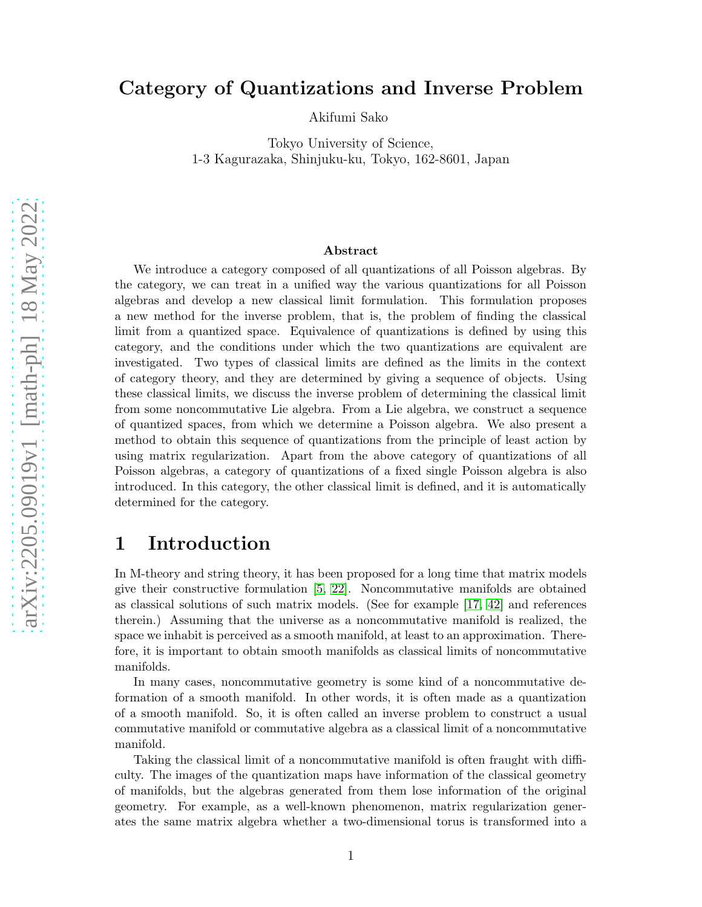## Category of Quantizations and Inverse Problem

Akifumi Sako

Tokyo University of Science, 1-3 Kagurazaka, Shinjuku-ku, Tokyo, 162-8601, Japan

#### Abstract

We introduce a category composed of all quantizations of all Poisson algebras. By the category, we can treat in a unified way the various quantizations for all Poisson algebras and develop a new classical limit formulation. This formulation proposes a new method for the inverse problem, that is, the problem of finding the classical limit from a quantized space. Equivalence of quantizations is defined by using this category, and the conditions under which the two quantizations are equivalent are investigated. Two types of classical limits are defined as the limits in the context of category theory, and they are determined by giving a sequence of objects. Using these classical limits, we discuss the inverse problem of determining the classical limit from some noncommutative Lie algebra. From a Lie algebra, we construct a sequence of quantized spaces, from which we determine a Poisson algebra. We also present a method to obtain this sequence of quantizations from the principle of least action by using matrix regularization. Apart from the above category of quantizations of all Poisson algebras, a category of quantizations of a fixed single Poisson algebra is also introduced. In this category, the other classical limit is defined, and it is automatically determined for the category.

## 1 Introduction

In M-theory and string theory, it has been proposed for a long time that matrix models give their constructive formulation [\[5,](#page-36-0) [22\]](#page-37-0). Noncommutative manifolds are obtained as classical solutions of such matrix models. (See for example [\[17,](#page-37-1) [42\]](#page-38-0) and references therein.) Assuming that the universe as a noncommutative manifold is realized, the space we inhabit is perceived as a smooth manifold, at least to an approximation. Therefore, it is important to obtain smooth manifolds as classical limits of noncommutative manifolds.

In many cases, noncommutative geometry is some kind of a noncommutative deformation of a smooth manifold. In other words, it is often made as a quantization of a smooth manifold. So, it is often called an inverse problem to construct a usual commutative manifold or commutative algebra as a classical limit of a noncommutative manifold.

Taking the classical limit of a noncommutative manifold is often fraught with difficulty. The images of the quantization maps have information of the classical geometry of manifolds, but the algebras generated from them lose information of the original geometry. For example, as a well-known phenomenon, matrix regularization generates the same matrix algebra whether a two-dimensional torus is transformed into a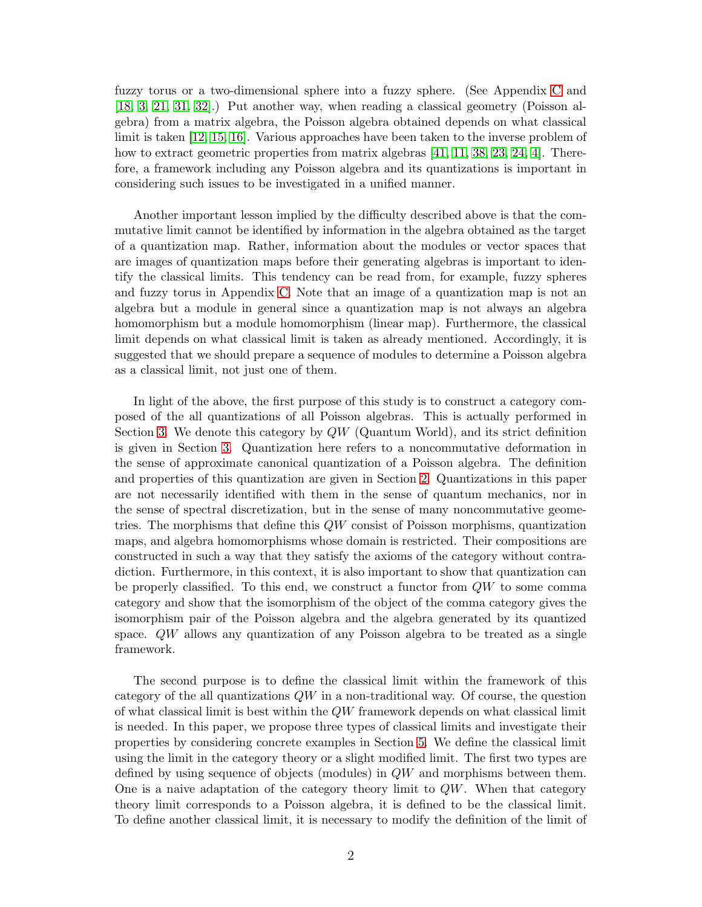fuzzy torus or a two-dimensional sphere into a fuzzy sphere. (See Appendix [C](#page-35-0) and [\[18,](#page-37-2) [3,](#page-36-1) [21,](#page-37-3) [31,](#page-38-1) [32\]](#page-38-2).) Put another way, when reading a classical geometry (Poisson algebra) from a matrix algebra, the Poisson algebra obtained depends on what classical limit is taken [\[12,](#page-37-4) [15,](#page-37-5) [16\]](#page-37-6). Various approaches have been taken to the inverse problem of how to extract geometric properties from matrix algebras [\[41,](#page-38-3) [11,](#page-37-7) [38,](#page-38-4) [23,](#page-37-8) [24,](#page-37-9) [4\]](#page-36-2). Therefore, a framework including any Poisson algebra and its quantizations is important in considering such issues to be investigated in a unified manner.

Another important lesson implied by the difficulty described above is that the commutative limit cannot be identified by information in the algebra obtained as the target of a quantization map. Rather, information about the modules or vector spaces that are images of quantization maps before their generating algebras is important to identify the classical limits. This tendency can be read from, for example, fuzzy spheres and fuzzy torus in Appendix [C.](#page-35-0) Note that an image of a quantization map is not an algebra but a module in general since a quantization map is not always an algebra homomorphism but a module homomorphism (linear map). Furthermore, the classical limit depends on what classical limit is taken as already mentioned. Accordingly, it is suggested that we should prepare a sequence of modules to determine a Poisson algebra as a classical limit, not just one of them.

In light of the above, the first purpose of this study is to construct a category composed of the all quantizations of all Poisson algebras. This is actually performed in Section [3.](#page-10-0) We denote this category by  $QW$  (Quantum World), and its strict definition is given in Section [3.](#page-10-0) Quantization here refers to a noncommutative deformation in the sense of approximate canonical quantization of a Poisson algebra. The definition and properties of this quantization are given in Section [2.](#page-3-0) Quantizations in this paper are not necessarily identified with them in the sense of quantum mechanics, nor in the sense of spectral discretization, but in the sense of many noncommutative geometries. The morphisms that define this QW consist of Poisson morphisms, quantization maps, and algebra homomorphisms whose domain is restricted. Their compositions are constructed in such a way that they satisfy the axioms of the category without contradiction. Furthermore, in this context, it is also important to show that quantization can be properly classified. To this end, we construct a functor from  $QW$  to some comma category and show that the isomorphism of the object of the comma category gives the isomorphism pair of the Poisson algebra and the algebra generated by its quantized space. QW allows any quantization of any Poisson algebra to be treated as a single framework.

The second purpose is to define the classical limit within the framework of this category of the all quantizations  $QW$  in a non-traditional way. Of course, the question of what classical limit is best within the QW framework depends on what classical limit is needed. In this paper, we propose three types of classical limits and investigate their properties by considering concrete examples in Section [5.](#page-16-0) We define the classical limit using the limit in the category theory or a slight modified limit. The first two types are defined by using sequence of objects (modules) in QW and morphisms between them. One is a naive adaptation of the category theory limit to  $QW$ . When that category theory limit corresponds to a Poisson algebra, it is defined to be the classical limit. To define another classical limit, it is necessary to modify the definition of the limit of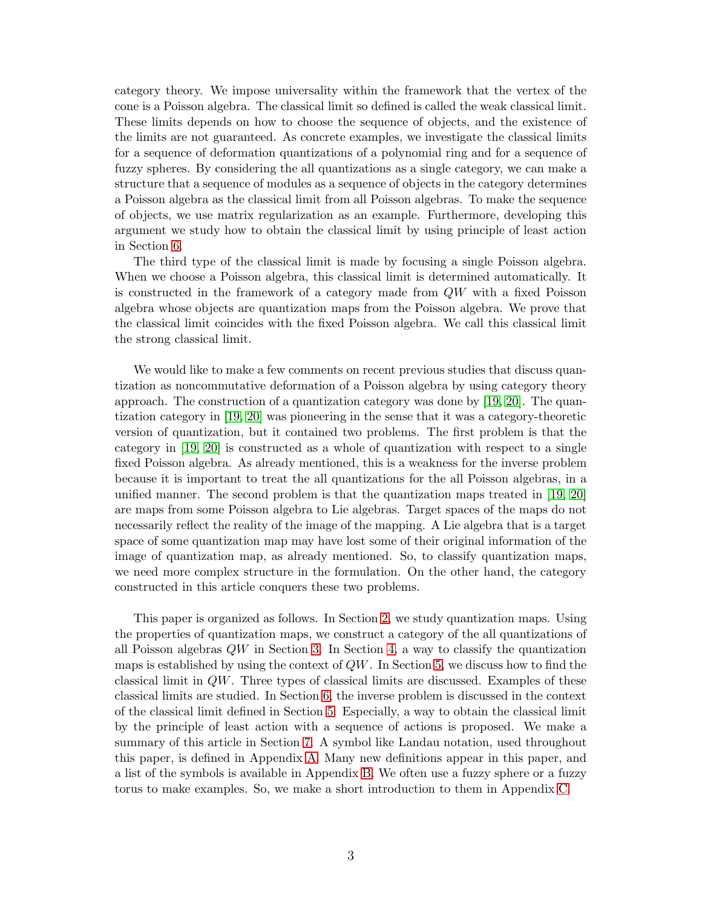category theory. We impose universality within the framework that the vertex of the cone is a Poisson algebra. The classical limit so defined is called the weak classical limit. These limits depends on how to choose the sequence of objects, and the existence of the limits are not guaranteed. As concrete examples, we investigate the classical limits for a sequence of deformation quantizations of a polynomial ring and for a sequence of fuzzy spheres. By considering the all quantizations as a single category, we can make a structure that a sequence of modules as a sequence of objects in the category determines a Poisson algebra as the classical limit from all Poisson algebras. To make the sequence of objects, we use matrix regularization as an example. Furthermore, developing this argument we study how to obtain the classical limit by using principle of least action in Section [6.](#page-26-0)

The third type of the classical limit is made by focusing a single Poisson algebra. When we choose a Poisson algebra, this classical limit is determined automatically. It is constructed in the framework of a category made from QW with a fixed Poisson algebra whose objects are quantization maps from the Poisson algebra. We prove that the classical limit coincides with the fixed Poisson algebra. We call this classical limit the strong classical limit.

We would like to make a few comments on recent previous studies that discuss quantization as noncommutative deformation of a Poisson algebra by using category theory approach. The construction of a quantization category was done by [\[19,](#page-37-10) [20\]](#page-37-11). The quantization category in [\[19,](#page-37-10) [20\]](#page-37-11) was pioneering in the sense that it was a category-theoretic version of quantization, but it contained two problems. The first problem is that the category in [\[19,](#page-37-10) [20\]](#page-37-11) is constructed as a whole of quantization with respect to a single fixed Poisson algebra. As already mentioned, this is a weakness for the inverse problem because it is important to treat the all quantizations for the all Poisson algebras, in a unified manner. The second problem is that the quantization maps treated in [\[19,](#page-37-10) [20\]](#page-37-11) are maps from some Poisson algebra to Lie algebras. Target spaces of the maps do not necessarily reflect the reality of the image of the mapping. A Lie algebra that is a target space of some quantization map may have lost some of their original information of the image of quantization map, as already mentioned. So, to classify quantization maps, we need more complex structure in the formulation. On the other hand, the category constructed in this article conquers these two problems.

This paper is organized as follows. In Section [2,](#page-3-0) we study quantization maps. Using the properties of quantization maps, we construct a category of the all quantizations of all Poisson algebras  $QW$  in Section [3.](#page-10-0) In Section [4,](#page-11-0) a way to classify the quantization maps is established by using the context of  $QW$ . In Section [5,](#page-16-0) we discuss how to find the classical limit in QW. Three types of classical limits are discussed. Examples of these classical limits are studied. In Section [6,](#page-26-0) the inverse problem is discussed in the context of the classical limit defined in Section [5.](#page-16-0) Especially, a way to obtain the classical limit by the principle of least action with a sequence of actions is proposed. We make a summary of this article in Section [7.](#page-32-0) A symbol like Landau notation, used throughout this paper, is defined in Appendix [A.](#page-33-0) Many new definitions appear in this paper, and a list of the symbols is available in Appendix [B.](#page-33-1) We often use a fuzzy sphere or a fuzzy torus to make examples. So, we make a short introduction to them in Appendix [C.](#page-35-0)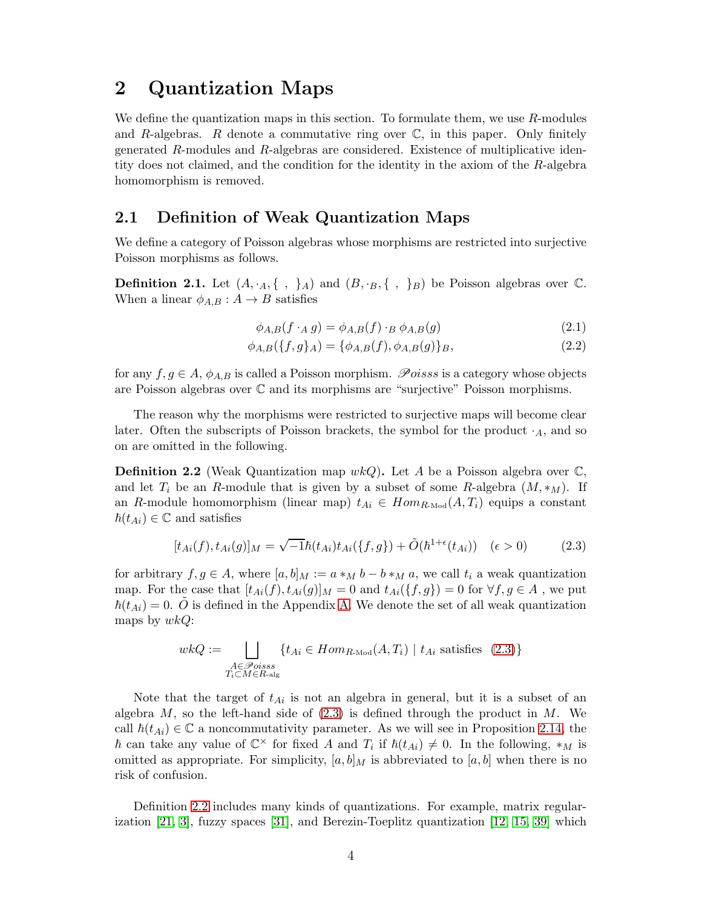## <span id="page-3-0"></span>2 Quantization Maps

We define the quantization maps in this section. To formulate them, we use  $R$ -modules and R-algebras. R denote a commutative ring over  $\mathbb{C}$ , in this paper. Only finitely generated R-modules and R-algebras are considered. Existence of multiplicative identity does not claimed, and the condition for the identity in the axiom of the R-algebra homomorphism is removed.

#### 2.1 Definition of Weak Quantization Maps

We define a category of Poisson algebras whose morphisms are restricted into surjective Poisson morphisms as follows.

**Definition 2.1.** Let  $(A, \cdot_A, \{\ ,\ \}_A)$  and  $(B, \cdot_B, \{\ ,\ \}_B)$  be Poisson algebras over  $\mathbb{C}$ . When a linear  $\phi_{A,B}: A \rightarrow B$  satisfies

$$
\phi_{A,B}(f \cdot_A g) = \phi_{A,B}(f) \cdot_B \phi_{A,B}(g) \tag{2.1}
$$

<span id="page-3-1"></span>
$$
\phi_{A,B}(\{f,g\}_A) = \{\phi_{A,B}(f), \phi_{A,B}(g)\}_B,\tag{2.2}
$$

for any  $f, g \in A$ ,  $\phi_{A,B}$  is called a Poisson morphism. Poisss is a category whose objects are Poisson algebras over C and its morphisms are "surjective" Poisson morphisms.

The reason why the morphisms were restricted to surjective maps will become clear later. Often the subscripts of Poisson brackets, the symbol for the product  $\cdot_A$ , and so on are omitted in the following.

<span id="page-3-2"></span>**Definition 2.2** (Weak Quantization map  $wkQ$ ). Let A be a Poisson algebra over  $\mathbb{C}$ , and let  $T_i$  be an R-module that is given by a subset of some R-algebra  $(M, *_M)$ . If an R-module homomorphism (linear map)  $t_{Ai} \in Hom_{R\text{-Mod}}(A, T_i)$  equips a constant  $\hbar(t_{Ai}) \in \mathbb{C}$  and satisfies

$$
[t_{Ai}(f), t_{Ai}(g)]_M = \sqrt{-1}\hbar(t_{Ai})t_{Ai}(\{f, g\}) + \tilde{O}(\hbar^{1+\epsilon}(t_{Ai})) \quad (\epsilon > 0)
$$
 (2.3)

for arbitrary  $f, g \in A$ , where  $[a, b]_M := a *_M b - b *_M a$ , we call  $t_i$  a weak quantization map. For the case that  $[t_{Ai}(f), t_{Ai}(g)]_M = 0$  and  $t_{Ai}(\{f, g\}) = 0$  for  $\forall f, g \in A$ , we put  $\hbar(t_{Ai}) = 0$ .  $\tilde{O}$  is defined in the Appendix [A.](#page-33-0) We denote the set of all weak quantization maps by  $wkQ$ :

$$
wkQ := \bigsqcup_{\substack{A \in \mathcal{P}oises\\T_i \subset M \in R\text{-alg}}} \{t_{Ai} \in Hom_{R\text{-Mod}}(A, T_i) \mid t_{Ai} \text{ satisfies (2.3)}\}
$$

Note that the target of  $t_{Ai}$  is not an algebra in general, but it is a subset of an algebra  $M$ , so the left-hand side of  $(2.3)$  is defined through the product in  $M$ . We call  $\hbar(t_{Ai}) \in \mathbb{C}$  a noncommutativity parameter. As we will see in Proposition [2.14,](#page-9-0) the  $\hbar$  can take any value of  $\mathbb{C}^{\times}$  for fixed A and  $T_i$  if  $\hbar(t_{Ai}) \neq 0$ . In the following,  $*_M$  is omitted as appropriate. For simplicity,  $[a, b]_M$  is abbreviated to  $[a, b]$  when there is no risk of confusion.

Definition [2.2](#page-3-2) includes many kinds of quantizations. For example, matrix regularization  $[21, 3]$  $[21, 3]$ , fuzzy spaces  $[31]$ , and Berezin-Toeplitz quantization  $[12, 15, 39]$  $[12, 15, 39]$  $[12, 15, 39]$  which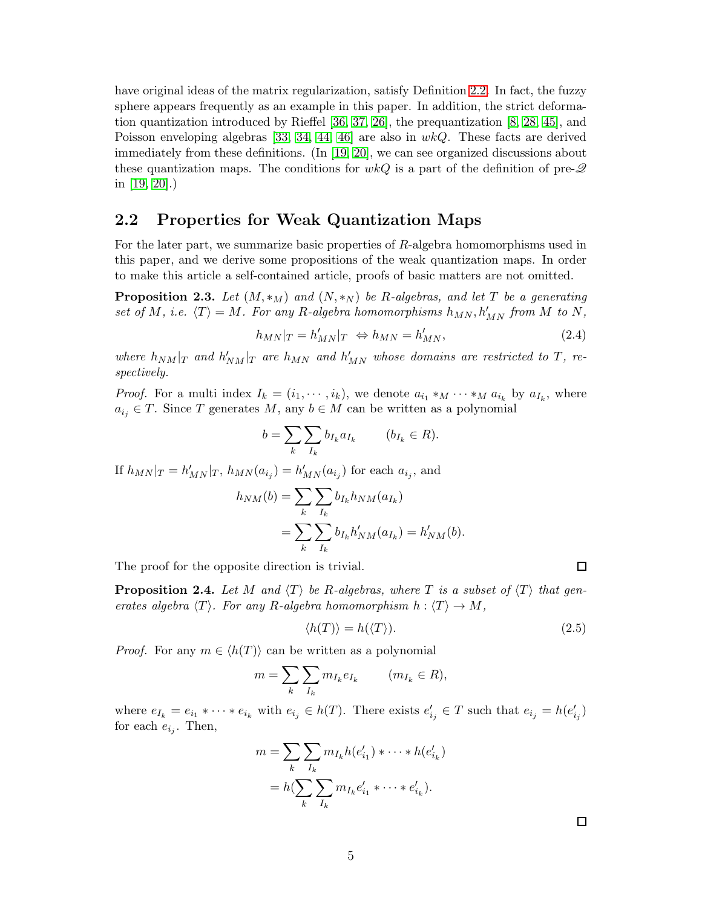have original ideas of the matrix regularization, satisfy Definition [2.2.](#page-3-2) In fact, the fuzzy sphere appears frequently as an example in this paper. In addition, the strict deformation quantization introduced by Rieffel [\[36,](#page-38-6) [37,](#page-38-7) [26\]](#page-38-8), the prequantization [\[8,](#page-37-12) [28,](#page-38-9) [45\]](#page-39-0), and Poisson enveloping algebras [\[33,](#page-38-10) [34,](#page-38-11) [44,](#page-39-1) [46\]](#page-39-2) are also in  $wkQ$ . These facts are derived immediately from these definitions. (In [\[19,](#page-37-10) [20\]](#page-37-11), we can see organized discussions about these quantization maps. The conditions for  $wkQ$  is a part of the definition of pre- $\mathscr Q$ in [\[19,](#page-37-10) [20\]](#page-37-11).)

#### 2.2 Properties for Weak Quantization Maps

For the later part, we summarize basic properties of R-algebra homomorphisms used in this paper, and we derive some propositions of the weak quantization maps. In order to make this article a self-contained article, proofs of basic matters are not omitted.

<span id="page-4-0"></span>**Proposition 2.3.** Let  $(M, *_{M})$  and  $(N, *_{N})$  be R-algebras, and let T be a generating set of M, i.e.  $\langle T \rangle = M$ . For any R-algebra homomorphisms  $h_{MN}$ ,  $h'_{MN}$  from M to N,

$$
h_{MN}|_T = h'_{MN}|_T \Leftrightarrow h_{MN} = h'_{MN},\tag{2.4}
$$

where  $h_{NM}|_T$  and  $h'_{NM}|_T$  are  $h_{MN}$  and  $h'_{MN}$  whose domains are restricted to T, respectively.

*Proof.* For a multi index  $I_k = (i_1, \dots, i_k)$ , we denote  $a_{i_1} *_M \dots *_M a_{i_k}$  by  $a_{I_k}$ , where  $a_{i_j} \in T$ . Since T generates M, any  $b \in M$  can be written as a polynomial

$$
b = \sum_{k} \sum_{I_k} b_{I_k} a_{I_k} \qquad (b_{I_k} \in R).
$$

If  $h_{MN}|_T = h'_{MN}|_T$ ,  $h_{MN}(a_{i_j}) = h'_{MN}(a_{i_j})$  for each  $a_{i_j}$ , and

$$
h_{NM}(b) = \sum_{k} \sum_{I_k} b_{I_k} h_{NM}(a_{I_k})
$$
  
= 
$$
\sum_{k} \sum_{I_k} b_{I_k} h'_{NM}(a_{I_k}) = h'_{NM}(b).
$$

The proof for the opposite direction is trivial.

<span id="page-4-1"></span>**Proposition 2.4.** Let M and  $\langle T \rangle$  be R-algebras, where T is a subset of  $\langle T \rangle$  that generates algebra  $\langle T \rangle$ . For any R-algebra homomorphism  $h : \langle T \rangle \to M$ ,

$$
\langle h(T) \rangle = h(\langle T \rangle). \tag{2.5}
$$

*Proof.* For any  $m \in \langle h(T) \rangle$  can be written as a polynomial

$$
m=\sum_k\sum_{I_k}m_{I_k}e_{I_k}\qquad \ (m_{I_k}\in R),
$$

where  $e_{I_k} = e_{i_1} * \cdots * e_{i_k}$  with  $e_{i_j} \in h(T)$ . There exists  $e'_{i_j} \in T$  such that  $e_{i_j} = h(e'_{i_j})$ for each  $e_{i_j}$ . Then,

$$
m = \sum_{k} \sum_{I_k} m_{I_k} h(e'_{i_1}) * \cdots * h(e'_{i_k})
$$
  
=  $h(\sum_{k} \sum_{I_k} m_{I_k} e'_{i_1} * \cdots * e'_{i_k}).$ 

 $\Box$ 

 $\Box$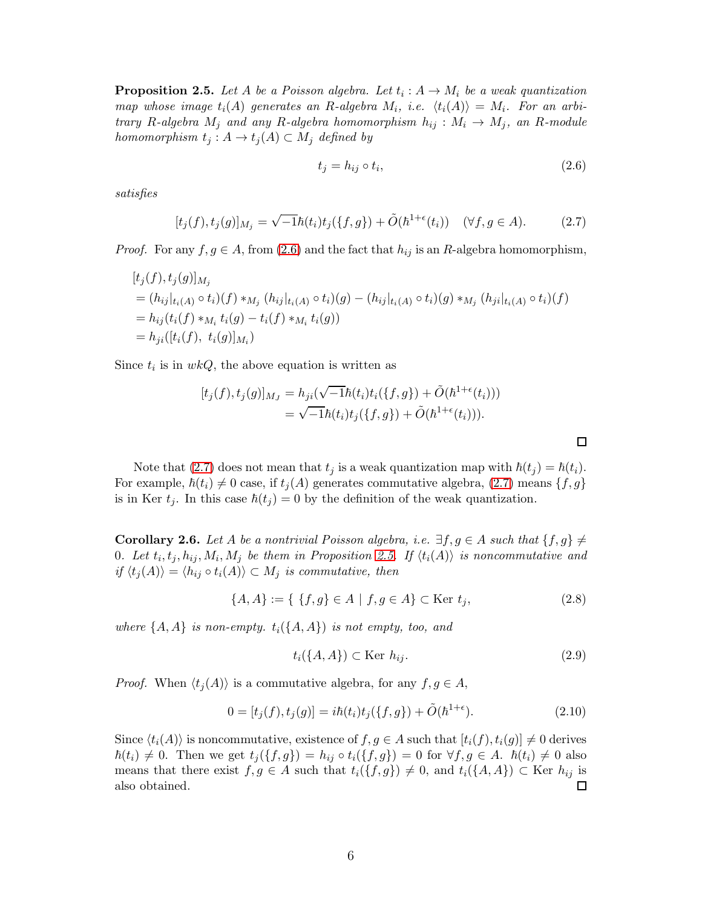<span id="page-5-2"></span>**Proposition 2.5.** Let A be a Poisson algebra. Let  $t_i : A \rightarrow M_i$  be a weak quantization map whose image  $t_i(A)$  generates an R-algebra  $M_i$ , i.e.  $\langle t_i(A) \rangle = M_i$ . For an arbitrary R-algebra  $M_j$  and any R-algebra homomorphism  $h_{ij}: M_i \to M_j$ , an R-module homomorphism  $t_j : A \to t_j(A) \subset M_j$  defined by

<span id="page-5-0"></span>
$$
t_j = h_{ij} \circ t_i,\tag{2.6}
$$

<span id="page-5-1"></span> $\Box$ 

satisfies

$$
[t_j(f), t_j(g)]_{M_j} = \sqrt{-1}\hbar(t_i)t_j(\{f, g\}) + \tilde{O}(\hbar^{1+\epsilon}(t_i)) \quad (\forall f, g \in A).
$$
 (2.7)

*Proof.* For any  $f, g \in A$ , from [\(2.6\)](#page-5-0) and the fact that  $h_{ij}$  is an R-algebra homomorphism,

$$
[t_j(f), t_j(g)]_{M_j}
$$
  
=  $(h_{ij}|_{t_i(A)} \circ t_i)(f) *_{M_j} (h_{ij}|_{t_i(A)} \circ t_i)(g) - (h_{ij}|_{t_i(A)} \circ t_i)(g) *_{M_j} (h_{ji}|_{t_i(A)} \circ t_i)(f)$   
=  $h_{ij}(t_i(f) *_{M_i} t_i(g) - t_i(f) *_{M_i} t_i(g))$   
=  $h_{ji}([t_i(f), t_i(g)]_{M_i})$ 

Since  $t_i$  is in  $wkQ$ , the above equation is written as

$$
[t_j(f), t_j(g)]_{M_J} = h_{ji}(\sqrt{-1}\hbar(t_i)t_i(\{f, g\}) + \tilde{O}(\hbar^{1+\epsilon}(t_i)))
$$
  
=  $\sqrt{-1}\hbar(t_i)t_j(\{f, g\}) + \tilde{O}(\hbar^{1+\epsilon}(t_i))).$ 

Note that [\(2.7\)](#page-5-1) does not mean that  $t_j$  is a weak quantization map with  $\hbar(t_j) = \hbar(t_i)$ . For example,  $\hbar(t_i) \neq 0$  case, if  $t_j(A)$  generates commutative algebra, [\(2.7\)](#page-5-1) means  $\{f, g\}$ is in Ker  $t_j$ . In this case  $\hbar(t_j) = 0$  by the definition of the weak quantization.

<span id="page-5-3"></span>**Corollary 2.6.** Let A be a nontrivial Poisson algebra, i.e.  $\exists f, g \in A$  such that  $\{f, g\} \neq$ 0. Let  $t_i, t_j, h_{ij}, M_i, M_j$  be them in Proposition [2.5.](#page-5-2) If  $\langle t_i(A) \rangle$  is noncommutative and if  $\langle t_j(A) \rangle = \langle h_{ij} \circ t_i(A) \rangle \subset M_j$  is commutative, then

$$
\{A, A\} := \{ \{f, g\} \in A \mid f, g \in A \} \subset \text{Ker } t_j,\tag{2.8}
$$

where  $\{A, A\}$  is non-empty.  $t_i(\{A, A\})$  is not empty, too, and

$$
t_i(\lbrace A, A \rbrace) \subset \text{Ker } h_{ij}.
$$
\n
$$
(2.9)
$$

*Proof.* When  $\langle t_j(A) \rangle$  is a commutative algebra, for any  $f, g \in A$ ,

$$
0 = [t_j(f), t_j(g)] = i\hbar(t_i)t_j(\{f, g\}) + \tilde{O}(\hbar^{1+\epsilon}).
$$
\n(2.10)

Since  $\langle t_i(A) \rangle$  is noncommutative, existence of  $f, g \in A$  such that  $[t_i(f), t_i(g)] \neq 0$  derives  $\hbar(t_i) \neq 0$ . Then we get  $t_j(\lbrace f, g \rbrace) = h_{ij} \circ t_i(\lbrace f, g \rbrace) = 0$  for  $\forall f, g \in A$ .  $\hbar(t_i) \neq 0$  also means that there exist  $f, g \in A$  such that  $t_i({f, g}) \neq 0$ , and  $t_i({A, A}) \subset \text{Ker } h_{ij}$  is also obtained. also obtained.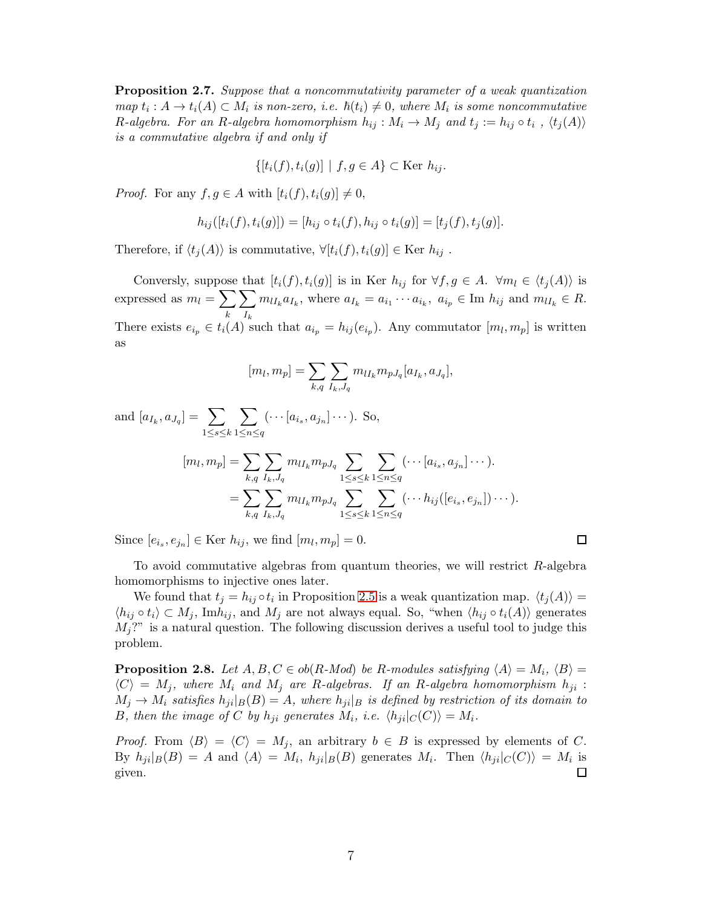<span id="page-6-1"></span>Proposition 2.7. Suppose that a noncommutativity parameter of a weak quantization  $map t_i: A \to t_i(A) \subset M_i$  is non-zero, i.e.  $\hbar(t_i) \neq 0$ , where  $M_i$  is some noncommutative R-algebra. For an R-algebra homomorphism  $h_{ij}: M_i \to M_j$  and  $t_j := h_{ij} \circ t_i$  ,  $\langle t_j(A) \rangle$ is a commutative algebra if and only if

$$
\{[t_i(f), t_i(g)] \mid f, g \in A\} \subset \text{Ker } h_{ij}.
$$

*Proof.* For any  $f, g \in A$  with  $[t_i(f), t_i(g)] \neq 0$ ,

$$
h_{ij}([t_i(f), t_i(g)]) = [h_{ij} \circ t_i(f), h_{ij} \circ t_i(g)] = [t_j(f), t_j(g)].
$$

Therefore, if  $\langle t_i(A) \rangle$  is commutative,  $\forall [t_i(f), t_i(g)] \in \text{Ker } h_{ij}$ .

Conversly, suppose that  $[t_i(f), t_i(g)]$  is in Ker  $h_{ij}$  for  $\forall f, g \in A$ .  $\forall m_l \in \langle t_j(A) \rangle$  is expressed as  $m_l = \sum$ k  $\sum$  $I_k$  $m_{lI_k}a_{I_k}$ , where  $a_{I_k} = a_{i_1} \cdots a_{i_k}$ ,  $a_{i_p} \in \text{Im } h_{ij}$  and  $m_{lI_k} \in R$ . There exists  $e_{i_p} \in t_i(A)$  such that  $a_{i_p} = h_{ij}(e_{i_p})$ . Any commutator  $[m_l, m_p]$  is written as

$$
[m_l, m_p] = \sum_{k,q} \sum_{I_k, J_q} m_{l I_k} m_{p J_q} [a_{I_k}, a_{J_q}],
$$

and  $[a_{I_k}, a_{J_q}] = \sum$  $1\leq s\leq k$  $\sum$  $1\leq n\leq q$  $(\cdots [a_{i_s}, a_{j_n}] \cdots)$ . So,  $[m_l, m_p] = \sum$  $_{k,q}$  $\sum$  $I_k, J_q$  $m_{lI_{k}}m_{pJ_{q}}\text{ }\sum\limits$  $1\leq s\leq k$  $\sum$  $1\leq n\leq q$  $(\cdots [a_{i_s}, a_{j_n}] \cdots ).$  $=$   $\sum$  $_{k,q}$  $\sum$  $I_k, J_q$  $m_{l I_{k}}m_{p J_{q}}\text{ }\sum\limits$  $1\leq s\leq k$  $\sum$  $1\leq n\leq q$  $(\cdots h_{ij}([e_{i_s},e_{j_n}])\cdots).$ 

Since  $[e_{i_s}, e_{j_n}] \in \text{Ker } h_{ij}$ , we find  $[m_l, m_p] = 0$ .

To avoid commutative algebras from quantum theories, we will restrict R-algebra homomorphisms to injective ones later.

 $\Box$ 

We found that  $t_j = h_{ij} \circ t_i$  in Proposition [2.5](#page-5-2) is a weak quantization map.  $\langle t_j(A) \rangle =$  $\langle h_{ij} \circ t_i \rangle \subset M_j$ , Im $h_{ij}$ , and  $M_j$  are not always equal. So, "when  $\langle h_{ij} \circ t_i(A) \rangle$  generates  $M_j$ ?" is a natural question. The following discussion derives a useful tool to judge this problem.

<span id="page-6-0"></span>**Proposition 2.8.** Let  $A, B, C \in ob(R\text{-}Mod)$  be R-modules satisfying  $\langle A \rangle = M_i$ ,  $\langle B \rangle =$  $\langle C \rangle = M_j$ , where  $M_i$  and  $M_j$  are R-algebras. If an R-algebra homomorphism  $h_{ji}$ :  $M_j \to M_i$  satisfies  $h_{ji}|_B(B) = A$ , where  $h_{ji}|_B$  is defined by restriction of its domain to B, then the image of C by  $h_{ji}$  generates  $M_i$ , i.e.  $\langle h_{ji}|_C(C)\rangle = M_i$ .

*Proof.* From  $\langle B \rangle = \langle C \rangle = M_j$ , an arbitrary  $b \in B$  is expressed by elements of C. By  $h_{ji}|_B(B) = A$  and  $\langle A \rangle = M_i$ ,  $h_{ji}|_B(B)$  generates  $M_i$ . Then  $\langle h_{ji}|_C(C) \rangle = M_i$  is given.  $\Box$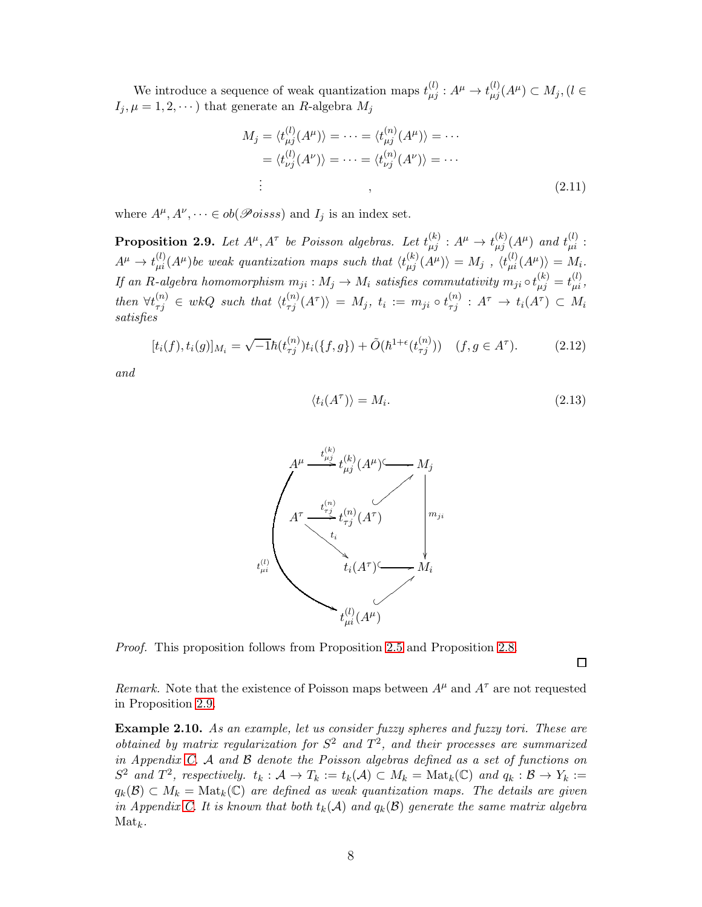We introduce a sequence of weak quantization maps  $t_{\mu j}^{(l)} : A^{\mu} \to t_{\mu j}^{(l)} (A^{\mu}) \subset M_j$ ,  $(l \in$  $I_j, \mu = 1, 2, \cdots$ ) that generate an R-algebra  $M_j$ 

$$
M_j = \langle t_{\mu j}^{(l)}(A^{\mu}) \rangle = \dots = \langle t_{\mu j}^{(n)}(A^{\mu}) \rangle = \dots
$$
  
=  $\langle t_{\nu j}^{(l)}(A^{\nu}) \rangle = \dots = \langle t_{\nu j}^{(n)}(A^{\nu}) \rangle = \dots$   
: (2.11)

where  $A^{\mu}, A^{\nu}, \dots \in ob(\mathscr{P}oiss)$  and  $I_j$  is an index set.

<span id="page-7-0"></span>**Proposition 2.9.** Let  $A^{\mu}, A^{\tau}$  be Poisson algebras. Let  $t_{\mu j}^{(k)} : A^{\mu} \to t_{\mu j}^{(k)} (A^{\mu})$  and  $t_{\mu i}^{(l)}$ :  $A^{\mu} \to t^{(l)}_{\mu i}(A^{\mu})$  be weak quantization maps such that  $\langle t^{(k)}_{\mu j}(A^{\mu}) \rangle = M_j$  ,  $\langle t^{(l)}_{\mu i}(A^{\mu}) \rangle = M_i$ . If an R-algebra homomorphism  $m_{ji}: M_j \to M_i$  satisfies commutativity  $m_{ji} \circ t_{\mu j}^{(k)} = t_{\mu i}^{(l)}$ , then  $\forall t_{\tau j}^{(n)} \in wkQ$  such that  $\langle t_{\tau j}^{(n)}(A^{\tau}) \rangle = M_j$ ,  $t_i := m_{ji} \circ t_{\tau j}^{(n)} : A^{\tau} \to t_i(A^{\tau}) \subset M_i$ satisfies

$$
[t_i(f), t_i(g)]_{M_i} = \sqrt{-1}\hbar(t_{\tau j}^{(n)})t_i(\{f, g\}) + \tilde{O}(\hbar^{1+\epsilon}(t_{\tau j}^{(n)})) \quad (f, g \in A^{\tau}). \tag{2.12}
$$

and

$$
\langle t_i(A^{\tau}) \rangle = M_i. \tag{2.13}
$$



Proof. This proposition follows from Proposition [2.5](#page-5-2) and Proposition [2.8.](#page-6-0)

 $\Box$ 

Remark. Note that the existence of Poisson maps between  $A^{\mu}$  and  $A^{\tau}$  are not requested in Proposition [2.9.](#page-7-0)

Example 2.10. As an example, let us consider fuzzy spheres and fuzzy tori. These are obtained by matrix regularization for  $S^2$  and  $T^2$ , and their processes are summarized in Appendix [C.](#page-35-0) A and B denote the Poisson algebras defined as a set of functions on  $S^2$  and  $T^2$ , respectively.  $t_k : \mathcal{A} \to T_k := t_k(\mathcal{A}) \subset M_k = \text{Mat}_k(\mathbb{C})$  and  $q_k : \mathcal{B} \to Y_k :=$  $q_k(\mathcal{B}) \subset M_k = \text{Mat}_k(\mathbb{C})$  are defined as weak quantization maps. The details are given in Appendix [C.](#page-35-0) It is known that both  $t_k(\mathcal{A})$  and  $q_k(\mathcal{B})$  generate the same matrix algebra  $\mathrm{Mat}_k$ .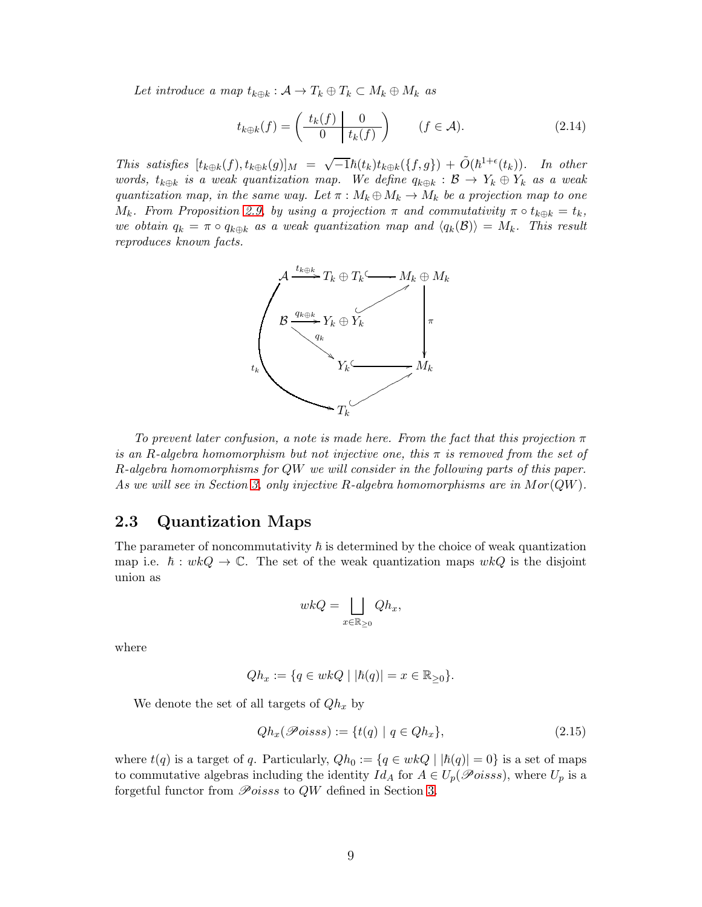Let introduce a map  $t_{k \oplus k} : A \to T_k \oplus T_k \subset M_k \oplus M_k$  as

$$
t_{k \oplus k}(f) = \left(\begin{array}{c|c} t_k(f) & 0\\ \hline 0 & t_k(f) \end{array}\right) \qquad (f \in \mathcal{A}). \tag{2.14}
$$

This satisfies  $[t_{k\oplus k}(f), t_{k\oplus k}(g)]_M = \sqrt{-1}\hbar(t_k)t_{k\oplus k}(\lbrace f, g \rbrace) + \tilde{O}(\hbar^{1+\epsilon}(t_k)).$  In other words,  $t_{k\oplus k}$  is a weak quantization map. We define  $q_{k\oplus k} : \mathcal{B} \to Y_k \oplus Y_k$  as a weak quantization map, in the same way. Let  $\pi : M_k \oplus M_k \to M_k$  be a projection map to one M<sub>k</sub>. From Proposition [2.9,](#page-7-0) by using a projection  $\pi$  and commutativity  $\pi \circ t_{k \oplus k} = t_k$ , we obtain  $q_k = \pi \circ q_{k \oplus k}$  as a weak quantization map and  $\langle q_k(\mathcal{B}) \rangle = M_k$ . This result reproduces known facts.



To prevent later confusion, a note is made here. From the fact that this projection  $\pi$ is an R-algebra homomorphism but not injective one, this  $\pi$  is removed from the set of R-algebra homomorphisms for QW we will consider in the following parts of this paper. As we will see in Section [3,](#page-10-0) only injective  $R$ -algebra homomorphisms are in  $Mor(QW)$ .

#### 2.3 Quantization Maps

The parameter of noncommutativity  $\hbar$  is determined by the choice of weak quantization map i.e.  $\hbar : wkQ \to \mathbb{C}$ . The set of the weak quantization maps  $wkQ$  is the disjoint union as

$$
wkQ = \bigsqcup_{x \in \mathbb{R}_{\geq 0}} Qh_x,
$$

where

$$
Qh_x := \{q \in wkQ \mid |\hbar(q)| = x \in \mathbb{R}_{\geq 0}\}.
$$

We denote the set of all targets of  $Qh_x$  by

$$
Qh_x(\mathscr{P}oiss) := \{t(q) \mid q \in Qh_x\},\tag{2.15}
$$

where  $t(q)$  is a target of q. Particularly,  $Qh_0 := \{q \in wkQ \mid |h(q)| = 0\}$  is a set of maps to commutative algebras including the identity  $Id_A$  for  $A \in U_p(\mathscr{P}oiss)$ , where  $U_p$  is a forgetful functor from  $\mathcal{P}oisss$  to  $QW$  defined in Section [3.](#page-10-0)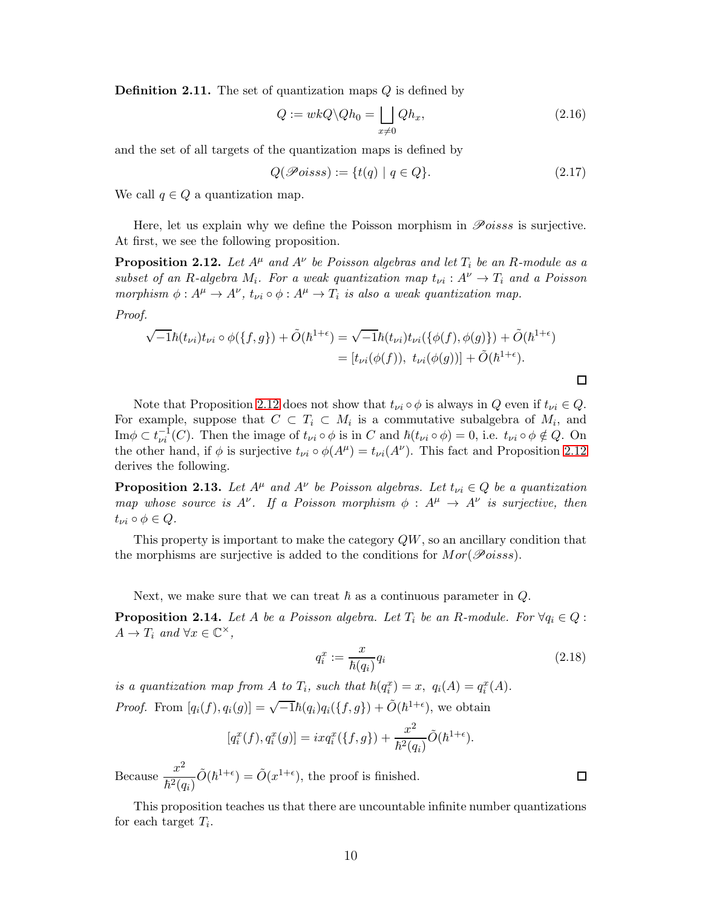**Definition 2.11.** The set of quantization maps  $Q$  is defined by

$$
Q := wkQ \backslash Qh_0 = \bigsqcup_{x \neq 0} Qh_x, \tag{2.16}
$$

and the set of all targets of the quantization maps is defined by

$$
Q(\mathcal{P}oisss) := \{t(q) \mid q \in Q\}.
$$
\n
$$
(2.17)
$$

We call  $q \in Q$  a quantization map.

Here, let us explain why we define the Poisson morphism in  $\mathscr{P}oiss$  is surjective. At first, we see the following proposition.

<span id="page-9-1"></span>**Proposition 2.12.** Let  $A^{\mu}$  and  $A^{\nu}$  be Poisson algebras and let  $T_i$  be an R-module as a subset of an R-algebra  $M_i$ . For a weak quantization map  $t_{\nu i}: A^{\nu} \to T_i$  and a Poisson morphism  $\phi: A^{\mu} \to A^{\nu}$ ,  $t_{\nu i} \circ \phi: A^{\mu} \to T_i$  is also a weak quantization map.

Proof.

$$
\sqrt{-1}\hbar(t_{\nu i})t_{\nu i}\circ\phi(\{f,g\})+\tilde{O}(\hbar^{1+\epsilon})=\sqrt{-1}\hbar(t_{\nu i})t_{\nu i}(\{\phi(f),\phi(g)\})+\tilde{O}(\hbar^{1+\epsilon})=[t_{\nu i}(\phi(f)), t_{\nu i}(\phi(g))] + \tilde{O}(\hbar^{1+\epsilon}).
$$

Note that Proposition [2.12](#page-9-1) does not show that  $t_{\nu i} \circ \phi$  is always in Q even if  $t_{\nu i} \in Q$ . For example, suppose that  $C \subset T_i \subset M_i$  is a commutative subalgebra of  $M_i$ , and  $\text{Im}\phi \subset t_{\nu i}^{-1}(C)$ . Then the image of  $t_{\nu i} \circ \phi$  is in C and  $\hbar (t_{\nu i} \circ \phi) = 0$ , i.e.  $t_{\nu i} \circ \phi \notin Q$ . On the other hand, if  $\phi$  is surjective  $t_{\nu i} \circ \phi(A^{\mu}) = t_{\nu i}(A^{\nu})$ . This fact and Proposition [2.12](#page-9-1) derives the following.

<span id="page-9-2"></span>**Proposition 2.13.** Let  $A^{\mu}$  and  $A^{\nu}$  be Poisson algebras. Let  $t_{\nu i} \in Q$  be a quantization map whose source is  $A^{\nu}$ . If a Poisson morphism  $\phi : A^{\mu} \to A^{\nu}$  is surjective, then  $t_{\nu i} \circ \phi \in Q.$ 

This property is important to make the category  $QW$ , so an ancillary condition that the morphisms are surjective is added to the conditions for  $Mor(\mathcal{P}oiss)$ .

Next, we make sure that we can treat  $\hbar$  as a continuous parameter in  $Q$ .

<span id="page-9-0"></span>**Proposition 2.14.** Let A be a Poisson algebra. Let  $T_i$  be an R-module. For  $\forall q_i \in Q$ :  $A \to T_i$  and  $\forall x \in \mathbb{C}^\times$ ,

$$
q_i^x := \frac{x}{\hbar(q_i)} q_i \tag{2.18}
$$

is a quantization map from A to  $T_i$ , such that  $\hbar(q_i^x) = x$ ,  $q_i(A) = q_i^x(A)$ . *Proof.* From  $[q_i(f), q_i(g)] = \sqrt{-1}\hbar(q_i)q_i({f, g}) + \tilde{O}(\hbar^{1+\epsilon}),$  we obtain

$$
[q_i^x(f), q_i^x(g)] = ixq_i^x(\{f, g\}) + \frac{x^2}{\hbar^2(q_i)} \tilde{O}(\hbar^{1+\epsilon}).
$$

Because  $\frac{x^2}{t^2}$  $\hbar^2(q_i)$  $\tilde{O}(\hbar^{1+\epsilon}) = \tilde{O}(x^{1+\epsilon}),$  the proof is finished.

This proposition teaches us that there are uncountable infinite number quantizations for each target  $T_i$ .

 $\Box$ 

 $\Box$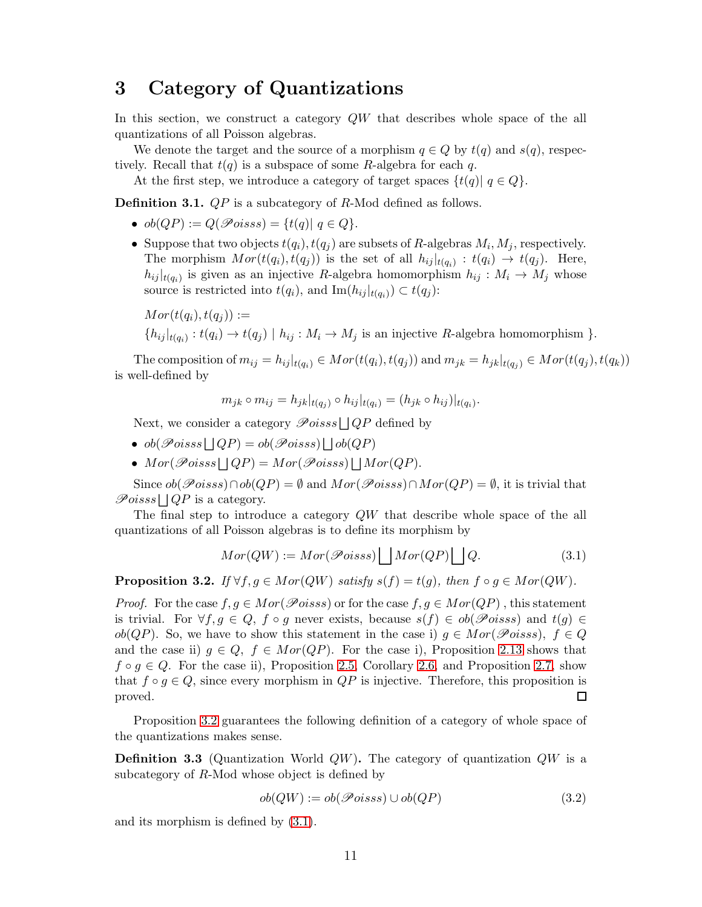## <span id="page-10-0"></span>3 Category of Quantizations

In this section, we construct a category  $QW$  that describes whole space of the all quantizations of all Poisson algebras.

We denote the target and the source of a morphism  $q \in Q$  by  $t(q)$  and  $s(q)$ , respectively. Recall that  $t(q)$  is a subspace of some R-algebra for each q.

At the first step, we introduce a category of target spaces  $\{t(q) | q \in Q\}$ .

Definition 3.1. *QP* is a subcategory of R-Mod defined as follows.

- $ob(QP) := Q(\mathscr{P}oiss) = \{t(q) | q \in Q\}.$
- Suppose that two objects  $t(q_i), t(q_j)$  are subsets of R-algebras  $M_i, M_j$ , respectively. The morphism  $Mor(t(q_i), t(q_j))$  is the set of all  $h_{ij}|_{t(q_i)} : t(q_i) \rightarrow t(q_j)$ . Here,  $h_{ij}|_{t(q_i)}$  is given as an injective R-algebra homomorphism  $h_{ij}: M_i \to M_j$  whose source is restricted into  $t(q_i)$ , and  $\text{Im}(h_{ij}|_{t(q_i)}) \subset t(q_j)$ :

$$
Mor(t(q_i), t(q_j)) :=
$$
  
\n
$$
\{h_{ij}|_{t(q_i)} : t(q_i) \to t(q_j) \mid h_{ij} : M_i \to M_j \text{ is an injective } R\text{-algebra homomorphism } \}.
$$

The composition of  $m_{ij} = h_{ij}|_{t(q_i)} \in Mor(t(q_i), t(q_j))$  and  $m_{jk} = h_{jk}|_{t(q_j)} \in Mor(t(q_j), t(q_k))$ is well-defined by

$$
m_{jk} \circ m_{ij} = h_{jk}|_{t(q_j)} \circ h_{ij}|_{t(q_i)} = (h_{jk} \circ h_{ij})|_{t(q_i)}.
$$

Next, we consider a category  $\mathscr Poiss \cup QP$  defined by

- $\bullet \; ob(\mathscr Poisss \sqcup QP) = ob(\mathscr Poisss) \sqcup ob(QP)$
- $Mor(\mathscr{P}oiss \sqcup QP) = Mor(\mathscr{P}oiss) \sqcup Mor(QP).$

Since  $ob(\mathscr{P}oiss) \cap ob(QP) = \emptyset$  and  $Mor(\mathscr{P}oiss) \cap Mor(QP) = \emptyset$ , it is trivial that  $\mathscr Poisss \bigsqcup QP$  is a category.

The final step to introduce a category  $QW$  that describe whole space of the all quantizations of all Poisson algebras is to define its morphism by

<span id="page-10-2"></span>
$$
Mor(QW) := Mor(\mathcal{P}oiss) \bigsqcup Mor(QP) \bigsqcup Q. \tag{3.1}
$$

<span id="page-10-1"></span>**Proposition 3.2.** If  $\forall f, g \in Mor(QW)$  satisfy  $s(f) = t(g)$ , then  $f \circ g \in Mor(QW)$ .

*Proof.* For the case  $f, g \in Mor(\mathcal{P}oiss)$  or for the case  $f, g \in Mor(QP)$ , this statement is trivial. For  $\forall f, g \in Q, f \circ g$  never exists, because  $s(f) \in ob(\mathscr Poisss)$  and  $t(g) \in$  $ob(QP)$ . So, we have to show this statement in the case i)  $q \in Mor(\mathcal{P}oiss)$ ,  $f \in Q$ and the case ii)  $q \in Q$ ,  $f \in Mor(QP)$ . For the case i), Proposition [2.13](#page-9-2) shows that  $f \circ g \in Q$ . For the case ii), Proposition [2.5,](#page-5-2) Corollary [2.6,](#page-5-3) and Proposition [2.7,](#page-6-1) show that  $f \circ g \in Q$ , since every morphism in  $QP$  is injective. Therefore, this proposition is proved. proved.

Proposition [3.2](#page-10-1) guarantees the following definition of a category of whole space of the quantizations makes sense.

**Definition 3.3** (Quantization World  $QW$ ). The category of quantization  $QW$  is a subcategory of R-Mod whose object is defined by

$$
ob(QW) := ob(\mathcal{P}oiss) \cup ob(QP) \tag{3.2}
$$

and its morphism is defined by [\(3.1\)](#page-10-2).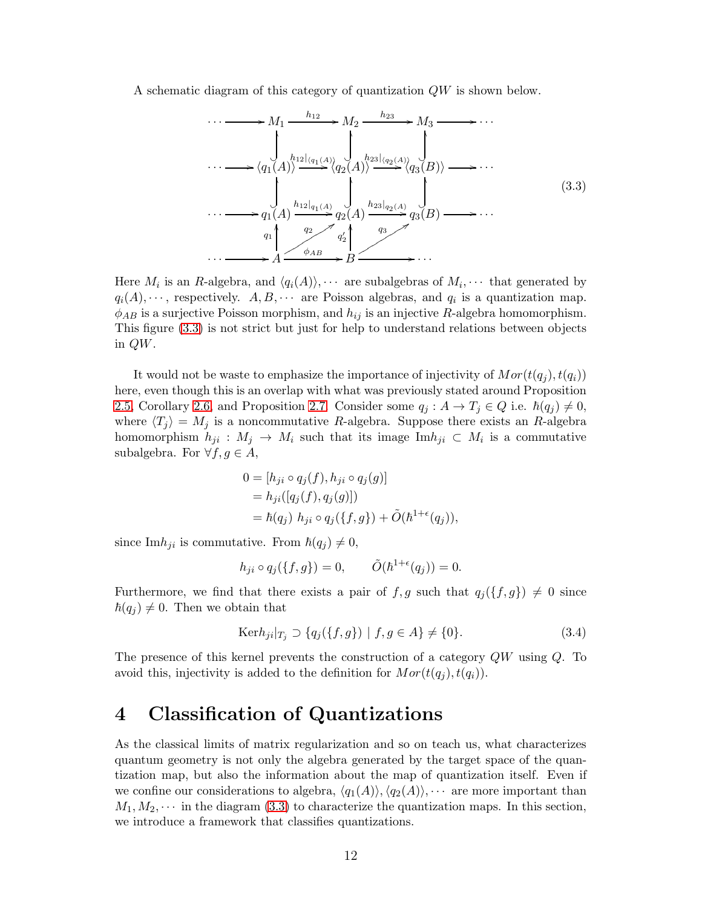A schematic diagram of this category of quantization QW is shown below.

<span id="page-11-1"></span>
$$
\cdots \longrightarrow M_1 \xrightarrow{h_{12}} M_2 \xrightarrow{h_{23}} M_3 \longrightarrow \cdots
$$
  
\n
$$
\cdots \longrightarrow \langle q_1(A) \rangle \xrightarrow{h_{12} |_{\langle q_1(A) \rangle}} \langle q_2(A) \rangle \xrightarrow{h_{23} |_{\langle q_2(A) \rangle}} \langle q_3(B) \rangle \longrightarrow \cdots
$$
  
\n
$$
\cdots \longrightarrow q_1(A) \xrightarrow{h_{12} |_{q_1(A)}} q_2(A) \xrightarrow{h_{23} |_{q_2(A)}} q_3(B) \longrightarrow \cdots
$$
  
\n
$$
\cdots \longrightarrow q_1 \qquad \qquad q_2 \qquad \qquad q_2' \qquad \qquad q_3' \qquad \qquad (3.3)
$$
  
\n
$$
\cdots \longrightarrow A \xrightarrow{q_2} q_2' \qquad \qquad q_3' \qquad \qquad (3.4)
$$

Here  $M_i$  is an R-algebra, and  $\langle q_i(A) \rangle$ ,  $\cdots$  are subalgebras of  $M_i$ ,  $\cdots$  that generated by  $q_i(A), \dots$ , respectively.  $A, B, \dots$  are Poisson algebras, and  $q_i$  is a quantization map.  $\phi_{AB}$  is a surjective Poisson morphism, and  $h_{ij}$  is an injective R-algebra homomorphism. This figure [\(3.3\)](#page-11-1) is not strict but just for help to understand relations between objects in QW.

It would not be waste to emphasize the importance of injectivity of  $Mor(t(q_i), t(q_i))$ here, even though this is an overlap with what was previously stated around Proposition [2.5,](#page-5-2) Corollary [2.6,](#page-5-3) and Proposition [2.7.](#page-6-1) Consider some  $q_j : A \to T_j \in Q$  i.e.  $\hbar(q_j) \neq 0$ , where  $\langle T_j \rangle = M_j$  is a noncommutative R-algebra. Suppose there exists an R-algebra homomorphism  $h_{ji}$ :  $M_j \to M_i$  such that its image Im $h_{ji} \subset M_i$  is a commutative subalgebra. For  $\forall f, g \in A$ ,

$$
0 = [h_{ji} \circ q_j(f), h_{ji} \circ q_j(g)]
$$
  
=  $h_{ji}([q_j(f), q_j(g)])$   
=  $\hbar(q_j) h_{ji} \circ q_j(\lbrace f, g \rbrace) + \tilde{O}(\hbar^{1+\epsilon}(q_j)),$ 

since Im $h_{ji}$  is commutative. From  $\hbar(q_i) \neq 0$ ,

$$
h_{ji} \circ q_j(\lbrace f, g \rbrace) = 0, \qquad \tilde{O}(\hbar^{1+\epsilon}(q_j)) = 0.
$$

Furthermore, we find that there exists a pair of f, g such that  $q_i({f, g}) \neq 0$  since  $\hbar(q_i) \neq 0$ . Then we obtain that

$$
Ker h_{ji}|_{T_j} \supset \{q_j(\{f,g\}) \mid f, g \in A\} \neq \{0\}.
$$
 (3.4)

The presence of this kernel prevents the construction of a category QW using Q. To avoid this, injectivity is added to the definition for  $Mor(t(q_i), t(q_i))$ .

## <span id="page-11-0"></span>4 Classification of Quantizations

As the classical limits of matrix regularization and so on teach us, what characterizes quantum geometry is not only the algebra generated by the target space of the quantization map, but also the information about the map of quantization itself. Even if we confine our considerations to algebra,  $\langle q_1(A) \rangle$ ,  $\langle q_2(A) \rangle$ ,  $\cdots$  are more important than  $M_1, M_2, \cdots$  in the diagram [\(3.3\)](#page-11-1) to characterize the quantization maps. In this section, we introduce a framework that classifies quantizations.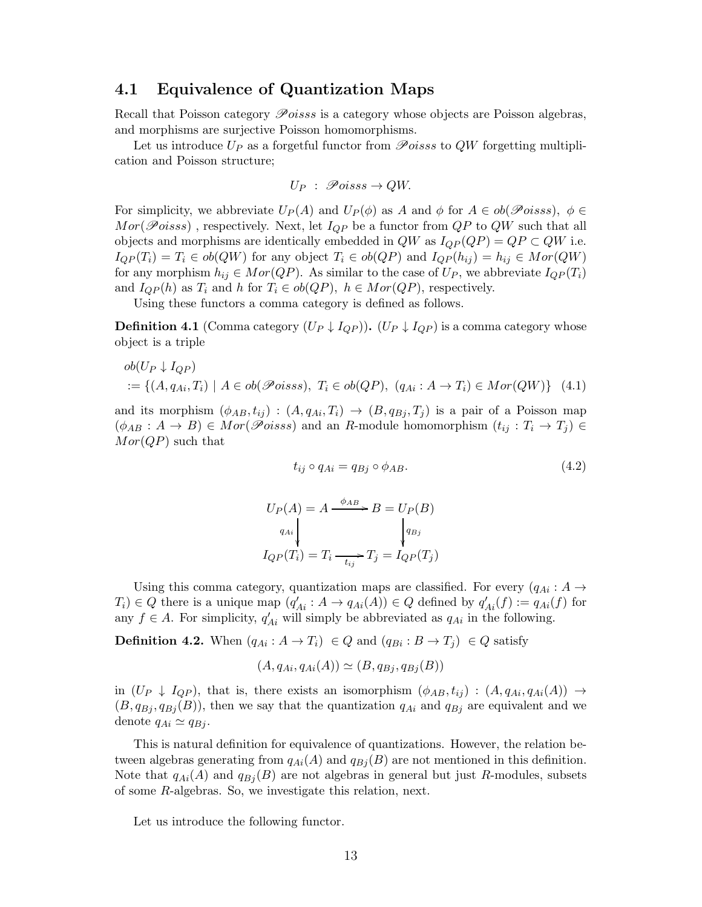#### 4.1 Equivalence of Quantization Maps

Recall that Poisson category Poisss is a category whose objects are Poisson algebras, and morphisms are surjective Poisson homomorphisms.

Let us introduce  $U_P$  as a forgetful functor from  $\mathscr Poiss$  to QW forgetting multiplication and Poisson structure;

$$
U_P \; : \; \mathscr Poisss \to QW.
$$

For simplicity, we abbreviate  $U_P(A)$  and  $U_P(\phi)$  as A and  $\phi$  for  $A \in ob(\mathscr{P}oiss)$ ,  $\phi \in$  $Mor(\mathcal{P}oiss)$ , respectively. Next, let  $I_{QP}$  be a functor from  $QP$  to  $QW$  such that all objects and morphisms are identically embedded in  $QW$  as  $I_{QP}(QP) = QP \subset QW$  i.e.  $I_{QP}(T_i) = T_i \in ob(QW)$  for any object  $T_i \in ob(QP)$  and  $I_{QP}(h_{ij}) = h_{ij} \in Mor(QW)$ for any morphism  $h_{ij} \in Mor(QP)$ . As similar to the case of  $U_P$ , we abbreviate  $I_{QP}(T_i)$ and  $I_{QP}(h)$  as  $T_i$  and h for  $T_i \in ob(QP)$ ,  $h \in Mor(QP)$ , respectively.

Using these functors a comma category is defined as follows.

**Definition 4.1** (Comma category  $(U_P \downarrow I_{QP})$ ).  $(U_P \downarrow I_{QP})$  is a comma category whose object is a triple

$$
ob(U_P \downarrow I_{QP})
$$
  
 := { $(A, q_{Ai}, T_i) | A \in ob(\mathcal{P}oisss), T_i \in ob(QP), (q_{Ai} : A \to T_i) \in Mor(QW)$ } (4.1)

and its morphism  $(\phi_{AB}, t_{ij}) : (A, q_{Ai}, T_i) \rightarrow (B, q_{Bi}, T_j)$  is a pair of a Poisson map  $(\phi_{AB}: A \rightarrow B) \in Mor(\mathscr Poisss)$  and an R-module homomorphism  $(t_{ij}: T_i \rightarrow T_j) \in$  $Mor(QP)$  such that

<span id="page-12-0"></span>
$$
t_{ij} \circ q_{Ai} = q_{Bj} \circ \phi_{AB}.
$$
\n
$$
(4.2)
$$

$$
U_P(A) = A \xrightarrow{\phi_{AB}} B = U_P(B)
$$
  
\n
$$
U_{q_{Ai}} \downarrow \qquad \qquad \downarrow \qquad \downarrow \qquad \downarrow \qquad \downarrow \qquad \downarrow \qquad \downarrow \qquad \downarrow \qquad \downarrow \qquad \downarrow \qquad \downarrow \qquad \downarrow \qquad \downarrow \qquad \downarrow \qquad \downarrow \qquad \downarrow \qquad \downarrow \qquad \downarrow \qquad \downarrow \qquad \downarrow \qquad \downarrow \qquad \downarrow \qquad \downarrow \qquad \downarrow \qquad \downarrow \qquad \downarrow \qquad \downarrow \qquad \downarrow \qquad \downarrow \qquad \downarrow \qquad \downarrow \qquad \downarrow \qquad \downarrow \qquad \downarrow \qquad \downarrow \qquad \downarrow \qquad \downarrow \qquad \downarrow \qquad \downarrow \qquad \downarrow \qquad \downarrow \qquad \downarrow \qquad \downarrow \qquad \downarrow \qquad \downarrow \qquad \downarrow \qquad \downarrow \qquad \downarrow \qquad \downarrow \qquad \downarrow \qquad \downarrow \qquad \downarrow \qquad \downarrow \qquad \downarrow \qquad \downarrow \qquad \downarrow \qquad \downarrow \qquad \downarrow \qquad \downarrow \qquad \downarrow \qquad \downarrow \qquad \downarrow \qquad \downarrow \qquad \downarrow \qquad \downarrow \qquad \downarrow \qquad \downarrow \qquad \downarrow \qquad \downarrow \qquad \downarrow \qquad \downarrow \qquad \downarrow \qquad \downarrow \qquad \downarrow \qquad \downarrow \qquad \downarrow \qquad \downarrow \qquad \downarrow \qquad \downarrow \qquad \downarrow \qquad \downarrow \qquad \downarrow \qquad \downarrow \qquad \downarrow \qquad \downarrow \qquad \downarrow \qquad \downarrow \qquad \downarrow \qquad \downarrow \qquad \downarrow \qquad \downarrow \qquad \downarrow \qquad \downarrow \qquad \downarrow \qquad \downarrow \qquad \downarrow \qquad \downarrow \qquad \downarrow \qquad \downarrow \qquad \downarrow \qquad \downarrow \qquad \downarrow \qquad \downarrow \qquad \downarrow \qquad \downarrow \qquad \downarrow \qquad \downarrow \qquad \downarrow \qquad \downarrow \qquad \downarrow \qquad \downarrow \qquad \downarrow \qquad \downarrow \qquad \downarrow \qquad \downarrow \qquad \downarrow \qquad \downarrow \qquad \downarrow \qquad \downarrow \qquad \downarrow \q
$$

Using this comma category, quantization maps are classified. For every  $(q_{Ai}: A \rightarrow$  $T_i$ )  $\in Q$  there is a unique map  $(q'_{Ai}: A \rightarrow q_{Ai}(A)) \in Q$  defined by  $q'_{Ai}(f) := q_{Ai}(f)$  for any  $f \in A$ . For simplicity,  $q'_{Ai}$  will simply be abbreviated as  $q_{Ai}$  in the following.

**Definition 4.2.** When  $(q_{Ai}: A \rightarrow T_i) \in Q$  and  $(q_{Bi}: B \rightarrow T_j) \in Q$  satisfy

$$
(A, q_{Ai}, q_{Ai}(A)) \simeq (B, q_{Bj}, q_{Bj}(B))
$$

in  $(U_P \downarrow I_{QP})$ , that is, there exists an isomorphism  $(\phi_{AB}, t_{ij}) : (A, q_{Ai}, q_{Ai}(A)) \rightarrow$  $(B, q_{Bj}, q_{Bj}(B))$ , then we say that the quantization  $q_{Ai}$  and  $q_{Bj}$  are equivalent and we denote  $q_{Ai} \simeq q_{Bj}$ .

This is natural definition for equivalence of quantizations. However, the relation between algebras generating from  $q_{Ai}(A)$  and  $q_{Bi}(B)$  are not mentioned in this definition. Note that  $q_{Ai}(A)$  and  $q_{Bi}(B)$  are not algebras in general but just R-modules, subsets of some R-algebras. So, we investigate this relation, next.

Let us introduce the following functor.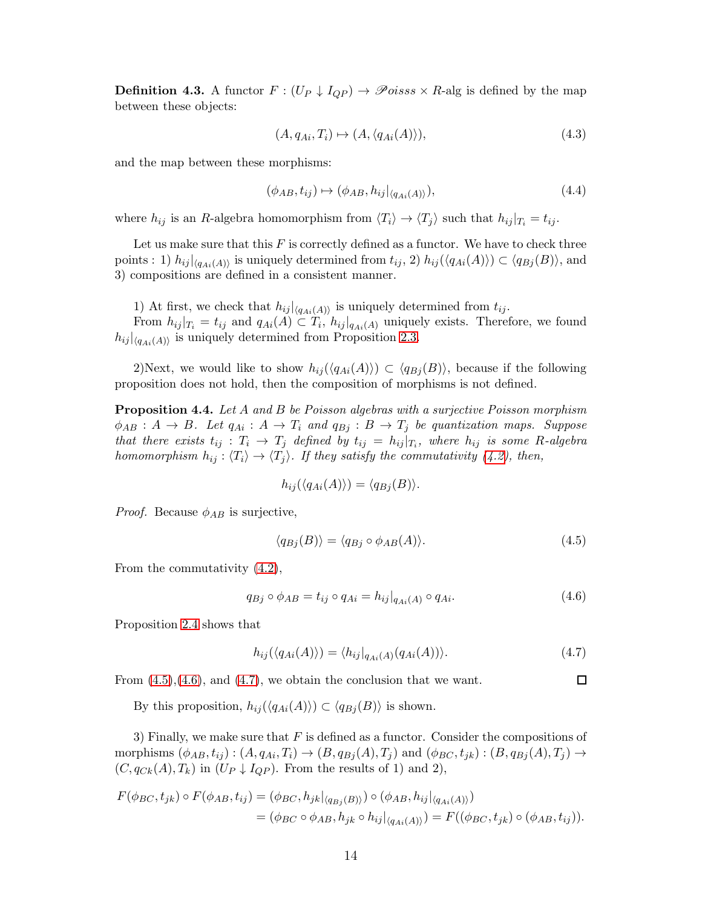**Definition 4.3.** A functor  $F : (U_P \downarrow I_{QP}) \rightarrow \mathscr{P}oiss \times R$ -alg is defined by the map between these objects:

$$
(A, q_{Ai}, T_i) \mapsto (A, \langle q_{Ai}(A) \rangle), \tag{4.3}
$$

and the map between these morphisms:

$$
(\phi_{AB}, t_{ij}) \mapsto (\phi_{AB}, h_{ij}|_{\langle q_{Ai}(A) \rangle}), \tag{4.4}
$$

where  $h_{ij}$  is an R-algebra homomorphism from  $\langle T_i \rangle \to \langle T_j \rangle$  such that  $h_{ij} |_{T_i} = t_{ij}$ .

Let us make sure that this  $F$  is correctly defined as a functor. We have to check three points : 1)  $h_{ij}|_{\langle q_{Ai}(A) \rangle}$  is uniquely determined from  $t_{ij}$ , 2)  $h_{ij}(\langle q_{Ai}(A) \rangle) \subset \langle q_{Bj}(B) \rangle$ , and 3) compositions are defined in a consistent manner.

1) At first, we check that  $h_{ij}|_{\langle q_{Ai}(A) \rangle}$  is uniquely determined from  $t_{ij}$ . From  $h_{ij}|_{T_i} = t_{ij}$  and  $q_{Ai}(A) \subset T_i$ ,  $h_{ij}|_{q_{Ai}(A)}$  uniquely exists. Therefore, we found  $h_{ij}|_{\langle q_{Ai}(A) \rangle}$  is uniquely determined from Proposition [2.3.](#page-4-0)

2)Next, we would like to show  $h_{ij}(\langle q_{Ai}(A) \rangle) \subset \langle q_{Bj}(B) \rangle$ , because if the following proposition does not hold, then the composition of morphisms is not defined.

**Proposition 4.4.** Let A and B be Poisson algebras with a surjective Poisson morphism  $\phi_{AB}: A \to B$ . Let  $q_{Ai}: A \to T_i$  and  $q_{Bj}: B \to T_j$  be quantization maps. Suppose that there exists  $t_{ij}: T_i \to T_j$  defined by  $t_{ij} = h_{ij}|_{T_i}$ , where  $h_{ij}$  is some R-algebra homomorphism  $h_{ij} : \langle T_i \rangle \to \langle T_j \rangle$ . If they satisfy the commutativity [\(4.2\)](#page-12-0), then,

$$
h_{ij}(\langle q_{Ai}(A)\rangle) = \langle q_{Bj}(B)\rangle.
$$

*Proof.* Because  $\phi_{AB}$  is surjective,

$$
\langle q_{Bj}(B) \rangle = \langle q_{Bj} \circ \phi_{AB}(A) \rangle. \tag{4.5}
$$

From the commutativity [\(4.2\)](#page-12-0),

$$
q_{Bj} \circ \phi_{AB} = t_{ij} \circ q_{Ai} = h_{ij}|_{q_{Ai}(A)} \circ q_{Ai}.
$$
\n
$$
(4.6)
$$

Proposition [2.4](#page-4-1) shows that

$$
h_{ij}(\langle q_{Ai}(A) \rangle) = \langle h_{ij}|_{q_{Ai}(A)}(q_{Ai}(A)) \rangle.
$$
\n(4.7)

<span id="page-13-2"></span><span id="page-13-1"></span><span id="page-13-0"></span> $\Box$ 

From  $(4.5)$ ,  $(4.6)$ , and  $(4.7)$ , we obtain the conclusion that we want.

By this proposition,  $h_{ij}(\langle q_{Ai}(A) \rangle) \subset \langle q_{Bj}(B) \rangle$  is shown.

3) Finally, we make sure that  $F$  is defined as a functor. Consider the compositions of morphisms  $(\phi_{AB}, t_{ij})$ :  $(A, q_{Ai}, T_i) \rightarrow (B, q_{Bj}(A), T_j)$  and  $(\phi_{BC}, t_{jk})$ :  $(B, q_{Bj}(A), T_j) \rightarrow$  $(C, q_{Ck}(A), T_k)$  in  $(U_P \downarrow I_{QP})$ . From the results of 1) and 2),

$$
F(\phi_{BC}, t_{jk}) \circ F(\phi_{AB}, t_{ij}) = (\phi_{BC}, h_{jk}|_{\langle q_{Bj}(B) \rangle}) \circ (\phi_{AB}, h_{ij}|_{\langle q_{Ai}(A) \rangle})
$$
  
= 
$$
(\phi_{BC} \circ \phi_{AB}, h_{jk} \circ h_{ij}|_{\langle q_{Ai}(A) \rangle}) = F((\phi_{BC}, t_{jk}) \circ (\phi_{AB}, t_{ij})).
$$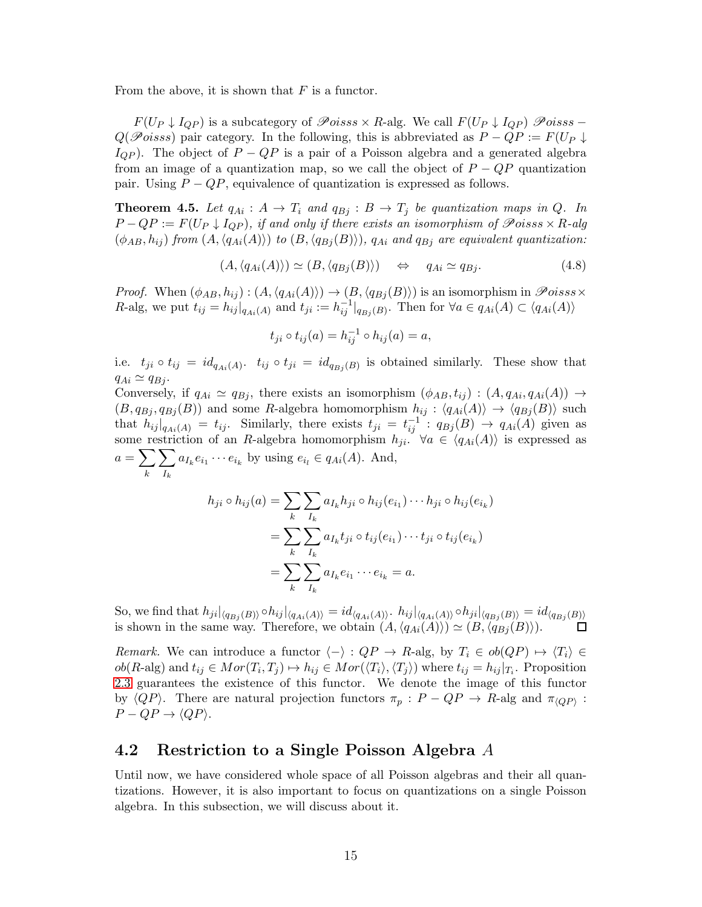From the above, it is shown that  $F$  is a functor.

 $F(U_P \downarrow I_{QP})$  is a subcategory of  $\mathscr Poiss \times R$ -alg. We call  $F(U_P \downarrow I_{QP})$   $\mathscr Poiss Q(\mathscr{P}oiss)$  pair category. In the following, this is abbreviated as  $P - QP := F(U_P \downarrow$  $I_{QP}$ ). The object of  $P - QP$  is a pair of a Poisson algebra and a generated algebra from an image of a quantization map, so we call the object of  $P - QP$  quantization pair. Using  $P - QP$ , equivalence of quantization is expressed as follows.

<span id="page-14-0"></span>**Theorem 4.5.** Let  $q_{Ai}: A \rightarrow T_i$  and  $q_{Bi}: B \rightarrow T_j$  be quantization maps in Q. In  $P-QP := F(U_P \downarrow I_{QP})$ , if and only if there exists an isomorphism of  $\mathscr{P}oiss \times R$ -alg  $(\phi_{AB}, h_{ij})$  from  $(A, \langle q_{Ai}(A) \rangle)$  to  $(B, \langle q_{Bi}(B) \rangle)$ ,  $q_{Ai}$  and  $q_{Bi}$  are equivalent quantization:

$$
(A, \langle q_{Ai}(A) \rangle) \simeq (B, \langle q_{Bj}(B) \rangle) \quad \Leftrightarrow \quad q_{Ai} \simeq q_{Bj}.
$$
 (4.8)

*Proof.* When  $(\phi_{AB}, h_{ij}) : (A, \langle q_{Ai}(A) \rangle) \rightarrow (B, \langle q_{Bj}(B) \rangle)$  is an isomorphism in  $\mathscr{P}oiss \times$ R-alg, we put  $t_{ij} = h_{ij}|_{q_{Ai}(A)}$  and  $t_{ji} := h_{ij}^{-1}|_{q_{Bj}(B)}$ . Then for  $\forall a \in q_{Ai}(A) \subset \langle q_{Ai}(A) \rangle$ 

$$
t_{ji} \circ t_{ij}(a) = h_{ij}^{-1} \circ h_{ij}(a) = a,
$$

i.e.  $t_{ji} \circ t_{ij} = id_{q_{Ai}(A)}$ .  $t_{ij} \circ t_{ji} = id_{q_{Bj}(B)}$  is obtained similarly. These show that  $q_{Ai} \simeq q_{Bi}$ .

Conversely, if  $q_{Ai} \simeq q_{Bj}$ , there exists an isomorphism  $(\phi_{AB}, t_{ij}) : (A, q_{Ai}, q_{Ai}(A)) \rightarrow$  $(B, q_{Bj}, q_{Bj}(B))$  and some R-algebra homomorphism  $h_{ij} : \langle q_{Ai}(A) \rangle \rightarrow \langle q_{Bj}(B) \rangle$  such that  $h_{ij}|_{q_{Ai}(A)} = t_{ij}$ . Similarly, there exists  $t_{ji} = t_{ij}^{-1}$ :  $q_{Bj}(B) \rightarrow q_{Ai}(A)$  given as some restriction of an R-algebra homomorphism  $h_{ji}$ .  $\forall a \in \langle q_{Ai}(A) \rangle$  is expressed as  $a=\sum$ k  $\sum$  $I_k$  $a_{I_k}e_{i_1}\cdots e_{i_k}$  by using  $e_{i_l}\in q_{Ai}(A)$ . And,

$$
h_{ji} \circ h_{ij}(a) = \sum_{k} \sum_{I_k} a_{I_k} h_{ji} \circ h_{ij}(e_{i_1}) \cdots h_{ji} \circ h_{ij}(e_{i_k})
$$
  
= 
$$
\sum_{k} \sum_{I_k} a_{I_k} t_{ji} \circ t_{ij}(e_{i_1}) \cdots t_{ji} \circ t_{ij}(e_{i_k})
$$
  
= 
$$
\sum_{k} \sum_{I_k} a_{I_k} e_{i_1} \cdots e_{i_k} = a.
$$

So, we find that  $h_{ji}|_{\langle q_{Bj}(B)\rangle} \circ h_{ij}|_{\langle q_{Ai}(A)\rangle} = id_{\langle q_{Ai}(A)\rangle} \circ h_{ij}|_{\langle q_{Ai}(A)\rangle} \circ h_{ji}|_{\langle q_{Bj}(B)\rangle} = id_{\langle q_{Bj}(B)\rangle}$ is shown in the same way. Therefore, we obtain  $(A, \langle q_{Ai}(A) \rangle) \simeq (B, \langle q_{Bj}(B) \rangle)$ .

Remark. We can introduce a functor  $\langle - \rangle : QP \to R$ -alg, by  $T_i \in ob(QP) \to \langle T_i \rangle \in$  $ob(R\text{-alg})$  and  $t_{ij} \in Mor(T_i, T_j) \mapsto h_{ij} \in Mor(\langle T_i \rangle, \langle T_j \rangle)$  where  $t_{ij} = h_{ij}|_{T_i}$ . Proposition [2.3](#page-4-0) guarantees the existence of this functor. We denote the image of this functor by  $\langle QP \rangle$ . There are natural projection functors  $\pi_p : P - QP \to R$ -alg and  $\pi_{\langle QP \rangle}$ :  $P - QP \rightarrow \langle QP \rangle$ .

#### 4.2 Restriction to a Single Poisson Algebra A

Until now, we have considered whole space of all Poisson algebras and their all quantizations. However, it is also important to focus on quantizations on a single Poisson algebra. In this subsection, we will discuss about it.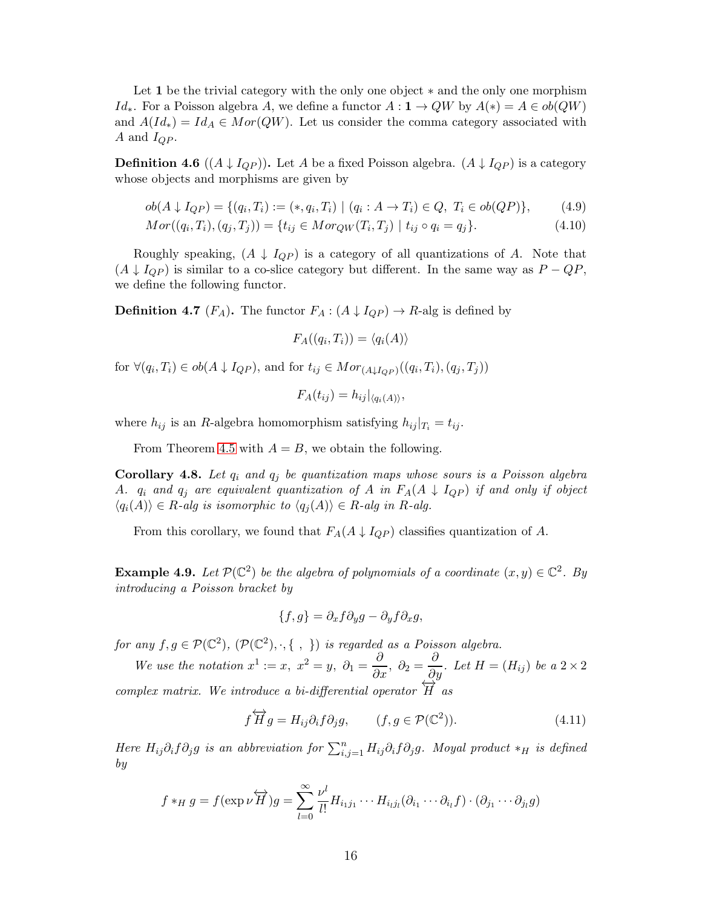Let 1 be the trivial category with the only one object ∗ and the only one morphism  $Id_*$ . For a Poisson algebra A, we define a functor  $A: \mathbf{1} \to QW$  by  $A(*) = A \in ob(QW)$ and  $A(Id_*) = Id_A \in Mor(QW)$ . Let us consider the comma category associated with A and  $I_{QP}$ .

**Definition 4.6**  $((A \downarrow I_{QP}))$ . Let A be a fixed Poisson algebra.  $(A \downarrow I_{QP})$  is a category whose objects and morphisms are given by

$$
ob(A \downarrow I_{QP}) = \{ (q_i, T_i) := (*, q_i, T_i) \mid (q_i : A \to T_i) \in Q, T_i \in ob(QP) \},
$$
 (4.9)

$$
Mor((q_i, T_i), (q_j, T_j)) = \{ t_{ij} \in Mor_{QW}(T_i, T_j) \mid t_{ij} \circ q_i = q_j \}.
$$
\n(4.10)

Roughly speaking,  $(A \downarrow I_{QP})$  is a category of all quantizations of A. Note that  $(A \downarrow I_{QP})$  is similar to a co-slice category but different. In the same way as  $P - QP$ , we define the following functor.

**Definition 4.7** ( $F_A$ ). The functor  $F_A$ :  $(A \downarrow I_{QP}) \rightarrow R$ -alg is defined by

$$
F_A((q_i,T_i))=\langle q_i(A)\rangle
$$

for  $\forall (q_i, T_i) \in ob(A \downarrow I_{QP})$ , and for  $t_{ij} \in Mor_{(A \downarrow I_{QP})}((q_i, T_i), (q_j, T_j))$ 

$$
F_A(t_{ij})=h_{ij}|_{\langle q_i(A)\rangle},
$$

where  $h_{ij}$  is an R-algebra homomorphism satisfying  $h_{ij}|_{T_i} = t_{ij}$ .

From Theorem [4.5](#page-14-0) with  $A = B$ , we obtain the following.

<span id="page-15-0"></span>**Corollary 4.8.** Let  $q_i$  and  $q_j$  be quantization maps whose sours is a Poisson algebra A.  $q_i$  and  $q_j$  are equivalent quantization of A in  $F_A(A \downarrow I_{QP})$  if and only if object  $\langle q_i(A) \rangle \in R$ -alg is isomorphic to  $\langle q_j(A) \rangle \in R$ -alg in R-alg.

From this corollary, we found that  $F_A(A \downarrow I_{QP})$  classifies quantization of A.

<span id="page-15-1"></span>**Example 4.9.** Let  $\mathcal{P}(\mathbb{C}^2)$  be the algebra of polynomials of a coordinate  $(x, y) \in \mathbb{C}^2$ . By introducing a Poisson bracket by

$$
\{f,g\}=\partial_x f \partial_y g - \partial_y f \partial_x g,
$$

for any  $f, g \in \mathcal{P}(\mathbb{C}^2), (\mathcal{P}(\mathbb{C}^2), \cdot, \{\ ,\ \})$  is regarded as a Poisson algebra.

We use the notation  $x^1 := x$ ,  $x^2 = y$ ,  $\partial_1 = \frac{\partial}{\partial x}$ ,  $\partial_2 = \frac{\partial}{\partial y}$ . Let  $H = (H_{ij})$  be a  $2 \times 2$ complex matrix. We introduce a bi-differential operator  $\overleftrightarrow{H}$  as

$$
f\overleftrightarrow{H}g = H_{ij}\partial_i f \partial_j g, \qquad (f, g \in \mathcal{P}(\mathbb{C}^2)). \tag{4.11}
$$

Here  $H_{ij}\partial_i f \partial_j g$  is an abbreviation for  $\sum_{i,j=1}^n H_{ij}\partial_i f \partial_j g$ . Moyal product  $*_H$  is defined by

$$
f *_{H} g = f(\exp \nu \overleftrightarrow{H})g = \sum_{l=0}^{\infty} \frac{\nu^{l}}{l!} H_{i_{1}j_{1}} \cdots H_{i_{l}j_{l}} (\partial_{i_{1}} \cdots \partial_{i_{l}} f) \cdot (\partial_{j_{1}} \cdots \partial_{j_{l}} g)
$$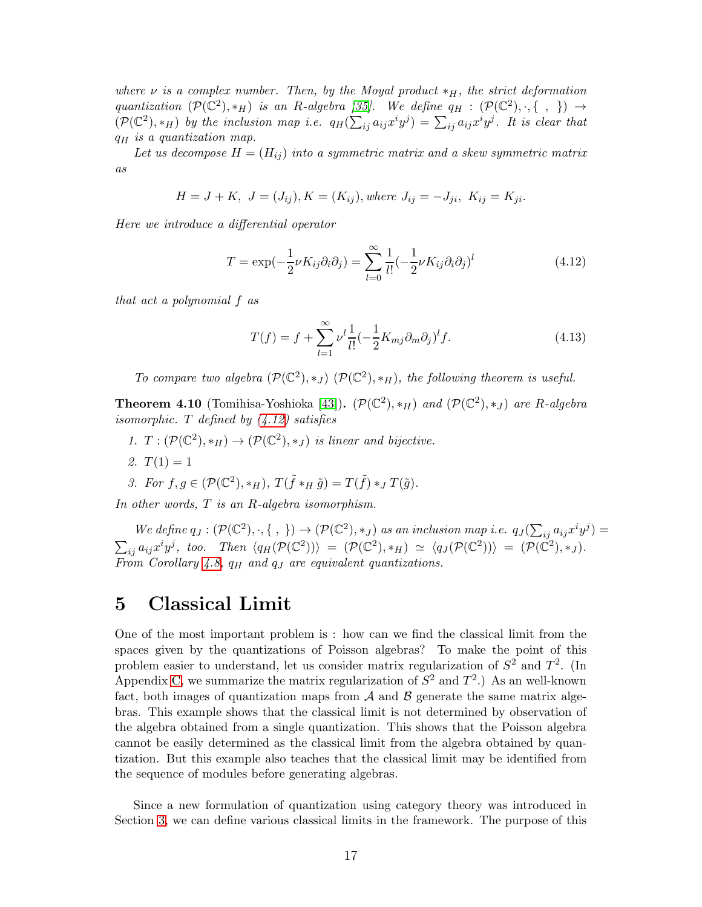where  $\nu$  is a complex number. Then, by the Moyal product  $*_{H}$ , the strict deformation quantization  $(\mathcal{P}(\mathbb{C}^2), *_H)$  is an R-algebra [\[35\]](#page-38-12). We define  $q_H : (\mathcal{P}(\mathbb{C}^2), \cdot, \{\ ,\ \}) \rightarrow$  $(\mathcal{P}(\mathbb{C}^2), *_H)$  by the inclusion map i.e.  $q_H(\sum_{ij} a_{ij} x^i y^j) = \sum_{ij} a_{ij} x^i y^j$ . It is clear that  $q_H$  is a quantization map.

Let us decompose  $H = (H_{ij})$  into a symmetric matrix and a skew symmetric matrix as

$$
H = J + K, \ J = (J_{ij}), K = (K_{ij}), where \ J_{ij} = -J_{ji}, \ K_{ij} = K_{ji}.
$$

Here we introduce a differential operator

$$
T = \exp(-\frac{1}{2}\nu K_{ij}\partial_i\partial_j) = \sum_{l=0}^{\infty} \frac{1}{l!} \left(-\frac{1}{2}\nu K_{ij}\partial_i\partial_j\right)^l
$$
(4.12)

that act a polynomial f as

<span id="page-16-1"></span>
$$
T(f) = f + \sum_{l=1}^{\infty} \nu^l \frac{1}{l!} \left( -\frac{1}{2} K_{mj} \partial_m \partial_j \right)^l f. \tag{4.13}
$$

To compare two algebra  $(\mathcal{P}(\mathbb{C}^2), *_J)$   $(\mathcal{P}(\mathbb{C}^2), *_H)$ , the following theorem is useful.

**Theorem 4.10** (Tomihisa-Yoshioka [\[43\]](#page-38-13)).  $(\mathcal{P}(\mathbb{C}^2), *_H)$  and  $(\mathcal{P}(\mathbb{C}^2), *_J)$  are R-algebra isomorphic. T defined by  $(4.12)$  satisfies

- 1.  $T: (\mathcal{P}(\mathbb{C}^2), *_H) \to (\mathcal{P}(\mathbb{C}^2), *_J)$  is linear and bijective.
- 2.  $T(1) = 1$

3. For 
$$
f, g \in (\mathcal{P}(\mathbb{C}^2), *_H), T(\tilde{f} *_H \tilde{g}) = T(\tilde{f}) *_J T(\tilde{g}).
$$

In other words, T is an R-algebra isomorphism.

We define  $q_J: (\mathcal{P}(\mathbb{C}^2), \cdot, \{\ ,\ \}) \to (\mathcal{P}(\mathbb{C}^2), *_J)$  as an inclusion map i.e.  $q_J(\sum_{ij} a_{ij} x^i y^j) =$  $\sum_{ij} a_{ij} x^i y^j$ , too. Then  $\langle q_H(\mathcal{P}(\mathbb{C}^2)) \rangle = (\mathcal{P}(\mathbb{C}^2), *_H) \simeq \langle q_J(\mathcal{P}(\mathbb{C}^2)) \rangle = (\mathcal{P}(\mathbb{C}^2), *_J)$ . From Corollary [4.8,](#page-15-0)  $q_H$  and  $q_J$  are equivalent quantizations.

## <span id="page-16-0"></span>5 Classical Limit

One of the most important problem is : how can we find the classical limit from the spaces given by the quantizations of Poisson algebras? To make the point of this problem easier to understand, let us consider matrix regularization of  $S^2$  and  $T^2$ . (In Appendix [C,](#page-35-0) we summarize the matrix regularization of  $S^2$  and  $T^2$ .) As an well-known fact, both images of quantization maps from  $A$  and  $B$  generate the same matrix algebras. This example shows that the classical limit is not determined by observation of the algebra obtained from a single quantization. This shows that the Poisson algebra cannot be easily determined as the classical limit from the algebra obtained by quantization. But this example also teaches that the classical limit may be identified from the sequence of modules before generating algebras.

Since a new formulation of quantization using category theory was introduced in Section [3,](#page-10-0) we can define various classical limits in the framework. The purpose of this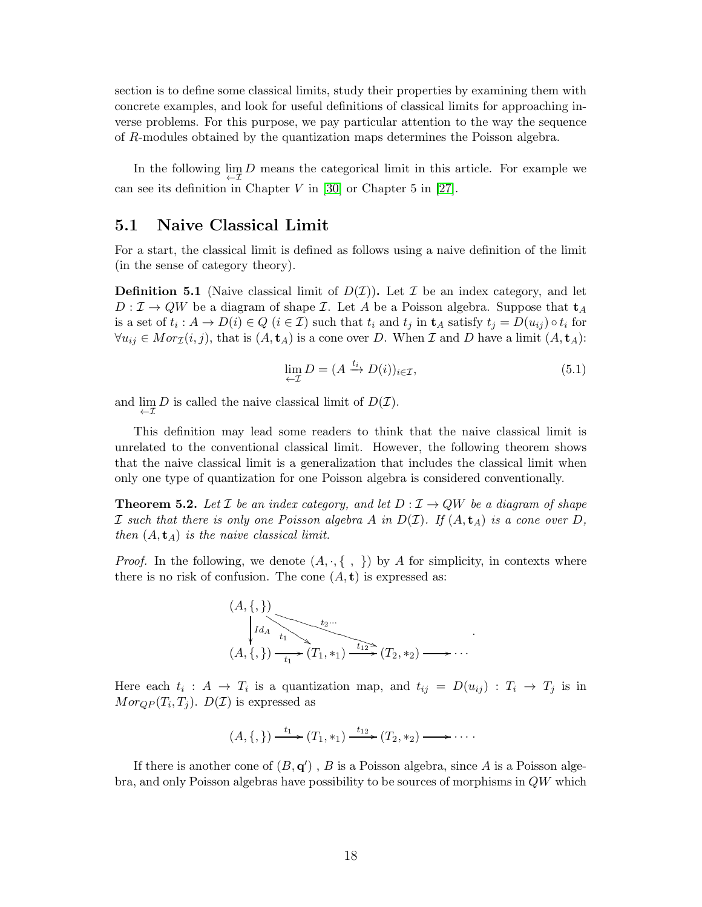section is to define some classical limits, study their properties by examining them with concrete examples, and look for useful definitions of classical limits for approaching inverse problems. For this purpose, we pay particular attention to the way the sequence of R-modules obtained by the quantization maps determines the Poisson algebra.

In the following  $\lim_{\leftarrow} D$  means the categorical limit in this article. For example we can see its definition in Chapter  $V$  in [\[30\]](#page-38-14) or Chapter 5 in [\[27\]](#page-38-15).

#### <span id="page-17-1"></span>5.1 Naive Classical Limit

For a start, the classical limit is defined as follows using a naive definition of the limit (in the sense of category theory).

**Definition 5.1** (Naive classical limit of  $D(\mathcal{I})$ ). Let  $\mathcal{I}$  be an index category, and let  $D: \mathcal{I} \to QW$  be a diagram of shape  $\mathcal{I}$ . Let A be a Poisson algebra. Suppose that  $\mathbf{t}_A$ is a set of  $t_i: A \to D(i) \in Q$   $(i \in \mathcal{I})$  such that  $t_i$  and  $t_j$  in  $\mathbf{t}_A$  satisfy  $t_j = D(u_{ij}) \circ t_i$  for  $\forall u_{ij} \in Mor_{\mathcal{I}}(i, j)$ , that is  $(A, \mathbf{t}_A)$  is a cone over D. When  $\mathcal{I}$  and D have a limit  $(A, \mathbf{t}_A)$ :

$$
\lim_{\leftarrow \mathcal{I}} D = (A \xrightarrow{t_i} D(i))_{i \in \mathcal{I}},\tag{5.1}
$$

and  $\lim_{\leftarrow \mathcal{I}} D$  is called the naive classical limit of  $D(\mathcal{I})$ .

This definition may lead some readers to think that the naive classical limit is unrelated to the conventional classical limit. However, the following theorem shows that the naive classical limit is a generalization that includes the classical limit when only one type of quantization for one Poisson algebra is considered conventionally.

<span id="page-17-0"></span>**Theorem 5.2.** Let *I* be an index category, and let  $D: I \rightarrow QW$  be a diagram of shape I such that there is only one Poisson algebra A in  $D(\mathcal{I})$ . If  $(A, \mathbf{t}_A)$  is a cone over D, then  $(A, \mathbf{t}_A)$  is the naive classical limit.

*Proof.* In the following, we denote  $(A, \cdot, \{\ ,\ \})$  by A for simplicity, in contexts where there is no risk of confusion. The cone  $(A, t)$  is expressed as:



Here each  $t_i : A \to T_i$  is a quantization map, and  $t_{ij} = D(u_{ij}) : T_i \to T_j$  is in  $Mor_{QP}(T_i, T_j)$ .  $D(\mathcal{I})$  is expressed as

$$
(A, \{,\}) \xrightarrow{t_1} (T_1, \ast_1) \xrightarrow{t_{12}} (T_2, \ast_2) \longrightarrow \cdots
$$

If there is another cone of  $(B, q')$ , B is a Poisson algebra, since A is a Poisson algebra, and only Poisson algebras have possibility to be sources of morphisms in QW which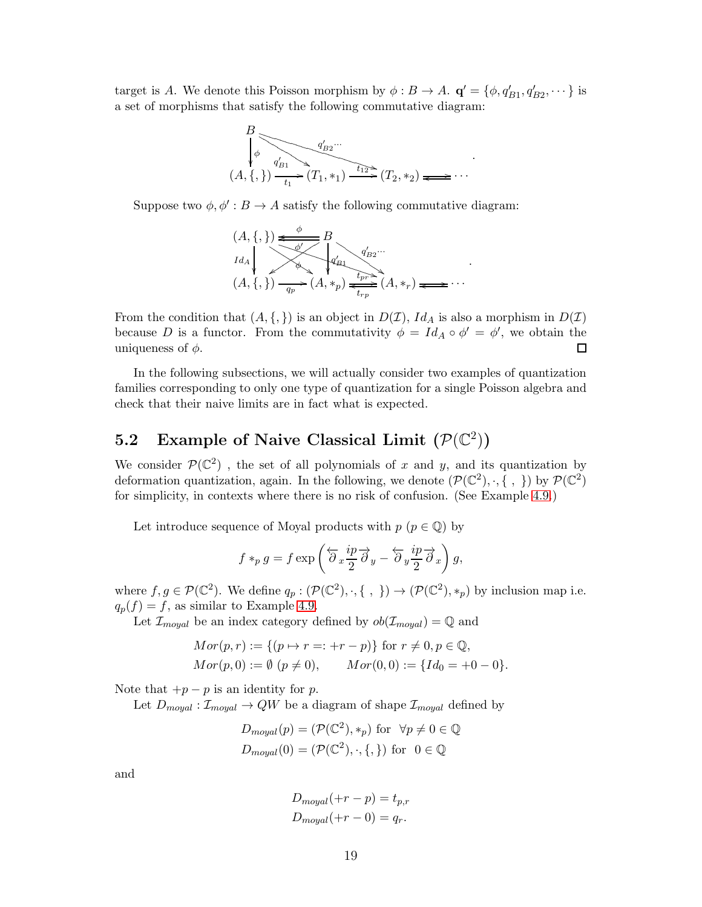target is A. We denote this Poisson morphism by  $\phi : B \to A$ .  $\mathbf{q}' = {\phi, q'_{B1}, q'_{B2}, \dots}$  is a set of morphisms that satisfy the following commutative diagram:



Suppose two  $\phi$ ,  $\phi' : B \to A$  satisfy the following commutative diagram:



From the condition that  $(A, \{,\})$  is an object in  $D(\mathcal{I})$ ,  $Id_A$  is also a morphism in  $D(\mathcal{I})$ because D is a functor. From the commutativity  $\phi = Id_A \circ \phi' = \phi'$ , we obtain the uniqueness of  $\phi$ .  $\Box$ 

In the following subsections, we will actually consider two examples of quantization families corresponding to only one type of quantization for a single Poisson algebra and check that their naive limits are in fact what is expected.

# <span id="page-18-0"></span>5.2 Example of Naive Classical Limit  $(\mathcal{P}(\mathbb{C}^2))$

We consider  $\mathcal{P}(\mathbb{C}^2)$ , the set of all polynomials of x and y, and its quantization by deformation quantization, again. In the following, we denote  $(\mathcal{P}(\mathbb{C}^2), \cdot, \{\ ,\ \})$  by  $\mathcal{P}(\mathbb{C}^2)$ for simplicity, in contexts where there is no risk of confusion. (See Example [4.9.](#page-15-1))

Let introduce sequence of Moyal products with  $p \ (p \in \mathbb{Q})$  by

$$
f *_{p} g = f \exp \left( \overleftarrow{\partial}_{x} \frac{ip}{2} \overrightarrow{\partial}_{y} - \overleftarrow{\partial}_{y} \frac{ip}{2} \overrightarrow{\partial}_{x} \right) g,
$$

where  $f, g \in \mathcal{P}(\mathbb{C}^2)$ . We define  $q_p : (\mathcal{P}(\mathbb{C}^2), \cdot, \{\ ,\ \}) \to (\mathcal{P}(\mathbb{C}^2), *_p)$  by inclusion map i.e.  $q_p(f) = f$ , as similar to Example [4.9.](#page-15-1)

Let  $\mathcal{I}_{moyal}$  be an index category defined by  $ob(\mathcal{I}_{moyal}) = \mathbb{Q}$  and

$$
Mor(p,r) := \{(p \mapsto r =: +r - p)\} \text{ for } r \neq 0, p \in \mathbb{Q},
$$
  
\n
$$
Mor(p,0) := \emptyset (p \neq 0), \qquad Mor(0,0) := \{Id_0 = +0 - 0\}.
$$

Note that  $+p-p$  is an identity for p.

Let  $D_{moyal}: \mathcal{I}_{moyal} \to QW$  be a diagram of shape  $\mathcal{I}_{moyal}$  defined by

$$
D_{moyal}(p) = (\mathcal{P}(\mathbb{C}^2), *_p) \text{ for } \forall p \neq 0 \in \mathbb{Q}
$$
  

$$
D_{moyal}(0) = (\mathcal{P}(\mathbb{C}^2), \cdot, \{, \}) \text{ for } 0 \in \mathbb{Q}
$$

and

$$
D_{moyal}(+r-p) = t_{p,r}
$$
  

$$
D_{moyal}(+r-0) = q_r.
$$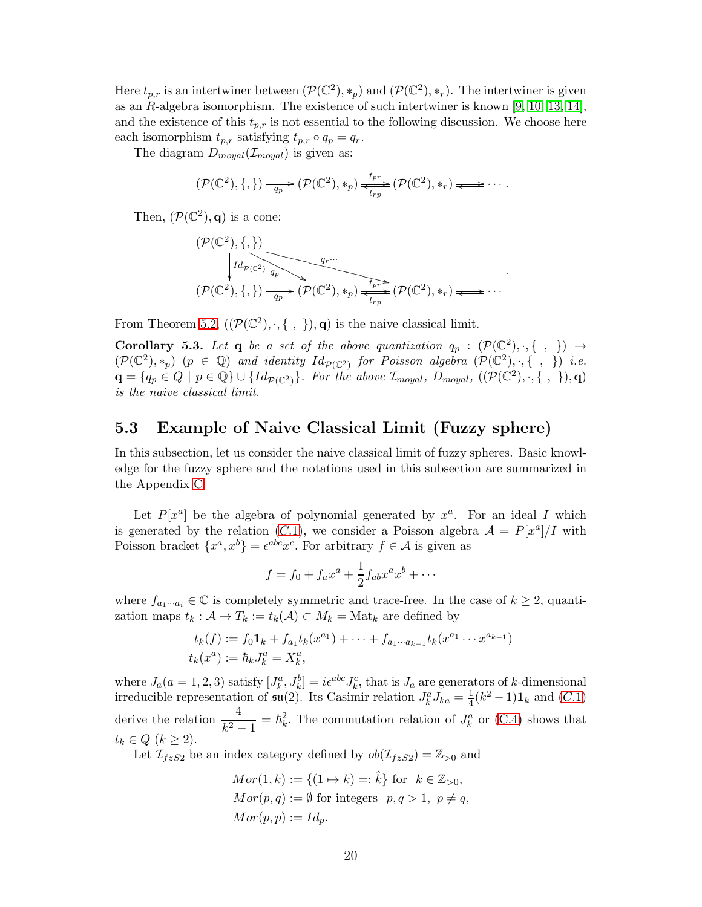Here  $t_{p,r}$  is an intertwiner between  $(\mathcal{P}(\mathbb{C}^2), *_{p})$  and  $(\mathcal{P}(\mathbb{C}^2), *_{r})$ . The intertwiner is given as an R-algebra isomorphism. The existence of such intertwiner is known [\[9,](#page-37-13) [10,](#page-37-14) [13,](#page-37-15) [14\]](#page-37-16), and the existence of this  $t_{p,r}$  is not essential to the following discussion. We choose here each isomorphism  $t_{p,r}$  satisfying  $t_{p,r} \circ q_p = q_r$ .

The diagram  $D_{moyal}(\mathcal{I}_{moyal})$  is given as:

$$
(\mathcal{P}(\mathbb{C}^2), \{,\}) \xrightarrow[q_p]{q_p} (\mathcal{P}(\mathbb{C}^2), *_p) \xleftarrow[t_{rp}]{t_{pr}} (\mathcal{P}(\mathbb{C}^2), *_r) \xleftarrow{\bullet} \cdots
$$

Then,  $(\mathcal{P}(\mathbb{C}^2), \mathbf{q})$  is a cone:

$$
(\mathcal{P}(\mathbb{C}^2), \{,\})
$$
  
\n
$$
\downarrow id_{\mathcal{P}(\mathbb{C}^2)} \downarrow id_{\mathcal{P}(\mathbb{C}^2)} \downarrow id_{\mathcal{P}(\mathbb{C}^2)} \downarrow id_{\mathcal{P}(\mathbb{C}^2)} \downarrow id_{\mathcal{P}(\mathbb{C}^2)} \downarrow id_{\mathcal{P}(\mathbb{C}^2)} \downarrow id_{\mathcal{P}(\mathbb{C}^2)} \downarrow id_{\mathcal{P}(\mathbb{C}^2)} \downarrow id_{\mathcal{P}(\mathbb{C}^2)} \downarrow id_{\mathcal{P}(\mathbb{C}^2)} \downarrow id_{\mathcal{P}(\mathbb{C}^2)} \downarrow id_{\mathcal{P}(\mathbb{C}^2)} \downarrow id_{\mathcal{P}(\mathbb{C}^2)} \downarrow id_{\mathcal{P}(\mathbb{C}^2)} \downarrow id_{\mathcal{P}(\mathbb{C}^2)} \downarrow id_{\mathcal{P}(\mathbb{C}^2)} \downarrow id_{\mathcal{P}(\mathbb{C}^2)} \downarrow id_{\mathcal{P}(\mathbb{C}^2)} \downarrow id_{\mathcal{P}(\mathbb{C}^2)} \downarrow id_{\mathcal{P}(\mathbb{C}^2)} \downarrow id_{\mathcal{P}(\mathbb{C}^2)} \downarrow id_{\mathcal{P}(\mathbb{C}^2)} \downarrow id_{\mathcal{P}(\mathbb{C}^2)} \downarrow id_{\mathcal{P}(\mathbb{C}^2)} \downarrow id_{\mathcal{P}(\mathbb{C}^2)} \downarrow id_{\mathcal{P}(\mathbb{C}^2)} \downarrow id_{\mathcal{P}(\mathbb{C}^2)} \downarrow id_{\mathcal{P}(\mathbb{C}^2)} \downarrow id_{\mathcal{P}(\mathbb{C}^2)} \downarrow id_{\mathcal{P}(\mathbb{C}^2)} \downarrow id_{\mathcal{P}(\mathbb{C}^2)} \downarrow id_{\mathcal{P}(\mathbb{C}^2)} \downarrow id_{\mathcal{P}(\mathbb{C}^2)} \downarrow id_{\mathcal{P}(\mathbb{C}^2)} \downarrow id_{\mathcal{P}(\mathbb{C}^2)} \downarrow id_{\mathcal{P}(\mathbb{C}^2)} \downarrow id_{\mathcal{
$$

.

From Theorem [5.2,](#page-17-0)  $((\mathcal{P}(\mathbb{C}^2), \cdot, \{\ ,\ \}), \mathbf{q})$  is the naive classical limit.

**Corollary 5.3.** Let **q** be a set of the above quantization  $q_p : (\mathcal{P}(\mathbb{C}^2), \cdot, \{\ ,\ \}) \rightarrow$  $(\mathcal{P}(\mathbb{C}^2), *_{p})$   $(p \in \mathbb{Q})$  and identity  $Id_{\mathcal{P}(\mathbb{C}^2)}$  for Poisson algebra  $(\mathcal{P}(\mathbb{C}^2), \cdot, \{\ ,\ \})$  i.e.  $\mathbf{q} = \{q_p \in Q \mid p \in \mathbb{Q}\} \cup \{Id_{\mathcal{P}(\mathbb{C}^2)}\}$ . For the above  $\mathcal{I}_{moyal}$ ,  $D_{moyal}$ ,  $((\mathcal{P}(\mathbb{C}^2), \cdot, \{\ ,\ \}), \mathbf{q})$ is the naive classical limit.

#### <span id="page-19-0"></span>5.3 Example of Naive Classical Limit (Fuzzy sphere)

In this subsection, let us consider the naive classical limit of fuzzy spheres. Basic knowledge for the fuzzy sphere and the notations used in this subsection are summarized in the Appendix [C.](#page-35-0)

Let  $P[x^a]$  be the algebra of polynomial generated by  $x^a$ . For an ideal I which is generated by the relation ([C.](#page-35-1)1), we consider a Poisson algebra  $\mathcal{A} = P[x^a]/I$  with Poisson bracket  $\{x^a, x^b\} = \epsilon^{abc} x^c$ . For arbitrary  $f \in \mathcal{A}$  is given as

$$
f = f_0 + f_a x^a + \frac{1}{2} f_{ab} x^a x^b + \cdots
$$

where  $f_{a_1\cdots a_i} \in \mathbb{C}$  is completely symmetric and trace-free. In the case of  $k \geq 2$ , quantization maps  $t_k : \mathcal{A} \to T_k := t_k(\mathcal{A}) \subset M_k = \text{Mat}_k$  are defined by

$$
t_k(f) := f_0 \mathbf{1}_k + f_{a_1} t_k(x^{a_1}) + \cdots + f_{a_1 \cdots a_{k-1}} t_k(x^{a_1} \cdots x^{a_{k-1}})
$$
  

$$
t_k(x^a) := \hbar_k J_k^a = X_k^a,
$$

where  $J_a(a=1,2,3)$  satisfy  $[J_k^a, J_k^b] = i\epsilon^{abc}J_k^c$ , that is  $J_a$  are generators of k-dimensional irreducible representation of  $\mathfrak{su}(2)$ . Its Casimir relation  $J_k^a J_{ka} = \frac{1}{4}(k^2 - 1)\mathbf{1}_k$  and  $(C.1)$  $(C.1)$  $(C.1)$ derive the relation  $\frac{4}{k^2-1} = \hbar_k^2$ . The commutation relation of  $J_k^a$  or [\(C.4\)](#page-35-2) shows that  $t_k \in Q$   $(k \geq 2)$ .

Let  $\mathcal{I}_{fzS2}$  be an index category defined by  $ob(\mathcal{I}_{fzS2}) = \mathbb{Z}_{>0}$  and

$$
Mor(1,k) := \{(1 \mapsto k) =: \hat{k}\} \text{ for } k \in \mathbb{Z}_{>0},
$$
  
\n
$$
Mor(p,q) := \emptyset \text{ for integers } p, q > 1, p \neq q,
$$
  
\n
$$
Mor(p,p) := Id_p.
$$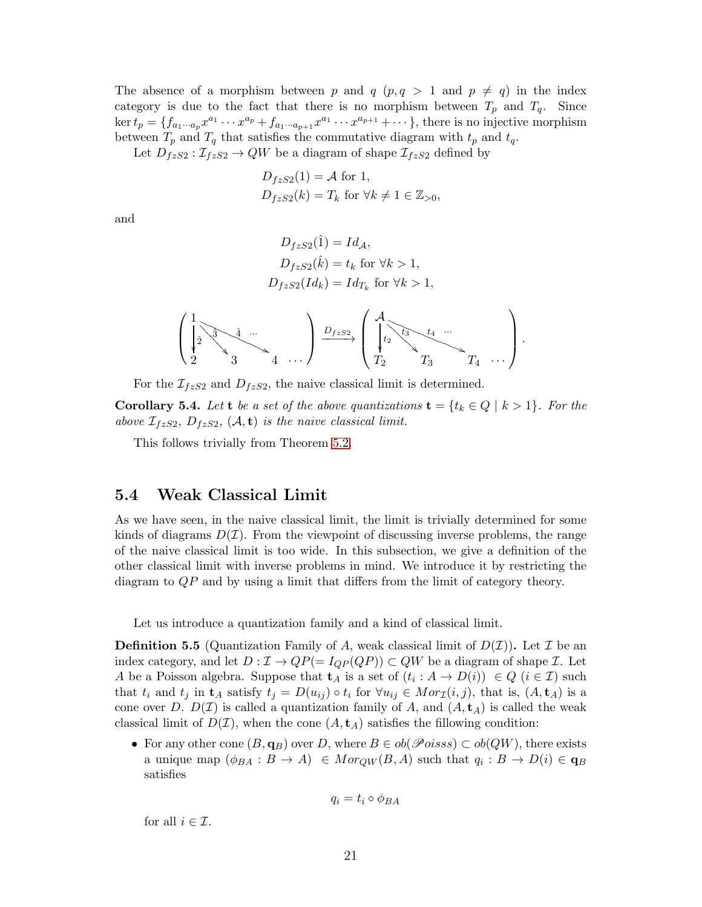The absence of a morphism between p and q  $(p, q > 1$  and  $p \neq q)$  in the index category is due to the fact that there is no morphism between  $T_p$  and  $T_q$ . Since ker  $t_p = \{f_{a_1 \cdots a_p} x^{a_1} \cdots x^{a_p} + f_{a_1 \cdots a_{p+1}} x^{a_1} \cdots x^{a_{p+1}} + \cdots \},\$  there is no injective morphism between  $T_p$  and  $T_q$  that satisfies the commutative diagram with  $t_p$  and  $t_q$ .

Let  $D_{fzS2} : \mathcal{I}_{fzS2} \to QW$  be a diagram of shape  $\mathcal{I}_{fzS2}$  defined by

$$
D_{fzS2}(1) = A \text{ for } 1,
$$
  

$$
D_{fzS2}(k) = T_k \text{ for } \forall k \neq 1 \in \mathbb{Z}_{>0},
$$

and

$$
D_{fzS2}(\hat{1}) = Id_{\mathcal{A}},
$$
  
\n
$$
D_{fzS2}(\hat{k}) = t_k \text{ for } \forall k > 1,
$$
  
\n
$$
D_{fzS2}(Id_k) = Id_{T_k} \text{ for } \forall k > 1,
$$

$$
\left(\begin{matrix}1\\ \frac{1}{2} & 3\\ 2 & 3\end{matrix}\begin{matrix}1\\ \frac{1}{2} & \frac{1}{2} & \frac{1}{2}\\ 3 & 4 & \cdots\end{matrix}\right)\xrightarrow{D_{fzS2}} \left(\begin{matrix}A\\ \frac{1}{2} & \frac{1}{2} & \frac{1}{2}\\ 1 & 2 & \frac{1}{2} & \frac{1}{2}\\ T_2 & T_3 & T_4 & \cdots\end{matrix}\right).
$$

For the  $\mathcal{I}_{fzS2}$  and  $D_{fzS2}$ , the naive classical limit is determined.

**Corollary 5.4.** Let **t** be a set of the above quantizations  $\mathbf{t} = \{t_k \in Q \mid k > 1\}$ . For the above  $\mathcal{I}_{fzS2}$ ,  $D_{fzS2}$ ,  $(\mathcal{A}, \mathbf{t})$  is the naive classical limit.

This follows trivially from Theorem [5.2.](#page-17-0)

#### <span id="page-20-0"></span>5.4 Weak Classical Limit

As we have seen, in the naive classical limit, the limit is trivially determined for some kinds of diagrams  $D(\mathcal{I})$ . From the viewpoint of discussing inverse problems, the range of the naive classical limit is too wide. In this subsection, we give a definition of the other classical limit with inverse problems in mind. We introduce it by restricting the diagram to QP and by using a limit that differs from the limit of category theory.

Let us introduce a quantization family and a kind of classical limit.

**Definition 5.5** (Quantization Family of A, weak classical limit of  $D(\mathcal{I})$ ). Let  $\mathcal{I}$  be an index category, and let  $D: \mathcal{I} \to QP(=I_{QP}(QP)) \subset QW$  be a diagram of shape  $\mathcal{I}$ . Let A be a Poisson algebra. Suppose that  $\mathbf{t}_A$  is a set of  $(t_i : A \to D(i)) \in Q$   $(i \in \mathcal{I})$  such that  $t_i$  and  $t_j$  in  $\mathbf{t}_A$  satisfy  $t_j = D(u_{ij}) \circ t_i$  for  $\forall u_{ij} \in Mor_{\mathcal{I}}(i,j)$ , that is,  $(A, \mathbf{t}_A)$  is a cone over D.  $D(\mathcal{I})$  is called a quantization family of A, and  $(A, t_A)$  is called the weak classical limit of  $D(\mathcal{I})$ , when the cone  $(A, \mathbf{t}_A)$  satisfies the fillowing condition:

• For any other cone  $(B, \mathbf{q}_B)$  over D, where  $B \in ob(\mathscr{P}oiss) \subset ob(QW)$ , there exists a unique map  $(\phi_{BA} : B \to A) \in Mor_{QW}(B, A)$  such that  $q_i : B \to D(i) \in \mathbf{q}_B$ satisfies

$$
q_i = t_i \circ \phi_{BA}
$$

for all  $i \in \mathcal{I}$ .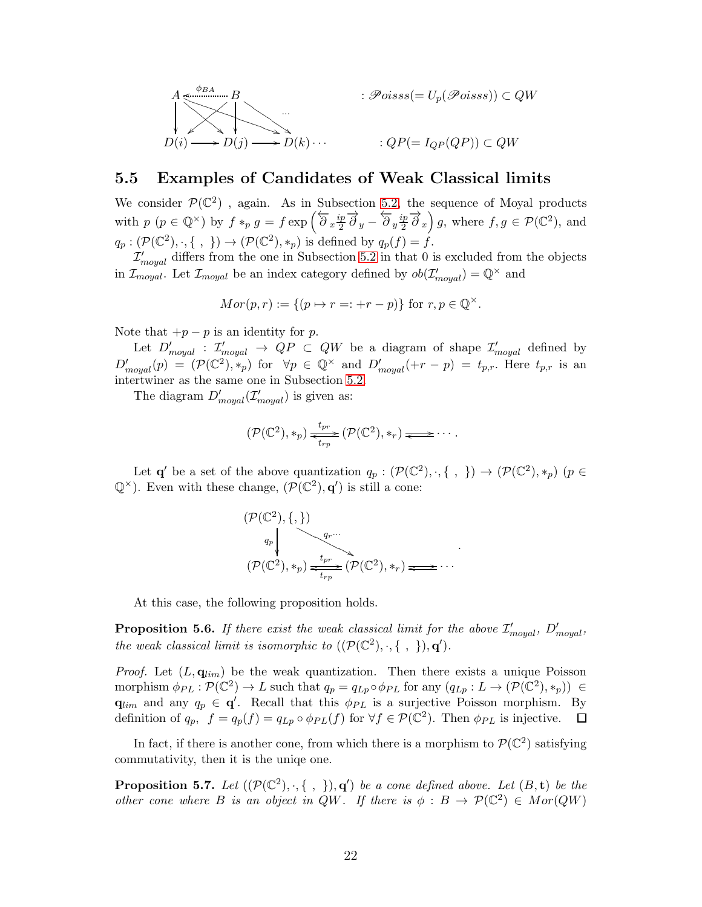$$
A \xrightarrow{\phi_{BA}} B
$$
  
\n
$$
D(i) \longrightarrow D(j) \longrightarrow D(k) \cdots
$$
  
\n
$$
\vdots \mathscr{P}oiss(s) = U_p(\mathscr{P}oisss)) \subset QW
$$
  
\n
$$
\vdots QP(= I_{QP}(QP)) \subset QW
$$

#### <span id="page-21-0"></span>5.5 Examples of Candidates of Weak Classical limits

We consider  $\mathcal{P}(\mathbb{C}^2)$ , again. As in Subsection [5.2,](#page-18-0) the sequence of Moyal products with  $p \ (p \in \mathbb{Q}^{\times})$  by  $f \ast_p g = f \exp \left( \overleftarrow{\partial}_x \frac{ip}{2} \right)$  $\frac{ip}{2}\overrightarrow{\partial}_{y}-\overleftarrow{\partial}_{y}\frac{ip}{2}$  $\left(\frac{2}{2}\overrightarrow{\partial}_x\right)g$ , where  $f, g \in \mathcal{P}(\mathbb{C}^2)$ , and  $q_p: (\mathcal{P}(\mathbb{C}^2), \cdot, \{\ ,\ \}) \to (\mathcal{P}(\mathbb{C}^2), *_p)$  is defined by  $q_p(f) = f$ .

 $\mathcal{I}^{\prime}_{moyal}$  differs from the one in Subsection [5.2](#page-18-0) in that 0 is excluded from the objects in  $\mathcal{I}_{moyal}$ . Let  $\mathcal{I}_{moyal}$  be an index category defined by  $ob(\mathcal{I}'_{moyal}) = \mathbb{Q}^{\times}$  and

$$
Mor(p,r) := \{ (p \mapsto r =: +r - p) \} \text{ for } r, p \in \mathbb{Q}^{\times}.
$$

Note that  $+p-p$  is an identity for p.

Let  $D'_{moyal}$ :  $\mathcal{I}'_{moyal} \rightarrow QP \subset QW$  be a diagram of shape  $\mathcal{I}'_{moyal}$  defined by  $D'_{moyal}(p) = (\mathcal{P}(\mathbb{C}^2), *_{p})$  for  $\forall p \in \mathbb{Q}^{\times}$  and  $D'_{moyal}(+r-p) = t_{p,r}$ . Here  $t_{p,r}$  is an intertwiner as the same one in Subsection [5.2.](#page-18-0)

The diagram  $D'_{moyal}(\mathcal{I}'_{moyal})$  is given as:

$$
(\mathcal{P}(\mathbb{C}^2), *_{p}) \xrightarrow[t_{rp}]{t_{pr}} (\mathcal{P}(\mathbb{C}^2), *_{r}) \longrightarrow \cdots
$$

Let  $\mathbf{q}'$  be a set of the above quantization  $q_p: (\mathcal{P}(\mathbb{C}^2), \cdot, \{\ ,\ \}) \to (\mathcal{P}(\mathbb{C}^2), *_p)$   $(p \in$  $\mathbb{Q}^{\times}$ ). Even with these change,  $(\mathcal{P}(\mathbb{C}^2), \mathbf{q}')$  is still a cone:

$$
(\mathcal{P}(\mathbb{C}^2), \{,\})
$$
  
\n $q_p$   
\n $(\mathcal{P}(\mathbb{C}^2), *_p) \xrightarrow{t_{pr}} (\mathcal{P}(\mathbb{C}^2), *_r) \xrightarrow{}$ 

At this case, the following proposition holds.

**Proposition 5.6.** If there exist the weak classical limit for the above  $\mathcal{I}'_{moyal}$ ,  $D'_{moyal}$ , the weak classical limit is isomorphic to  $((\mathcal{P}(\mathbb{C}^2), \cdot, \{\ ,\ \}), \mathbf{q}')$ .

*Proof.* Let  $(L, \mathbf{q}_{lim})$  be the weak quantization. Then there exists a unique Poisson morphism  $\phi_{PL} : \mathcal{P}(\mathbb{C}^2) \to L$  such that  $q_p = q_{Lp} \circ \phi_{PL}$  for any  $(q_{Lp} : L \to (\mathcal{P}(\mathbb{C}^2), *_{p})) \in$  $\mathbf{q}_{lim}$  and any  $q_p \in \mathbf{q}'$ . Recall that this  $\phi_{PL}$  is a surjective Poisson morphism. By definition of  $q_p$ ,  $f = q_p(f) = q_{Lp} \circ \phi_{PL}(f)$  for  $\forall f \in \mathcal{P}(\mathbb{C}^2)$ . Then  $\phi_{PL}$  is injective.

In fact, if there is another cone, from which there is a morphism to  $\mathcal{P}(\mathbb{C}^2)$  satisfying commutativity, then it is the uniqe one.

**Proposition 5.7.** Let  $((\mathcal{P}(\mathbb{C}^2), \cdot, \{\ ,\ \}), \mathbf{q}')$  be a cone defined above. Let  $(B, \mathbf{t})$  be the other cone where B is an object in QW. If there is  $\phi : B \to \mathcal{P}(\mathbb{C}^2) \in Mor(QW)$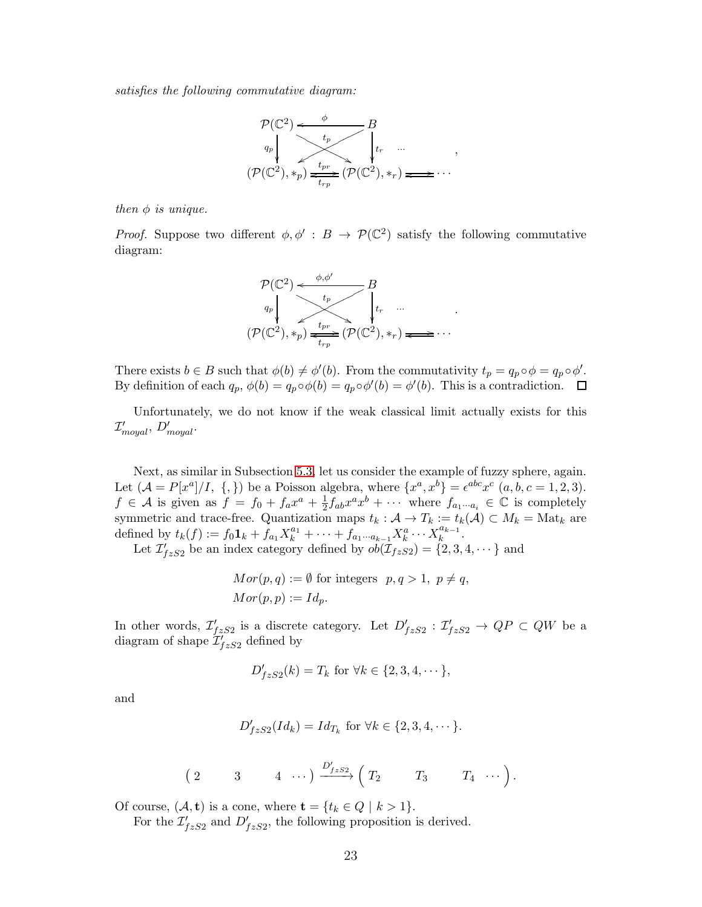satisfies the following commutative diagram:



then  $\phi$  is unique.

*Proof.* Suppose two different  $\phi, \phi' : B \to \mathcal{P}(\mathbb{C}^2)$  satisfy the following commutative diagram:



There exists  $b \in B$  such that  $\phi(b) \neq \phi'(b)$ . From the commutativity  $t_p = q_p \circ \phi = q_p \circ \phi'$ . By definition of each  $q_p$ ,  $\phi(b) = q_p \circ \phi(b) = q_p \circ \phi'(b) = \phi'(b)$ . This is a contradiction.

Unfortunately, we do not know if the weak classical limit actually exists for this  $\mathcal{I}^{\prime}_{moyal},\,D^{\prime}_{moyal}.$ 

Next, as similar in Subsection [5.3,](#page-19-0) let us consider the example of fuzzy sphere, again. Let  $(A = P[x^a]/I, \{\},\})$  be a Poisson algebra, where  $\{x^a, x^b\} = \epsilon^{abc} x^c$   $(a, b, c = 1, 2, 3)$ .  $f \in \mathcal{A}$  is given as  $f = f_0 + f_a x^a + \frac{1}{2}$  $\frac{1}{2} f_{ab} x^a x^b + \cdots$  where  $f_{a_1 \cdots a_i} \in \mathbb{C}$  is completely symmetric and trace-free. Quantization maps  $t_k : \mathcal{A} \to T_k := t_k(\mathcal{A}) \subset M_k = \text{Mat}_k$  are defined by  $t_k(f) := f_0 \mathbf{1}_k + f_{a_1} X_k^{a_1} + \cdots + f_{a_1 \cdots a_{k-1}} X_k^{a} \cdots X_k^{a_{k-1}}$  $\frac{u_{k-1}}{k}$ .

Let  $\mathcal{I}'_{fzS2}$  be an index category defined by  $ob(\mathcal{I}_{fzS2}) = \{2, 3, 4, \dots\}$  and

$$
Mor(p,q) := \emptyset
$$
 for integers  $p, q > 1$ ,  $p \neq q$ ,  

$$
Mor(p,p) := Id_p.
$$

In other words,  $\mathcal{I}'_{fzS2}$  is a discrete category. Let  $D'_{fzS2} : \mathcal{I}'_{fzS2} \to QP \subset QW$  be a diagram of shape  $\mathcal{I}_{fzS2}^{\prime}$  defined by

$$
D'_{fzS2}(k) = T_k \text{ for } \forall k \in \{2, 3, 4, \dots\},\
$$

and

$$
D'_{fzS2}(Id_k) = Id_{T_k} \text{ for } \forall k \in \{2, 3, 4, \dots\}.
$$

$$
\begin{pmatrix} 2 & 3 & 4 & \cdots \end{pmatrix} \xrightarrow{D'_{fzS2}} \begin{pmatrix} T_2 & T_3 & T_4 & \cdots \end{pmatrix}.
$$

Of course,  $(A, t)$  is a cone, where  $t = \{t_k \in Q \mid k > 1\}.$ 

For the  $\mathcal{I}'_{fzS2}$  and  $D'_{fzS2}$ , the following proposition is derived.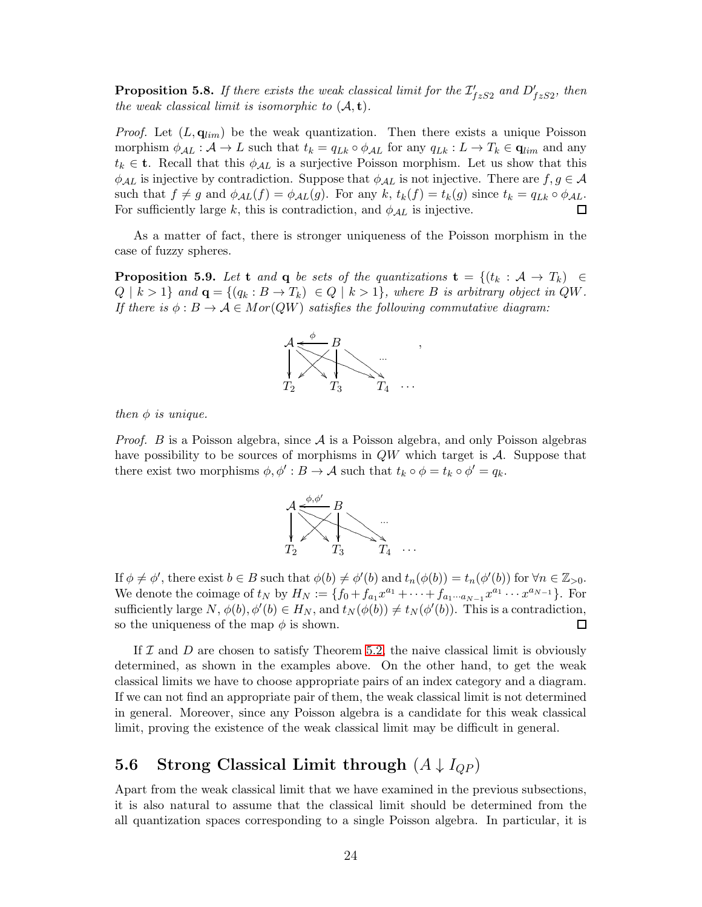**Proposition 5.8.** If there exists the weak classical limit for the  $\mathcal{I}'_{fzS2}$  and  $D'_{fzS2}$ , then the weak classical limit is isomorphic to  $(A, t)$ .

*Proof.* Let  $(L, \mathbf{q}_{lim})$  be the weak quantization. Then there exists a unique Poisson morphism  $\phi_{\mathcal{A}L} : \mathcal{A} \to L$  such that  $t_k = q_{Lk} \circ \phi_{\mathcal{A}L}$  for any  $q_{Lk} : L \to T_k \in \mathbf{q}_{lim}$  and any  $t_k \in \mathbf{t}$ . Recall that this  $\phi_{\mathcal{A}L}$  is a surjective Poisson morphism. Let us show that this  $\phi_{\mathcal{A}L}$  is injective by contradiction. Suppose that  $\phi_{\mathcal{A}L}$  is not injective. There are  $f, g \in \mathcal{A}$ such that  $f \neq g$  and  $\phi_{AL}(f) = \phi_{AL}(g)$ . For any  $k$ ,  $t_k(f) = t_k(g)$  since  $t_k = q_{Lk} \circ \phi_{AL}$ .<br>For sufficiently large  $k$ , this is contradiction, and  $\phi_{AL}$  is injective. For sufficiently large k, this is contradiction, and  $\phi_{\mathcal{A}L}$  is injective.

As a matter of fact, there is stronger uniqueness of the Poisson morphism in the case of fuzzy spheres.

**Proposition 5.9.** Let t and q be sets of the quantizations  $\mathbf{t} = \{(t_k : A \rightarrow T_k) \in$  $Q \mid k > 1$  and  $\mathbf{q} = \{(q_k : B \to T_k) \in Q \mid k > 1\}$ , where B is arbitrary object in QW. If there is  $\phi : B \to A \in Mor(QW)$  satisfies the following commutative diagram:



then  $\phi$  is unique.

*Proof.* B is a Poisson algebra, since  $A$  is a Poisson algebra, and only Poisson algebras have possibility to be sources of morphisms in  $QW$  which target is  $A$ . Suppose that there exist two morphisms  $\phi, \phi' : B \to \mathcal{A}$  such that  $t_k \circ \phi = t_k \circ \phi' = q_k$ .



If  $\phi \neq \phi'$ , there exist  $b \in B$  such that  $\phi(b) \neq \phi'(b)$  and  $t_n(\phi(b)) = t_n(\phi'(b))$  for  $\forall n \in \mathbb{Z}_{>0}$ . We denote the coimage of  $t_N$  by  $H_N := \{f_0 + f_{a_1}x^{a_1} + \cdots + f_{a_1 \cdots a_{N-1}}x^{a_1} \cdots x^{a_{N-1}}\}$ . For sufficiently large  $N$ ,  $\phi(b)$ ,  $\phi'(b) \in H_N$ , and  $t_N(\phi(b)) \neq t_N(\phi'(b))$ . This is a contradiction, so the uniqueness of the map  $\phi$  is shown. 口

If  $\mathcal I$  and  $D$  are chosen to satisfy Theorem [5.2,](#page-17-0) the naive classical limit is obviously determined, as shown in the examples above. On the other hand, to get the weak classical limits we have to choose appropriate pairs of an index category and a diagram. If we can not find an appropriate pair of them, the weak classical limit is not determined in general. Moreover, since any Poisson algebra is a candidate for this weak classical limit, proving the existence of the weak classical limit may be difficult in general.

#### 5.6 Strong Classical Limit through  $(A \downarrow I_{QP})$

Apart from the weak classical limit that we have examined in the previous subsections, it is also natural to assume that the classical limit should be determined from the all quantization spaces corresponding to a single Poisson algebra. In particular, it is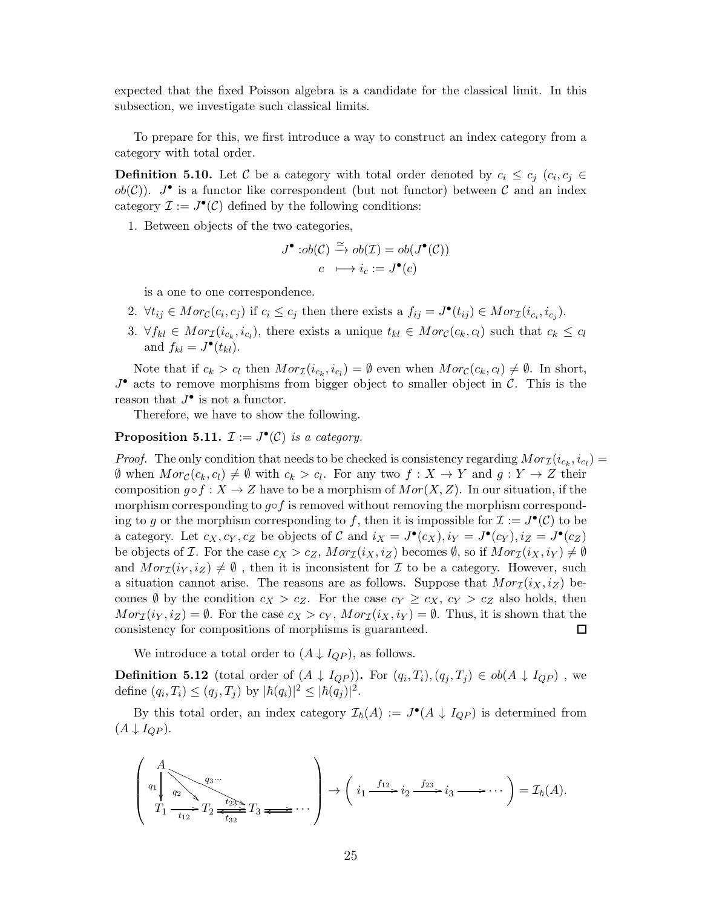expected that the fixed Poisson algebra is a candidate for the classical limit. In this subsection, we investigate such classical limits.

To prepare for this, we first introduce a way to construct an index category from a category with total order.

**Definition 5.10.** Let C be a category with total order denoted by  $c_i \leq c_j$  ( $c_i, c_j \in$  $ob(\mathcal{C})$ ).  $J^{\bullet}$  is a functor like correspondent (but not functor) between  $\mathcal C$  and an index category  $\mathcal{I} := J^{\bullet}(\mathcal{C})$  defined by the following conditions:

1. Between objects of the two categories,

$$
J^{\bullet}:ob(\mathcal{C}) \xrightarrow{\simeq} ob(\mathcal{I}) = ob(J^{\bullet}(\mathcal{C}))
$$

$$
c \longmapsto i_c := J^{\bullet}(c)
$$

is a one to one correspondence.

- 2.  $\forall t_{ij} \in Mor_{\mathcal{C}}(c_i, c_j)$  if  $c_i \leq c_j$  then there exists a  $f_{ij} = J^{\bullet}(t_{ij}) \in Mor_{\mathcal{I}}(i_{c_i}, i_{c_j}).$
- 3.  $\forall f_{kl} \in Mor_{\mathcal{I}}(i_{c_k}, i_{c_l})$ , there exists a unique  $t_{kl} \in Mor_{\mathcal{C}}(c_k, c_l)$  such that  $c_k \leq c_l$ and  $f_{kl} = J^{\bullet}(t_{kl}).$

Note that if  $c_k > c_l$  then  $Mor_{\mathcal{I}}(i_{c_k}, i_{c_l}) = \emptyset$  even when  $Mor_{\mathcal{C}}(c_k, c_l) \neq \emptyset$ . In short,  $J^{\bullet}$  acts to remove morphisms from bigger object to smaller object in C. This is the reason that  $J^{\bullet}$  is not a functor.

Therefore, we have to show the following.

**Proposition 5.11.**  $\mathcal{I} := J^{\bullet}(\mathcal{C})$  is a category.

*Proof.* The only condition that needs to be checked is consistency regarding  $Mor_{\mathcal{I}}(i_{c_k}, i_{c_l}) =$  $\emptyset$  when  $Mor_{\mathcal{C}}(c_k, c_l) \neq \emptyset$  with  $c_k > c_l$ . For any two  $f : X \to Y$  and  $g : Y \to Z$  their composition  $g \circ f : X \to Z$  have to be a morphism of  $Mor(X, Z)$ . In our situation, if the morphism corresponding to  $g \circ f$  is removed without removing the morphism corresponding to g or the morphism corresponding to f, then it is impossible for  $\mathcal{I} := J^{\bullet}(\mathcal{C})$  to be a category. Let  $c_X, c_Y, c_Z$  be objects of C and  $i_X = J^{\bullet}(c_X), i_Y = J^{\bullet}(c_Y), i_Z = J^{\bullet}(c_Z)$ be objects of *I*. For the case  $c_X > c_Z$ ,  $Mor_{I}(i_X, i_Z)$  becomes  $\emptyset$ , so if  $Mor_{I}(i_X, i_Y) \neq \emptyset$ and  $Mor_{\mathcal{I}}(i_Y, i_Z) \neq \emptyset$ , then it is inconsistent for  $\mathcal I$  to be a category. However, such a situation cannot arise. The reasons are as follows. Suppose that  $Mor_{\mathcal{I}}(i_X, i_Z)$  becomes  $\emptyset$  by the condition  $c_X > c_Z$ . For the case  $c_Y \ge c_X$ ,  $c_Y > c_Z$  also holds, then  $Mor_{\mathcal{I}}(i_Y, i_Z) = \emptyset$ . For the case  $c_X > c_Y$ ,  $Mor_{\mathcal{I}}(i_X, i_Y) = \emptyset$ . Thus, it is shown that the consistency for compositions of morphisms is guaranteed. consistency for compositions of morphisms is guaranteed.

We introduce a total order to  $(A \downarrow I_{QP})$ , as follows.

**Definition 5.12** (total order of  $(A \downarrow I_{QP})$ ). For  $(q_i, T_i), (q_j, T_j) \in ob(A \downarrow I_{QP})$ , we define  $(q_i, T_i) \leq (q_j, T_j)$  by  $|\hbar(q_i)|^2 \leq |\hbar(q_j)|^2$ .

By this total order, an index category  $\mathcal{I}_{\hbar}(A) := J^{\bullet}(A \downarrow I_{QP})$  is determined from  $(A \downarrow I_{QP}).$ 

$$
\left(\begin{array}{c}A\\
q_1\\
q_2\\
T_1\end{array}\begin{array}{c}\n\overbrace{q_2}\\
q_2\\
\overbrace{t_{12}}\end{array}\begin{array}{c}\n\overbrace{t_{23}}\\
\overbrace{t_{32}}\end{array}T_3 \longrightarrow \cdots\right)\rightarrow \left(i_1 \stackrel{f_{12}}{\longrightarrow} i_2 \stackrel{f_{23}}{\longrightarrow} i_3 \longrightarrow \cdots\right)=\mathcal{I}_{\hbar}(A).
$$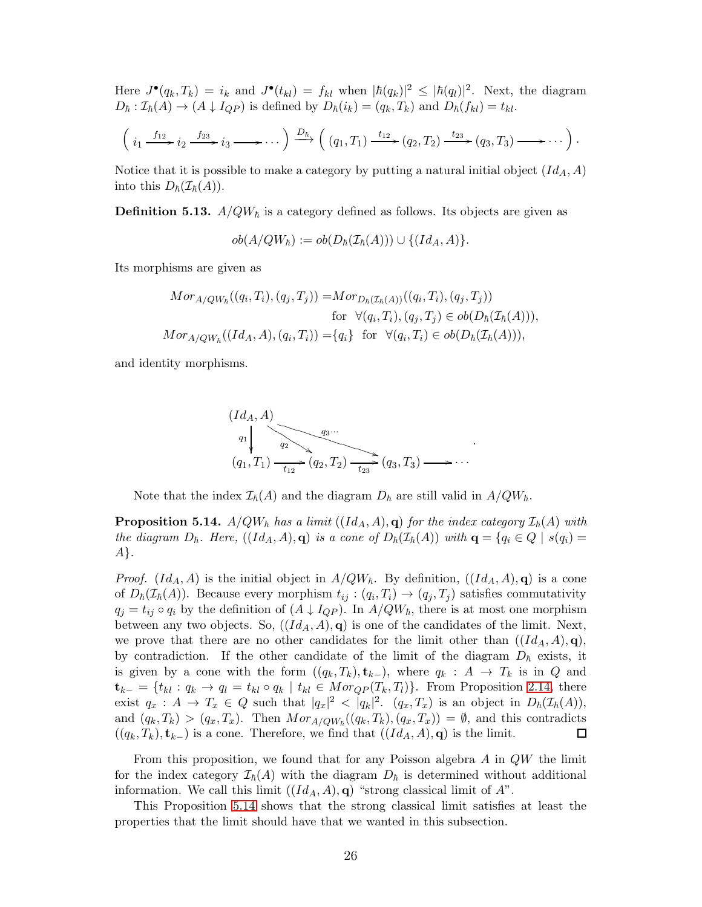Here  $J^{\bullet}(q_k, T_k) = i_k$  and  $J^{\bullet}(t_{kl}) = f_{kl}$  when  $|h(q_k)|^2 \leq |h(q_l)|^2$ . Next, the diagram  $D_{\hbar} : \mathcal{I}_{\hbar}(A) \to (A \downarrow I_{QP})$  is defined by  $D_{\hbar}(i_k) = (q_k, T_k)$  and  $D_{\hbar}(f_{kl}) = t_{kl}$ .

$$
\left(i_1 \xrightarrow{f_{12}} i_2 \xrightarrow{f_{23}} i_3 \longrightarrow \cdots \right) \xrightarrow{D_{h}} \left( (q_1, T_1) \xrightarrow{t_{12}} (q_2, T_2) \xrightarrow{t_{23}} (q_3, T_3) \longrightarrow \cdots \right).
$$

Notice that it is possible to make a category by putting a natural initial object  $(Id_A, A)$ into this  $D_{\hbar}(\mathcal{I}_{\hbar}(A)).$ 

**Definition 5.13.**  $A/QW<sub>h</sub>$  is a category defined as follows. Its objects are given as

 $ob(A/QW_{\hbar}) := ob(D_{\hbar}(\mathcal{I}_{\hbar}(A))) \cup \{(Id_A, A)\}.$ 

Its morphisms are given as

$$
Mor_{A/QW_{\hbar}}((q_i, T_i), (q_j, T_j)) = Mor_{D_{\hbar}(\mathcal{I}_{\hbar}(A))}((q_i, T_i), (q_j, T_j))
$$
  
for  $\forall (q_i, T_i), (q_j, T_j) \in ob(D_{\hbar}(\mathcal{I}_{\hbar}(A))),$   

$$
Mor_{A/QW_{\hbar}}((Id_A, A), (q_i, T_i)) = \{q_i\} \text{ for } \forall (q_i, T_i) \in ob(D_{\hbar}(\mathcal{I}_{\hbar}(A))),
$$

and identity morphisms.

$$
(IdA, A)\nq1\n(q1, T1) \t12 \t23 \t23 \t23 \t23 \t23 \t23 \t23 \t23 \t23 \t23 \t23 \t23 \t23 \t23 \t23 \t23 \t23 \t23 \t23 \t23 \t23 \t23 \t23 \t23 \t23 \t23 \t23 \t23 \t23 \t23 \t23 \t23 \t23 \t23 \t23 \t23 \t23 \t23 \t23 \t23 \t23 \t23 \t23 \t23 \t23 \t23 \t23 \t23 \t23 \t23 \t23 \t23 \t23 \t23 \t23 \t23 \t23 \t23 \t23 \t23 \t23 \t23 \t23 \t23 \t23 \t23 \t23 \t23 \t23 \t23 \t23
$$

Note that the index  $\mathcal{I}_{\hbar}(A)$  and the diagram  $D_{\hbar}$  are still valid in  $A/QW_{\hbar}$ .

<span id="page-25-0"></span>**Proposition 5.14.**  $A/QW<sub>h</sub>$  has a limit  $((Id<sub>A</sub>, A), q)$  for the index category  $\mathcal{I}_{h}(A)$  with the diagram  $D_{\hbar}$ . Here,  $((Id_A, A), \mathbf{q})$  is a cone of  $D_{\hbar}(\mathcal{I}_{\hbar}(A))$  with  $\mathbf{q} = \{q_i \in Q \mid s(q_i) =$ A}.

*Proof.*  $(Id_A, A)$  is the initial object in  $A/QW_{\hbar}$ . By definition,  $((Id_A, A), q)$  is a cone of  $D_{\hbar}(\mathcal{I}_{\hbar}(A))$ . Because every morphism  $t_{ij} : (q_i, T_i) \to (q_j, T_j)$  satisfies commutativity  $q_j = t_{ij} \circ q_i$  by the definition of  $(A \downarrow I_{QP})$ . In  $A/QW_{\hbar}$ , there is at most one morphism between any two objects. So,  $((Id_A, A), q)$  is one of the candidates of the limit. Next, we prove that there are no other candidates for the limit other than  $((Id_A, A), q)$ , by contradiction. If the other candidate of the limit of the diagram  $D_{\hbar}$  exists, it is given by a cone with the form  $((q_k, T_k), \mathbf{t}_{k-}),$  where  $q_k : A \to T_k$  is in Q and  $\mathbf{t}_{k-} = \{t_{kl} : q_k \to q_l = t_{kl} \circ q_k \mid t_{kl} \in Mor_{QP}(T_k, T_l)\}.$  From Proposition [2.14,](#page-9-0) there exist  $q_x : A \to T_x \in Q$  such that  $|q_x|^2 < |q_k|^2$ .  $(q_x, T_x)$  is an object in  $D_h(\mathcal{I}_h(A)),$ and  $(q_k, T_k) > (q_x, T_x)$ . Then  $Mor_{A/QW_h}(q_k, T_k), (q_x, T_x) = \emptyset$ , and this contradicts  $((q_k, T_k), \mathbf{t}_{k-})$  is a cone. Therefore, we find that  $((Id_A, A), \mathbf{q})$  is the limit.  $\Box$ 

From this proposition, we found that for any Poisson algebra  $A$  in  $QW$  the limit for the index category  $\mathcal{I}_{\hbar}(A)$  with the diagram  $D_{\hbar}$  is determined without additional information. We call this limit  $((Id_A, A), q)$  "strong classical limit of A".

This Proposition [5.14](#page-25-0) shows that the strong classical limit satisfies at least the properties that the limit should have that we wanted in this subsection.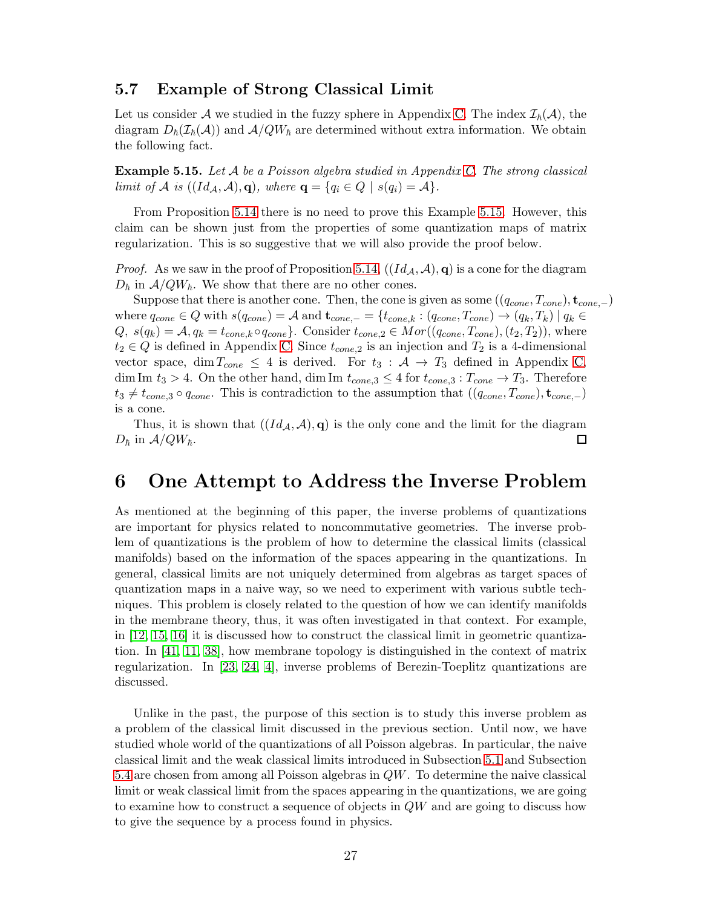#### 5.7 Example of Strong Classical Limit

Let us consider A we studied in the fuzzy sphere in Appendix [C.](#page-35-0) The index  $\mathcal{I}_{h}(\mathcal{A})$ , the diagram  $D_{\hbar}(\mathcal{I}_{\hbar}(\mathcal{A}))$  and  $\mathcal{A}/QW_{\hbar}$  are determined without extra information. We obtain the following fact.

<span id="page-26-1"></span>Example 5.15. Let A be a Poisson algebra studied in Appendix [C.](#page-35-0) The strong classical limit of A is  $((Id_{\mathcal{A}}, \mathcal{A}), q)$ , where  $q = \{q_i \in Q \mid s(q_i) = \mathcal{A}\}.$ 

From Proposition [5.14](#page-25-0) there is no need to prove this Example [5.15.](#page-26-1) However, this claim can be shown just from the properties of some quantization maps of matrix regularization. This is so suggestive that we will also provide the proof below.

*Proof.* As we saw in the proof of Proposition [5.14,](#page-25-0)  $((Id_{\mathcal{A}}, \mathcal{A}), q)$  is a cone for the diagram  $D_{\hbar}$  in  $A/QW_{\hbar}$ . We show that there are no other cones.

Suppose that there is another cone. Then, the cone is given as some  $((q_{cone}, T_{cone})$ ,  $t_{cone,-})$ where  $q_{cone} \in Q$  with  $s(q_{cone}) = A$  and  $\mathbf{t}_{cone,-} = \{t_{cone,k} : (q_{cone}, T_{cone}) \to (q_k, T_k) \mid q_k \in Q \}$  $Q, s(q_k) = A, q_k = t_{cone,k} \circ q_{cone}$ . Consider  $t_{cone,2} \in Mor((q_{cone}, T_{cone}), (t_2, T_2))$ , where  $t_2 \in Q$  is defined in Appendix [C.](#page-35-0) Since  $t_{cone,2}$  is an injection and  $T_2$  is a 4-dimensional vector space, dim  $T_{cone} \leq 4$  is derived. For  $t_3 : A \rightarrow T_3$  defined in Appendix [C,](#page-35-0) dim Im  $t_3 > 4$ . On the other hand, dim Im  $t_{cone,3} \leq 4$  for  $t_{cone,3} : T_{cone} \to T_3$ . Therefore  $t_3 \neq t_{cone,3} \circ q_{cone}$ . This is contradiction to the assumption that  $((q_{cone}, T_{cone})$ ,  $t_{cone,-})$ is a cone.

Thus, it is shown that  $((Id_{\mathcal{A}}, \mathcal{A}), \mathbf{q})$  is the only cone and the limit for the diagram in  $\mathcal{A}/QW_{\hbar}$ .  $D_{\hbar}$  in  $A/QW_{\hbar}$ .

## <span id="page-26-0"></span>6 One Attempt to Address the Inverse Problem

As mentioned at the beginning of this paper, the inverse problems of quantizations are important for physics related to noncommutative geometries. The inverse problem of quantizations is the problem of how to determine the classical limits (classical manifolds) based on the information of the spaces appearing in the quantizations. In general, classical limits are not uniquely determined from algebras as target spaces of quantization maps in a naive way, so we need to experiment with various subtle techniques. This problem is closely related to the question of how we can identify manifolds in the membrane theory, thus, it was often investigated in that context. For example, in [\[12,](#page-37-4) [15,](#page-37-5) [16\]](#page-37-6) it is discussed how to construct the classical limit in geometric quantization. In [\[41,](#page-38-3) [11,](#page-37-7) [38\]](#page-38-4), how membrane topology is distinguished in the context of matrix regularization. In [\[23,](#page-37-8) [24,](#page-37-9) [4\]](#page-36-2), inverse problems of Berezin-Toeplitz quantizations are discussed.

Unlike in the past, the purpose of this section is to study this inverse problem as a problem of the classical limit discussed in the previous section. Until now, we have studied whole world of the quantizations of all Poisson algebras. In particular, the naive classical limit and the weak classical limits introduced in Subsection [5.1](#page-17-1) and Subsection [5.4](#page-20-0) are chosen from among all Poisson algebras in QW. To determine the naive classical limit or weak classical limit from the spaces appearing in the quantizations, we are going to examine how to construct a sequence of objects in  $QW$  and are going to discuss how to give the sequence by a process found in physics.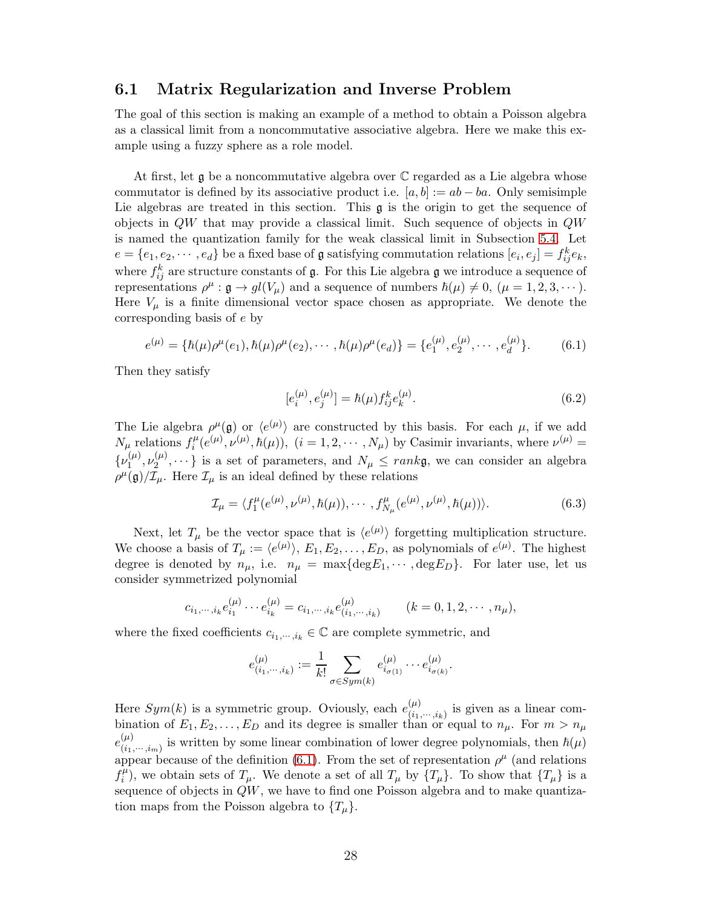#### 6.1 Matrix Regularization and Inverse Problem

The goal of this section is making an example of a method to obtain a Poisson algebra as a classical limit from a noncommutative associative algebra. Here we make this example using a fuzzy sphere as a role model.

At first, let  $\frak g$  be a noncommutative algebra over  $\mathbb C$  regarded as a Lie algebra whose commutator is defined by its associative product i.e.  $[a, b] := ab - ba$ . Only semisimple Lie algebras are treated in this section. This  $\mathfrak g$  is the origin to get the sequence of objects in QW that may provide a classical limit. Such sequence of objects in QW is named the quantization family for the weak classical limit in Subsection [5.4.](#page-20-0) Let  $e = \{e_1, e_2, \dots, e_d\}$  be a fixed base of **g** satisfying commutation relations  $[e_i, e_j] = f_{ij}^k e_k$ , where  $f_{ij}^k$  are structure constants of  $\mathfrak g$ . For this Lie algebra  $\mathfrak g$  we introduce a sequence of representations  $\rho^{\mu} : \mathfrak{g} \to gl(V_{\mu})$  and a sequence of numbers  $\hbar(\mu) \neq 0$ ,  $(\mu = 1, 2, 3, \dots)$ . Here  $V_\mu$  is a finite dimensional vector space chosen as appropriate. We denote the corresponding basis of e by

$$
e^{(\mu)} = \{\hbar(\mu)\rho^{\mu}(e_1), \hbar(\mu)\rho^{\mu}(e_2), \cdots, \hbar(\mu)\rho^{\mu}(e_d)\} = \{e_1^{(\mu)}, e_2^{(\mu)}, \cdots, e_d^{(\mu)}\}.
$$
 (6.1)

Then they satisfy

<span id="page-27-1"></span><span id="page-27-0"></span>
$$
[e_i^{(\mu)}, e_j^{(\mu)}] = \hbar(\mu) f_{ij}^k e_k^{(\mu)}.
$$
\n(6.2)

The Lie algebra  $\rho^{\mu}(\mathfrak{g})$  or  $\langle e^{(\mu)} \rangle$  are constructed by this basis. For each  $\mu$ , if we add  $N_{\mu}$  relations  $f_i^{\mu}$  $i^{\mu}(e^{(\mu)}, \nu^{(\mu)}, \hbar(\mu)),$   $(i = 1, 2, \cdots, N_{\mu})$  by Casimir invariants, where  $\nu^{(\mu)} =$  $\{\nu_1^{(\mu)}\}$  $\mathcal{L}_1^{(\mu)},\nu_2^{(\mu)}$  $\{X_2^{(\mu)}, \dots\}$  is a set of parameters, and  $N_{\mu} \leq rank\mathfrak{g}$ , we can consider an algebra  $\rho^{\mu}(\mathfrak{g})/\mathcal{I}_{\mu}$ . Here  $\mathcal{I}_{\mu}$  is an ideal defined by these relations

$$
\mathcal{I}_{\mu} = \langle f_1^{\mu}(e^{(\mu)}, \nu^{(\mu)}, \hbar(\mu)), \cdots, f_{N_{\mu}}^{\mu}(e^{(\mu)}, \nu^{(\mu)}, \hbar(\mu)) \rangle. \tag{6.3}
$$

Next, let  $T_{\mu}$  be the vector space that is  $\langle e^{(\mu)} \rangle$  forgetting multiplication structure. We choose a basis of  $T_{\mu} := \langle e^{(\mu)} \rangle, E_1, E_2, \dots, E_D$ , as polynomials of  $e^{(\mu)}$ . The highest degree is denoted by  $n_{\mu}$ , i.e.  $n_{\mu} = \max\{\text{deg}E_1, \cdots, \text{deg}E_D\}$ . For later use, let us consider symmetrized polynomial

$$
c_{i_1,\dots,i_k}e_{i_1}^{(\mu)}\dots e_{i_k}^{(\mu)}=c_{i_1,\dots,i_k}e_{(i_1,\dots,i_k)}^{(\mu)} \qquad (k=0,1,2,\dots,n_\mu),
$$

where the fixed coefficients  $c_{i_1,\dots,i_k} \in \mathbb{C}$  are complete symmetric, and

$$
e^{(\mu)}_{(i_1,\cdots,i_k)}:=\frac{1}{k!}\sum_{\sigma\in Sym(k)} e^{(\mu)}_{i_{\sigma(1)}}\cdots e^{(\mu)}_{i_{\sigma(k)}}.
$$

Here  $Sym(k)$  is a symmetric group. Oviously, each  $e_{i,j}^{(\mu)}$  $\binom{\mu}{i_1,\cdots,i_k}$  is given as a linear combination of  $E_1, E_2, \ldots, E_D$  and its degree is smaller than or equal to  $n_{\mu}$ . For  $m > n_{\mu}$  $e_{(i)}^{(\mu)}$  $\binom{\mu}{(i_1,\dots,i_m)}$  is written by some linear combination of lower degree polynomials, then  $\hbar(\mu)$ appear because of the definition [\(6.1\)](#page-27-0). From the set of representation  $\rho^{\mu}$  (and relations  $\bar{f}_i^{\mu}$  $i^{\mu}$ ), we obtain sets of  $T_{\mu}$ . We denote a set of all  $T_{\mu}$  by  $\{T_{\mu}\}\$ . To show that  $\{T_{\mu}\}\$ is a sequence of objects in  $QW$ , we have to find one Poisson algebra and to make quantization maps from the Poisson algebra to  $\{T_\mu\}.$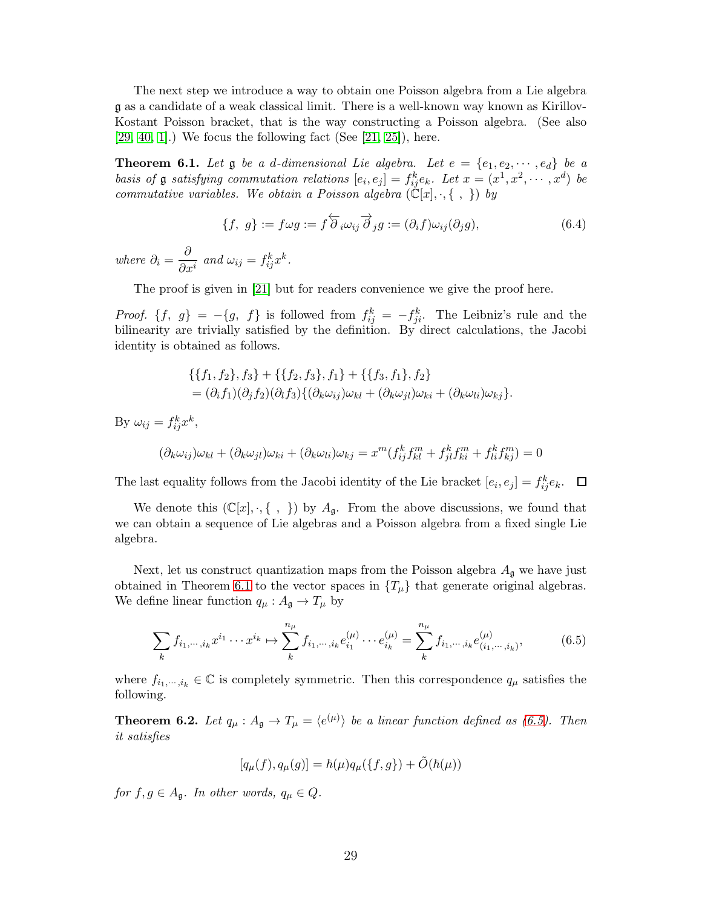The next step we introduce a way to obtain one Poisson algebra from a Lie algebra g as a candidate of a weak classical limit. There is a well-known way known as Kirillov-Kostant Poisson bracket, that is the way constructing a Poisson algebra. (See also  $[29, 40, 1]$  $[29, 40, 1]$  $[29, 40, 1]$ .) We focus the following fact (See  $[21, 25]$  $[21, 25]$ ), here.

<span id="page-28-0"></span>**Theorem 6.1.** Let  $\mathfrak g$  be a d-dimensional Lie algebra. Let  $e = \{e_1, e_2, \cdots, e_d\}$  be a basis of **g** satisfying commutation relations  $[e_i, e_j] = f_{ij}^k e_k$ . Let  $x = (x^1, x^2, \dots, x^d)$  be commutative variables. We obtain a Poisson algebra  $(\mathbb{C}[x], \cdot, \{\ ,\ \})$  by

$$
\{f, g\} := f\omega g := f\overleftarrow{\partial}_i \omega_{ij} \overrightarrow{\partial}_j g := (\partial_i f)\omega_{ij}(\partial_j g), \tag{6.4}
$$

where  $\partial_i = \frac{\partial}{\partial_i}$  $\frac{\partial}{\partial x^i}$  and  $\omega_{ij} = f_{ij}^k x^k$ .

The proof is given in [\[21\]](#page-37-3) but for readers convenience we give the proof here.

*Proof.*  $\{f, g\} = -\{g, f\}$  is followed from  $f_{ij}^k = -f_{ji}^k$ . The Leibniz's rule and the bilinearity are trivially satisfied by the definition. By direct calculations, the Jacobi identity is obtained as follows.

$$
\begin{aligned} & \{ \{f_1, f_2\}, f_3\} + \{ \{f_2, f_3\}, f_1\} + \{ \{f_3, f_1\}, f_2\} \\ & = (\partial_i f_1)(\partial_j f_2)(\partial_l f_3) \{ (\partial_k \omega_{ij})\omega_{kl} + (\partial_k \omega_{jl})\omega_{ki} + (\partial_k \omega_{li})\omega_{kj} \}. \end{aligned}
$$

By  $\omega_{ij} = f_{ij}^k x^k$ ,

$$
(\partial_k \omega_{ij})\omega_{kl} + (\partial_k \omega_{jl})\omega_{ki} + (\partial_k \omega_{li})\omega_{kj} = x^m(f_{ij}^k f_{kl}^m + f_{jl}^k f_{ki}^m + f_{li}^k f_{kj}^m) = 0
$$

The last equality follows from the Jacobi identity of the Lie bracket  $[e_i, e_j] = f_{ij}^k e_k$ .

We denote this  $(\mathbb{C}[x], \cdot, \{\ ,\ \})$  by  $A_{\mathfrak{g}}$ . From the above discussions, we found that we can obtain a sequence of Lie algebras and a Poisson algebra from a fixed single Lie algebra.

Next, let us construct quantization maps from the Poisson algebra  $A_{\mathfrak{g}}$  we have just obtained in Theorem [6.1](#page-28-0) to the vector spaces in  $\{T_\mu\}$  that generate original algebras. We define linear function  $q_{\mu} : A_{\mathfrak{g}} \to T_{\mu}$  by

$$
\sum_{k} f_{i_1, \dots, i_k} x^{i_1} \dots x^{i_k} \mapsto \sum_{k}^{n_{\mu}} f_{i_1, \dots, i_k} e_{i_1}^{(\mu)} \dots e_{i_k}^{(\mu)} = \sum_{k}^{n_{\mu}} f_{i_1, \dots, i_k} e_{(i_1, \dots, i_k)}^{(\mu)}, \tag{6.5}
$$

where  $f_{i_1,\dots,i_k} \in \mathbb{C}$  is completely symmetric. Then this correspondence  $q_\mu$  satisfies the following.

<span id="page-28-2"></span>**Theorem 6.2.** Let  $q_{\mu} : A_{\mathfrak{g}} \to T_{\mu} = \langle e^{(\mu)} \rangle$  be a linear function defined as [\(6.5\)](#page-28-1). Then it satisfies

<span id="page-28-1"></span>
$$
[q_{\mu}(f), q_{\mu}(g)] = \hbar(\mu)q_{\mu}(\{f, g\}) + \tilde{O}(\hbar(\mu))
$$

for  $f, g \in A_{\mathfrak{a}}$ . In other words,  $q_{\mu} \in Q$ .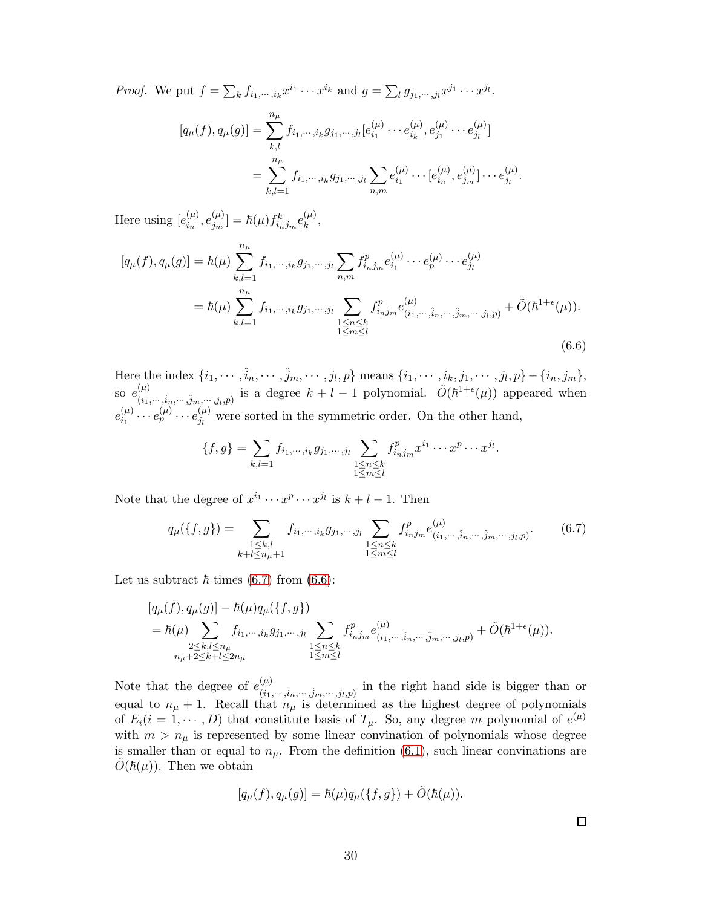*Proof.* We put  $f = \sum_k f_{i_1,\dots,i_k} x^{i_1} \cdots x^{i_k}$  and  $g = \sum_l g_{j_1,\dots,j_l} x^{j_1} \cdots x^{j_l}$ .

$$
[q_{\mu}(f), q_{\mu}(g)] = \sum_{k,l}^{n_{\mu}} f_{i_1, \dots, i_k} g_{j_1, \dots, j_l} [e_{i_1}^{(\mu)} \dots e_{i_k}^{(\mu)}, e_{j_1}^{(\mu)} \dots e_{j_l}^{(\mu)}]
$$
  
= 
$$
\sum_{k,l=1}^{n_{\mu}} f_{i_1, \dots, i_k} g_{j_1, \dots, j_l} \sum_{n,m} e_{i_1}^{(\mu)} \dots [e_{i_n}^{(\mu)}, e_{j_m}^{(\mu)}] \dots e_{j_l}^{(\mu)}.
$$

Here using  $[e^{(\mu)}_{i_n}]$  $_{i_{n}}^{(\mu)},e_{j_{m}}^{(\mu)}$  $\left[ \begin{smallmatrix} (\mu)\ j_m \end{smallmatrix} \right] = \hbar(\mu) f^k_{i_n j_m} e_k^{(\mu)}$  $\binom{\mu}{k}$ 

$$
[q_{\mu}(f), q_{\mu}(g)] = \hbar(\mu) \sum_{k,l=1}^{n_{\mu}} f_{i_{1}, \cdots, i_{k}} g_{j_{1}, \cdots, j_{l}} \sum_{n,m} f_{i_{n}j_{m}}^{p} e_{i_{1}}^{(\mu)} \cdots e_{p}^{(\mu)} \cdots e_{j_{l}}^{(\mu)}
$$
  

$$
= \hbar(\mu) \sum_{k,l=1}^{n_{\mu}} f_{i_{1}, \cdots, i_{k}} g_{j_{1}, \cdots, j_{l}} \sum_{\substack{1 \leq n \leq k \\ 1 \leq m \leq l}} f_{i_{n}j_{m}}^{p} e_{(i_{1}, \cdots, \hat{i}_{n}, \cdots, \hat{j}_{m}, \cdots, j_{l}, p)}^{(\mu)} + \tilde{O}(\hbar^{1+\epsilon}(\mu)).
$$
  
(6.6)

Here the index  $\{i_1, \dots, \hat{i}_n, \dots, \hat{j}_m, \dots, j_l, p\}$  means  $\{i_1, \dots, i_k, j_1, \dots, j_l, p\} - \{i_n, j_m\}$ , so  $e^{(\mu)}$  $(\mu)$ <br>  $(i_1,...,i_n,...,j_m,...,j_l,p)$  is a degree  $k+l-1$  polynomial.  $\tilde{O}(\hbar^{1+\epsilon}(\mu))$  appeared when  $e_{i_{1}}^{(\mu)}$  $e_{i_1}^{(\mu)} \cdots e_{p}^{(\mu)} \cdots e_{j_l}^{(\mu)}$  $\mu_j^{(\mu)}$  were sorted in the symmetric order. On the other hand,

<span id="page-29-1"></span>
$$
\{f,g\} = \sum_{k,l=1} f_{i_1,\dots,i_k} g_{j_1,\dots,j_l} \sum_{\substack{1 \le n \le k \\ 1 \le m \le l}} f_{i_nj_m}^p x^{i_1} \cdots x^p \cdots x^{j_l}.
$$

Note that the degree of  $x^{i_1} \cdots x^{p} \cdots x^{j_l}$  is  $k + l - 1$ . Then

$$
q_{\mu}(\{f,g\}) = \sum_{\substack{1 \leq k,l \\ k+l \leq n_{\mu}+1}} f_{i_{1},\cdots,i_{k}} g_{j_{1},\cdots,j_{l}} \sum_{\substack{1 \leq n \leq k \\ 1 \leq m \leq l}} f_{i_{n}j_{m}}^{p} e_{(i_{1},\cdots,\hat{i}_{n},\cdots,\hat{j}_{m},\cdots,j_{l},p)}^{(\mu)}.
$$
 (6.7)

Let us subtract  $\hbar$  times [\(6.7\)](#page-29-0) from [\(6.6\)](#page-29-1):

$$
[q_{\mu}(f), q_{\mu}(g)] - \hbar(\mu)q_{\mu}(\{f, g\})
$$
  
=  $\hbar(\mu) \sum_{\substack{2 \leq k, l \leq n_{\mu} \\ n_{\mu} + 2 \leq k + l \leq 2n_{\mu}}} f_{i_1, \dots, i_k} g_{j_1, \dots, j_l} \sum_{\substack{1 \leq n \leq k \\ 1 \leq m \leq l}} f_{i_n j_m}^p e_{(i_1, \dots, \hat{i}_n, \dots, \hat{j}_m, \dots, j_l, p)}^{(\mu)} + \tilde{O}(\hbar^{1+\epsilon}(\mu)).$ 

Note that the degree of  $e^{(\mu)}_{\mu}$  $\binom{\mu}{i_1,\dots,i_n,\dots,j_m,\dots,j_l,p}$  in the right hand side is bigger than or equal to  $n_{\mu} + 1$ . Recall that  $n_{\mu}$  is determined as the highest degree of polynomials of  $E_i(i = 1, \dots, D)$  that constitute basis of  $T_\mu$ . So, any degree m polynomial of  $e^{(\mu)}$ with  $m > n_{\mu}$  is represented by some linear convination of polynomials whose degree is smaller than or equal to  $n_{\mu}$ . From the definition [\(6.1\)](#page-27-0), such linear convinations are  $O(\hbar(\mu))$ . Then we obtain

$$
[q_{\mu}(f), q_{\mu}(g)] = \hbar(\mu)q_{\mu}(\{f, g\}) + \tilde{O}(\hbar(\mu)).
$$

<span id="page-29-0"></span> $\Box$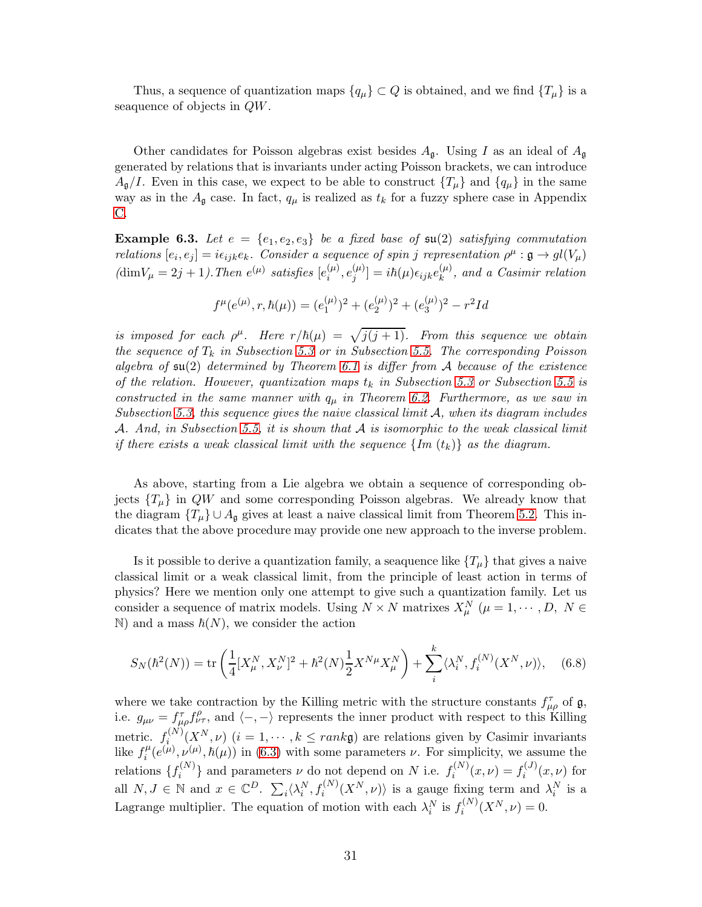Thus, a sequence of quantization maps  $\{q_\mu\} \subset Q$  is obtained, and we find  $\{T_\mu\}$  is a seaquence of objects in QW.

Other candidates for Poisson algebras exist besides  $A_{\mathfrak{g}}$ . Using I as an ideal of  $A_{\mathfrak{g}}$ generated by relations that is invariants under acting Poisson brackets, we can introduce  $A_{\mathfrak{g}}/I$ . Even in this case, we expect to be able to construct  $\{T_{\mu}\}\$  and  $\{q_{\mu}\}\$  in the same way as in the  $A_{\mathfrak{g}}$  case. In fact,  $q_{\mu}$  is realized as  $t_k$  for a fuzzy sphere case in Appendix [C.](#page-35-0)

**Example 6.3.** Let  $e = \{e_1, e_2, e_3\}$  be a fixed base of  $\mathfrak{su}(2)$  satisfying commutation relations  $[e_i, e_j] = i\epsilon_{ijk}e_k$ . Consider a sequence of spin j representation  $\rho^{\mu} : \mathfrak{g} \to gl(V_{\mu})$  $(\text{dim}V_{\mu} = 2j + 1)$ . Then  $e^{(\mu)}$  satisfies  $[e_i^{(\mu)}]$  $_{i}^{(\mu)},e_{j}^{(\mu)}$  $\left[ \begin{smallmatrix} (\mu)\j \end{smallmatrix} \right] = i\hbar(\mu)\epsilon_{ijk}e^{(\mu)}_k$  $\binom{\mu}{k}$ , and a Casimir relation

$$
f^{\mu}(e^{(\mu)}, r, \hbar(\mu)) = (e_1^{(\mu)})^2 + (e_2^{(\mu)})^2 + (e_3^{(\mu)})^2 - r^2Id
$$

is imposed for each  $\rho^{\mu}$ . Here  $r/\hbar(\mu) = \sqrt{j(j+1)}$ . From this sequence we obtain the sequence of  $T_k$  in Subsection [5.3](#page-19-0) or in Subsection [5.5.](#page-21-0) The corresponding Poisson algebra of  $\mathfrak{su}(2)$  determined by Theorem [6.1](#page-28-0) is differ from A because of the existence of the relation. However, quantization maps  $t_k$  in Subsection [5.3](#page-19-0) or Subsection [5.5](#page-21-0) is constructed in the same manner with  $q_{\mu}$  in Theorem [6.2.](#page-28-2) Furthermore, as we saw in Subsection [5.3,](#page-19-0) this sequence gives the naive classical limit  $A$ , when its diagram includes A. And, in Subsection [5.5,](#page-21-0) it is shown that A is isomorphic to the weak classical limit if there exists a weak classical limit with the sequence  $\{Im (t_k)\}\$ as the diagram.

As above, starting from a Lie algebra we obtain a sequence of corresponding objects  $\{T_\mu\}$  in  $QW$  and some corresponding Poisson algebras. We already know that the diagram  $\{T_{\mu}\}\cup A_{\mathfrak{g}}$  gives at least a naive classical limit from Theorem [5.2.](#page-17-0) This indicates that the above procedure may provide one new approach to the inverse problem.

Is it possible to derive a quantization family, a seaquence like  $\{T_{\mu}\}\$  that gives a naive classical limit or a weak classical limit, from the principle of least action in terms of physics? Here we mention only one attempt to give such a quantization family. Let us consider a sequence of matrix models. Using  $N \times N$  matrixes  $X_{\mu}^{N}$  ( $\mu = 1, \dots, D, N \in$  $\mathbb N$ ) and a mass  $\hbar(N)$ , we consider the action

$$
S_N(\hbar^2(N)) = \text{tr}\left(\frac{1}{4}[X^N_\mu, X^N_\nu]^2 + \hbar^2(N)\frac{1}{2}X^{N\mu}X^N_\mu\right) + \sum_i^k \langle \lambda_i^N, f_i^{(N)}(X^N, \nu) \rangle, \quad (6.8)
$$

where we take contraction by the Killing metric with the structure constants  $f_{\mu\rho}^{\tau}$  of  $\mathfrak{g},$ i.e.  $g_{\mu\nu} = f_{\mu\rho}^{\tau} f_{\nu\tau}^{\rho}$ , and  $\langle -, - \rangle$  represents the inner product with respect to this Killing metric.  $f_i^{(N)}$  $i^{(N)}(X^N, \nu)$   $(i = 1, \dots, k \leq rank\mathfrak{g})$  are relations given by Casimir invariants like  $f_i^{\mu}$  $i^{\mu}(e^{(\mu)}, \nu^{(\mu)}, \hbar(\mu))$  in [\(6.3\)](#page-27-1) with some parameters  $\nu$ . For simplicity, we assume the relations  $\{f_i^{(N)}\}$  $\{e^{(N)}\}$  and parameters  $\nu$  do not depend on N i.e.  $f_i^{(N)}$  $f_i^{(N)}(x,\nu) = f_i^{(J)}$  $i^{(0)}(x,\nu)$  for all  $N, J \in \mathbb{N}$  and  $x \in \mathbb{C}^D$ .  $\sum_i \langle \lambda_i^N, f_i^{(N)}(X^N, \nu) \rangle$  is a gauge fixing term and  $\lambda_i^N$  is a Lagrange multiplier. The equation of motion with each  $\lambda_i^N$  is  $f_i^{(N)}$  $f_i^{(N)}(X^N,\nu) = 0.$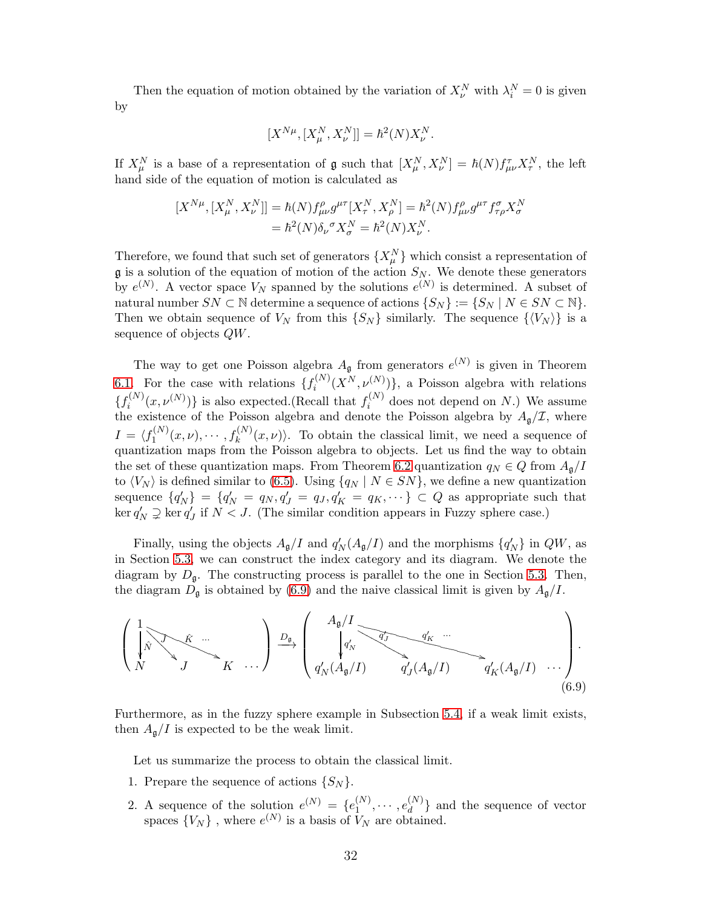Then the equation of motion obtained by the variation of  $X_{\nu}^N$  with  $\lambda_i^N = 0$  is given by

$$
[X^{N\mu},[X^{N}_{\mu},X^{N}_{\nu}]] = \hbar^2(N)X^{N}_{\nu}.
$$

If  $X_\mu^N$  is a base of a representation of  $\mathfrak g$  such that  $[X_\mu^N, X_\nu^N] = \hbar(N) f_{\mu\nu}^T X_\tau^N$ , the left hand side of the equation of motion is calculated as

$$
[X^{N\mu}, [X^N_\mu, X^N_\nu]] = \hbar(N) f^{\rho}_{\mu\nu} g^{\mu\tau} [X^N_\tau, X^N_\rho] = \hbar^2(N) f^{\rho}_{\mu\nu} g^{\mu\tau} f^{\sigma}_{\tau\rho} X^N_\sigma
$$
  
=  $\hbar^2(N) \delta_\nu{}^{\sigma} X^N_\sigma = \hbar^2(N) X^N_\nu$ .

Therefore, we found that such set of generators  $\{X^N_\mu\}$  which consist a representation of  $\mathfrak g$  is a solution of the equation of motion of the action  $S_N$ . We denote these generators by  $e^{(N)}$ . A vector space  $V_N$  spanned by the solutions  $e^{(N)}$  is determined. A subset of natural number  $SN \subset \mathbb{N}$  determine a sequence of actions  $\{S_N\} := \{S_N \mid N \in SN \subset \mathbb{N}\}.$ Then we obtain sequence of  $V_N$  from this  $\{S_N\}$  similarly. The sequence  $\{\langle V_N \rangle\}$  is a sequence of objects QW.

The way to get one Poisson algebra  $A_{\mathfrak{g}}$  from generators  $e^{(N)}$  is given in Theorem [6.1.](#page-28-0) For the case with relations  $\{f_i^{(N)}\}$  $\{X^{(N)}(X^N,\nu_N^{(N)})\},\$ a Poisson algebra with relations  $\{f_i^{(N)}\}$  $\{f_i^{(N)}(x,\nu^{(N)})\}$  is also expected.(Recall that  $f_i^{(N)}$  $i^{(N)}$  does not depend on N.) We assume the existence of the Poisson algebra and denote the Poisson algebra by  $A_{\mathfrak{g}}/\mathcal{I}$ , where  $I = \langle f_1^{(N)} \rangle$  $f_1^{(N)}(x,\nu), \cdots, f_k^{(N)}(x,\nu)$ . To obtain the classical limit, we need a sequence of quantization maps from the Poisson algebra to objects. Let us find the way to obtain the set of these quantization maps. From Theorem [6.2](#page-28-2) quantization  $q_N \in Q$  from  $A_{\mathfrak{q}}/I$ to  $\langle V_N \rangle$  is defined similar to [\(6.5\)](#page-28-1). Using  $\{q_N | N \in SN\}$ , we define a new quantization sequence  $\{q'_N\} = \{q'_N = q_N, q'_J = q_J, q'_K = q_K, \dots\} \subset Q$  as appropriate such that  $\ker q'_N \supsetneq \ker q'_J$  if  $N < J$ . (The similar condition appears in Fuzzy sphere case.)

Finally, using the objects  $A_{\mathfrak{g}}/I$  and  $q'_{N}(A_{\mathfrak{g}}/I)$  and the morphisms  $\{q'_{N}\}\$ in  $QW$ , as in Section [5.3,](#page-19-0) we can construct the index category and its diagram. We denote the diagram by  $D_{\mathfrak{g}}$ . The constructing process is parallel to the one in Section [5.3.](#page-19-0) Then, the diagram  $D_{\mathfrak{g}}$  is obtained by [\(6.9\)](#page-31-0) and the naive classical limit is given by  $A_{\mathfrak{g}}/I$ .

$$
\left(\begin{array}{c}\n1 \\
\widehat{N} \\
N\n\end{array}\right) \begin{array}{c}\n\widehat{K} \\
\widehat{K} \\
K\n\end{array}\n\right) \longrightarrow \left(\begin{array}{c}\nA_{\mathfrak{g}}/I \\
\widehat{q}_{N} \\
q_{N}'(A_{\mathfrak{g}}/I)\n\end{array}\n\right) \begin{array}{c}\nq_{K} \\
\widehat{q}_{J} \\
\widehat{q}_{J}'(A_{\mathfrak{g}}/I)\n\end{array}\n\right) .
$$
\n(6.9)

Furthermore, as in the fuzzy sphere example in Subsection [5.4,](#page-20-0) if a weak limit exists, then  $A_{\mathfrak{g}}/I$  is expected to be the weak limit.

<span id="page-31-0"></span>Let us summarize the process to obtain the classical limit.

- 1. Prepare the sequence of actions  $\{S_N\}$ .
- 2. A sequence of the solution  $e^{(N)} = \{e_1^{(N)}\}$  $i_1^{(N)}, \cdots, e_d^{(N)}$  $\begin{bmatrix} a^{(1)} \\ d \end{bmatrix}$  and the sequence of vector spaces  $\{V_N\}$ , where  $e^{(N)}$  is a basis of  $V_N$  are obtained.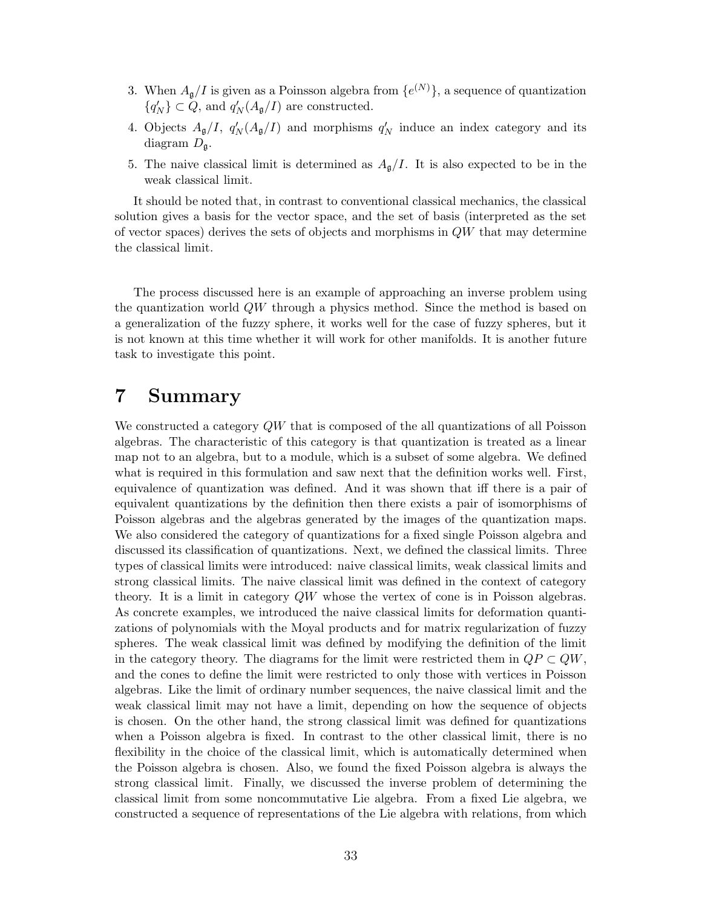- 3. When  $A_{\mathfrak{g}}/I$  is given as a Poinsson algebra from  $\{e^{(N)}\}\$ , a sequence of quantization  ${q'_N} \subset Q$ , and  $q'_N(A_{\mathfrak{g}}/I)$  are constructed.
- 4. Objects  $A_{\mathfrak{g}}/I$ ,  $q'_{N}(A_{\mathfrak{g}}/I)$  and morphisms  $q'_{N}$  induce an index category and its diagram  $D_{\mathfrak{q}}$ .
- 5. The naive classical limit is determined as  $A_{\mathfrak{g}}/I$ . It is also expected to be in the weak classical limit.

It should be noted that, in contrast to conventional classical mechanics, the classical solution gives a basis for the vector space, and the set of basis (interpreted as the set of vector spaces) derives the sets of objects and morphisms in  $QW$  that may determine the classical limit.

The process discussed here is an example of approaching an inverse problem using the quantization world QW through a physics method. Since the method is based on a generalization of the fuzzy sphere, it works well for the case of fuzzy spheres, but it is not known at this time whether it will work for other manifolds. It is another future task to investigate this point.

## <span id="page-32-0"></span>7 Summary

We constructed a category QW that is composed of the all quantizations of all Poisson algebras. The characteristic of this category is that quantization is treated as a linear map not to an algebra, but to a module, which is a subset of some algebra. We defined what is required in this formulation and saw next that the definition works well. First, equivalence of quantization was defined. And it was shown that iff there is a pair of equivalent quantizations by the definition then there exists a pair of isomorphisms of Poisson algebras and the algebras generated by the images of the quantization maps. We also considered the category of quantizations for a fixed single Poisson algebra and discussed its classification of quantizations. Next, we defined the classical limits. Three types of classical limits were introduced: naive classical limits, weak classical limits and strong classical limits. The naive classical limit was defined in the context of category theory. It is a limit in category QW whose the vertex of cone is in Poisson algebras. As concrete examples, we introduced the naive classical limits for deformation quantizations of polynomials with the Moyal products and for matrix regularization of fuzzy spheres. The weak classical limit was defined by modifying the definition of the limit in the category theory. The diagrams for the limit were restricted them in  $QP \subset QW$ , and the cones to define the limit were restricted to only those with vertices in Poisson algebras. Like the limit of ordinary number sequences, the naive classical limit and the weak classical limit may not have a limit, depending on how the sequence of objects is chosen. On the other hand, the strong classical limit was defined for quantizations when a Poisson algebra is fixed. In contrast to the other classical limit, there is no flexibility in the choice of the classical limit, which is automatically determined when the Poisson algebra is chosen. Also, we found the fixed Poisson algebra is always the strong classical limit. Finally, we discussed the inverse problem of determining the classical limit from some noncommutative Lie algebra. From a fixed Lie algebra, we constructed a sequence of representations of the Lie algebra with relations, from which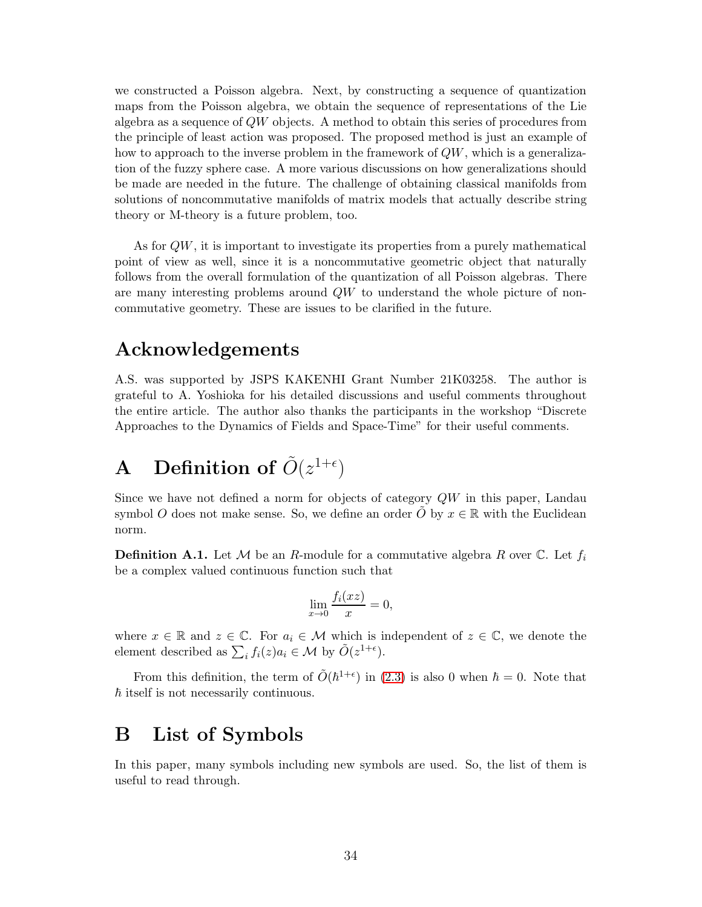we constructed a Poisson algebra. Next, by constructing a sequence of quantization maps from the Poisson algebra, we obtain the sequence of representations of the Lie algebra as a sequence of  $QW$  objects. A method to obtain this series of procedures from the principle of least action was proposed. The proposed method is just an example of how to approach to the inverse problem in the framework of  $QW$ , which is a generalization of the fuzzy sphere case. A more various discussions on how generalizations should be made are needed in the future. The challenge of obtaining classical manifolds from solutions of noncommutative manifolds of matrix models that actually describe string theory or M-theory is a future problem, too.

As for  $QW$ , it is important to investigate its properties from a purely mathematical point of view as well, since it is a noncommutative geometric object that naturally follows from the overall formulation of the quantization of all Poisson algebras. There are many interesting problems around QW to understand the whole picture of noncommutative geometry. These are issues to be clarified in the future.

## Acknowledgements

A.S. was supported by JSPS KAKENHI Grant Number 21K03258. The author is grateful to A. Yoshioka for his detailed discussions and useful comments throughout the entire article. The author also thanks the participants in the workshop "Discrete Approaches to the Dynamics of Fields and Space-Time" for their useful comments.

# <span id="page-33-0"></span>A Definition of  $\tilde{O}(z^{1+\epsilon})$

Since we have not defined a norm for objects of category  $QW$  in this paper, Landau symbol O does not make sense. So, we define an order O by  $x \in \mathbb{R}$  with the Euclidean norm.

**Definition A.1.** Let M be an R-module for a commutative algebra R over C. Let  $f_i$ be a complex valued continuous function such that

$$
\lim_{x \to 0} \frac{f_i(xz)}{x} = 0,
$$

where  $x \in \mathbb{R}$  and  $z \in \mathbb{C}$ . For  $a_i \in \mathcal{M}$  which is independent of  $z \in \mathbb{C}$ , we denote the element described as  $\sum_i f_i(z) a_i \in \mathcal{M}$  by  $\tilde{O}(z^{1+\epsilon})$ .

From this definition, the term of  $\tilde{O}(\hbar^{1+\epsilon})$  in (2.[3\)](#page-3-1) is also 0 when  $\hbar = 0$ . Note that  $\hbar$  itself is not necessarily continuous.

## <span id="page-33-1"></span>B List of Symbols

In this paper, many symbols including new symbols are used. So, the list of them is useful to read through.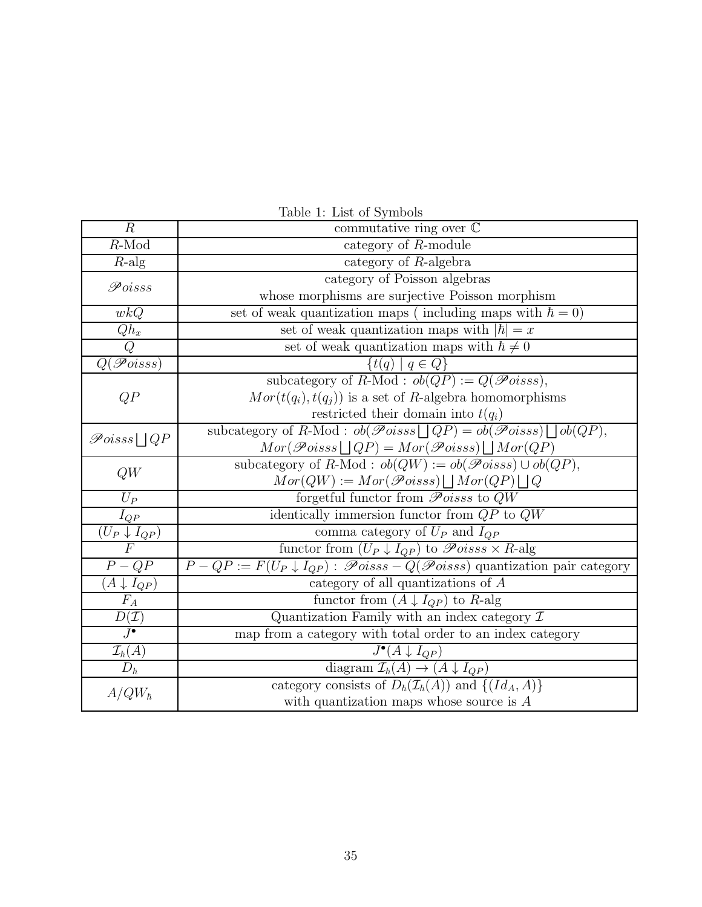| $\overline{R}$                              | commutative ring over $\mathbb C$                                                                        |
|---------------------------------------------|----------------------------------------------------------------------------------------------------------|
| $R$ -Mod                                    | category of $R$ -module                                                                                  |
| $R$ -alg                                    | category of $R$ -algebra                                                                                 |
| $\mathscr Poisss$                           | category of Poisson algebras                                                                             |
|                                             | whose morphisms are surjective Poisson morphism                                                          |
| wkQ                                         | set of weak quantization maps (including maps with $\hbar = 0$ )                                         |
| $Qh_x$                                      | set of weak quantization maps with $ \hbar  = x$                                                         |
| $\overline{Q}$                              | set of weak quantization maps with $\hbar \neq 0$                                                        |
| $Q(\mathscr{P}oiss)$                        | $\{t(q)   q \in Q\}$                                                                                     |
| QP                                          | subcategory of $R\text{-Mod}$ : $ob(QP) := Q(\mathscr{P}oiss)$ ,                                         |
|                                             | $Mor(t(q_i), t(q_i))$ is a set of R-algebra homomorphisms                                                |
|                                             | restricted their domain into $t(q_i)$                                                                    |
| $\mathscr{P}oiss \sqcup QP$                 | subcategory of R-Mod : $ob(\mathscr{P}oiss \sqcup QP) = ob(\mathscr{P}oiss) \sqcup ob(QP)$ ,             |
|                                             | $Mor(\mathscr{P}oisss \sqcup QP) = Mor(\mathscr{P}oisss) \sqcup Mor(QP)$                                 |
| QW                                          | subcategory of R-Mod : $ob(QW) := ob(\mathscr{P}oiss) \cup ob(QP)$ ,                                     |
|                                             | $Mor(QW) := Mor(\mathscr Poisss) \bigsqcup Mor(QP) \bigsqcup Q$                                          |
| $U_P$                                       | forgetful functor from $\mathscr Poisss$ to $QW$                                                         |
| $I_{QP}$                                    | identically immersion functor from $QP$ to $QW$                                                          |
| $\frac{\check{(U_P \downarrow I_{QP})}}{F}$ | comma category of $U_P$ and $I_{QP}$                                                                     |
|                                             | functor from $(U_P \downarrow I_{QP})$ to $\mathscr{P}oiss \times R$ -alg                                |
| $P-QP$                                      | $P - QP := F(U_P \downarrow I_{QP})$ : $\mathscr{P}oiss - Q(\mathscr{P}oiss)$ quantization pair category |
| $(A\downarrow I_{QP})$                      | category of all quantizations of $A$                                                                     |
| ${\cal F}_A$                                | functor from $(A \downarrow I_{QP})$ to R-alg                                                            |
| $rac{D(\mathcal{I})}{J^{\bullet}}$          | Quantization Family with an index category $\mathcal I$                                                  |
|                                             | map from a category with total order to an index category                                                |
| $\frac{\mathcal{I}_{\hbar}(A)}{D_{\hbar}}$  | $J^{\bullet}(A \downarrow I_{QP})$                                                                       |
|                                             | diagram $\mathcal{I}_{\hbar}(A) \rightarrow (A \downarrow I_{QP})$                                       |
| $A/QW_{\hbar}$                              | category consists of $D_{\hbar}(\mathcal{I}_{\hbar}(A))$ and $\{(Id_A, A)\}$                             |
|                                             | with quantization maps whose source is $A$                                                               |

Table 1: List of Symbols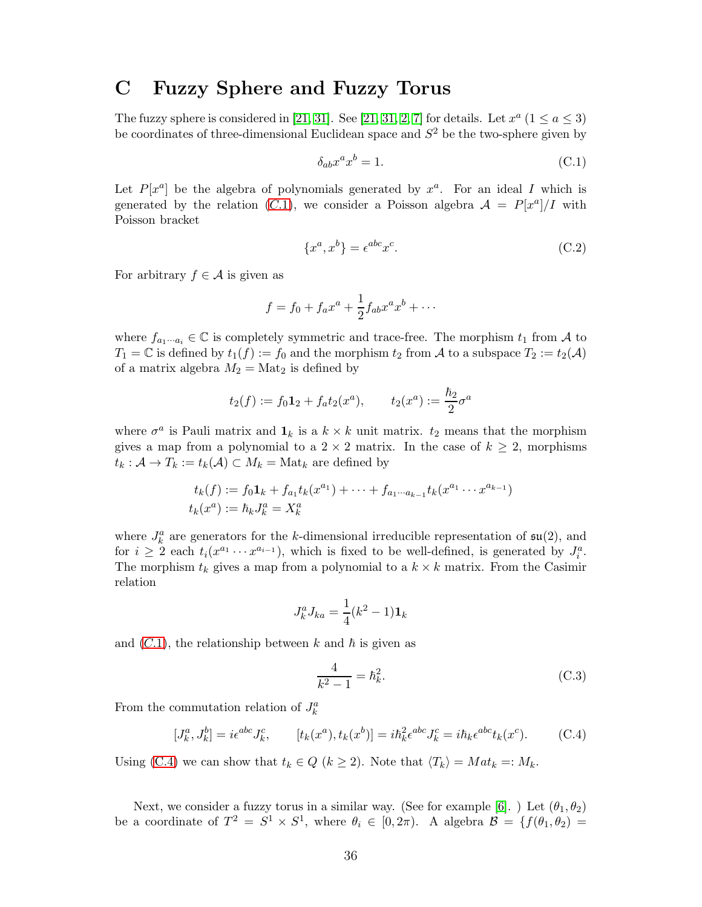### <span id="page-35-0"></span>C Fuzzy Sphere and Fuzzy Torus

The fuzzy sphere is considered in [\[21,](#page-37-3) [31\]](#page-38-1). See [21, [31,](#page-38-1) [2,](#page-36-4) [7\]](#page-37-17) for details. Let  $x^a$  ( $1 \le a \le 3$ ) be coordinates of three-dimensional Euclidean space and  $S^2$  be the two-sphere given by

<span id="page-35-1"></span>
$$
\delta_{ab} x^a x^b = 1. \tag{C.1}
$$

Let  $P[x^a]$  be the algebra of polynomials generated by  $x^a$ . For an ideal I which is generated by the relation ([C.](#page-35-1)1), we consider a Poisson algebra  $\mathcal{A} = P[x^a]/I$  with Poisson bracket

$$
\{x^a, x^b\} = \epsilon^{abc} x^c. \tag{C.2}
$$

For arbitrary  $f \in \mathcal{A}$  is given as

$$
f = f_0 + f_a x^a + \frac{1}{2} f_{ab} x^a x^b + \cdots
$$

where  $f_{a_1\cdots a_i} \in \mathbb{C}$  is completely symmetric and trace-free. The morphism  $t_1$  from A to  $T_1 = \mathbb{C}$  is defined by  $t_1(f) := f_0$  and the morphism  $t_2$  from A to a subspace  $T_2 := t_2(\mathcal{A})$ of a matrix algebra  $M_2 = \text{Mat}_2$  is defined by

$$
t_2(f) := f_0 \mathbf{1}_2 + f_a t_2(x^a), \qquad t_2(x^a) := \frac{\hbar_2}{2} \sigma^a
$$

where  $\sigma^a$  is Pauli matrix and  $\mathbf{1}_k$  is a  $k \times k$  unit matrix.  $t_2$  means that the morphism gives a map from a polynomial to a  $2 \times 2$  matrix. In the case of  $k \geq 2$ , morphisms  $t_k: \mathcal{A} \to T_k := t_k(\mathcal{A}) \subset M_k = \text{Mat}_k$  are defined by

$$
t_k(f) := f_0 \mathbf{1}_k + f_{a_1} t_k(x^{a_1}) + \dots + f_{a_1 \cdots a_{k-1}} t_k(x^{a_1} \cdots x^{a_{k-1}})
$$
  

$$
t_k(x^a) := \hbar_k J_k^a = X_k^a
$$

where  $J_k^a$  are generators for the k-dimensional irreducible representation of  $\mathfrak{su}(2)$ , and for  $i \geq 2$  each  $t_i(x^{a_1} \cdots x^{a_{i-1}})$ , which is fixed to be well-defined, is generated by  $J_i^a$ . The morphism  $t_k$  gives a map from a polynomial to a  $k \times k$  matrix. From the Casimir relation

$$
J_k^a J_{ka} = \frac{1}{4}(k^2 - 1)\mathbf{1}_k
$$

and  $(C.1)$  $(C.1)$  $(C.1)$ , the relationship between k and  $\hbar$  is given as

<span id="page-35-2"></span>
$$
\frac{4}{k^2 - 1} = \hbar_k^2.
$$
 (C.3)

From the commutation relation of  $J_k^a$ 

$$
[J_k^a, J_k^b] = i\epsilon^{abc}J_k^c, \qquad [t_k(x^a), t_k(x^b)] = i\hbar_k^2\epsilon^{abc}J_k^c = i\hbar_k\epsilon^{abc}t_k(x^c). \tag{C.4}
$$

Using [\(C.4\)](#page-35-2) we can show that  $t_k \in Q$   $(k \geq 2)$ . Note that  $\langle T_k \rangle = Mat_k =: M_k$ .

Next, we consider a fuzzy torus in a similar way. (See for example [\[6\]](#page-36-5). ) Let  $(\theta_1, \theta_2)$ be a coordinate of  $T^2 = S^1 \times S^1$ , where  $\theta_i \in [0, 2\pi)$ . A algebra  $\mathcal{B} = \{f(\theta_1, \theta_2) = f(\theta_1, \theta_2)\}$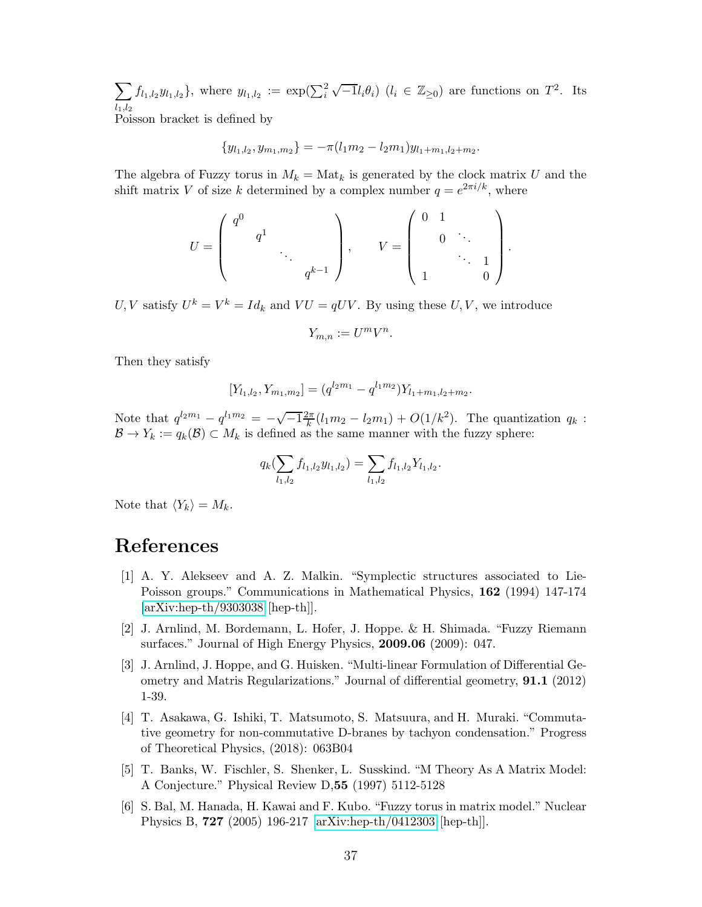$\sum$  $l_1,l_2$  $f_{l_1,l_2}y_{l_1,l_2}$ , where  $y_{l_1,l_2} := \exp(\sum_i^2 \sqrt{-1}l_i\theta_i)$   $(l_i \in \mathbb{Z}_{\geq 0})$  are functions on  $T^2$ . Its Poisson bracket is defined by

$$
\{y_{l_1,l_2}, y_{m_1,m_2}\} = -\pi (l_1m_2 - l_2m_1)y_{l_1+m_1,l_2+m_2}.
$$

The algebra of Fuzzy torus in  $M_k = \text{Mat}_k$  is generated by the clock matrix U and the shift matrix V of size k determined by a complex number  $q = e^{2\pi i/k}$ , where

$$
U = \begin{pmatrix} q^0 & & & \\ & q^1 & & \\ & & \ddots & \\ & & & q^{k-1} \end{pmatrix}, \qquad V = \begin{pmatrix} 0 & 1 & & \\ & 0 & \ddots & \\ & & \ddots & 1 \\ 1 & & & 0 \end{pmatrix}.
$$

 $U, V$  satisfy  $U^k = V^k = Id_k$  and  $VU = qUV$ . By using these  $U, V$ , we introduce

$$
Y_{m,n} := U^m V^n.
$$

Then they satisfy

$$
[Y_{l_1,l_2}, Y_{m_1,m_2}] = (q^{l_2m_1} - q^{l_1m_2})Y_{l_1+m_1,l_2+m_2}.
$$

Note that  $q^{l_2m_1} - q^{l_1m_2} = -\sqrt{-1}\frac{2\pi}{k}$  $\frac{k\pi}{k}(l_1m_2-l_2m_1)+O(1/k^2)$ . The quantization  $q_k$ :  $\mathcal{B} \to Y_k := q_k(\mathcal{B}) \subset M_k$  is defined as the same manner with the fuzzy sphere:

$$
q_k(\sum_{l_1,l_2}f_{l_1,l_2}y_{l_1,l_2})=\sum_{l_1,l_2}f_{l_1,l_2}Y_{l_1,l_2}.
$$

Note that  $\langle Y_k \rangle = M_k$ .

## <span id="page-36-3"></span>References

- [1] A. Y. Alekseev and A. Z. Malkin. "Symplectic structures associated to Lie-Poisson groups." Communications in Mathematical Physics, 162 (1994) 147-174 [\[arXiv:hep-th/9303038](http://arxiv.org/abs/hep-th/9303038) [hep-th]].
- <span id="page-36-4"></span><span id="page-36-1"></span>[2] J. Arnlind, M. Bordemann, L. Hofer, J. Hoppe. & H. Shimada. "Fuzzy Riemann surfaces." Journal of High Energy Physics, 2009.06 (2009): 047.
- [3] J. Arnlind, J. Hoppe, and G. Huisken. "Multi-linear Formulation of Differential Geometry and Matris Regularizations." Journal of differential geometry, 91.1 (2012) 1-39.
- <span id="page-36-2"></span>[4] T. Asakawa, G. Ishiki, T. Matsumoto, S. Matsuura, and H. Muraki. "Commutative geometry for non-commutative D-branes by tachyon condensation." Progress of Theoretical Physics, (2018): 063B04
- <span id="page-36-0"></span>[5] T. Banks, W. Fischler, S. Shenker, L. Susskind. "M Theory As A Matrix Model: A Conjecture." Physical Review D,55 (1997) 5112-5128
- <span id="page-36-5"></span>[6] S. Bal, M. Hanada, H. Kawai and F. Kubo. "Fuzzy torus in matrix model." Nuclear Physics B, 727 (2005) 196-217 [\[arXiv:hep-th/0412303](http://arxiv.org/abs/hep-th/0412303) [hep-th]].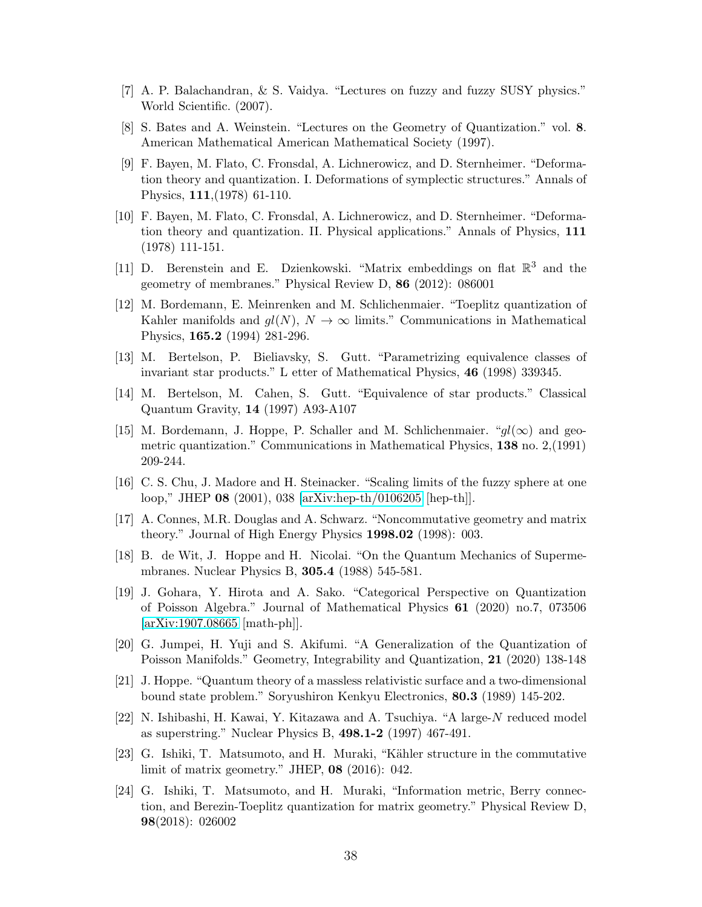- <span id="page-37-17"></span><span id="page-37-12"></span>[7] A. P. Balachandran, & S. Vaidya. "Lectures on fuzzy and fuzzy SUSY physics." World Scientific. (2007).
- <span id="page-37-13"></span>[8] S. Bates and A. Weinstein. "Lectures on the Geometry of Quantization." vol. 8. American Mathematical American Mathematical Society (1997).
- [9] F. Bayen, M. Flato, C. Fronsdal, A. Lichnerowicz, and D. Sternheimer. "Deformation theory and quantization. I. Deformations of symplectic structures." Annals of Physics, 111,(1978) 61-110.
- <span id="page-37-14"></span>[10] F. Bayen, M. Flato, C. Fronsdal, A. Lichnerowicz, and D. Sternheimer. "Deformation theory and quantization. II. Physical applications." Annals of Physics, 111 (1978) 111-151.
- <span id="page-37-7"></span>[11] D. Berenstein and E. Dzienkowski. "Matrix embeddings on flat  $\mathbb{R}^3$  and the geometry of membranes." Physical Review D, 86 (2012): 086001
- <span id="page-37-4"></span>[12] M. Bordemann, E. Meinrenken and M. Schlichenmaier. "Toeplitz quantization of Kahler manifolds and  $gl(N)$ ,  $N \to \infty$  limits." Communications in Mathematical Physics, 165.2 (1994) 281-296.
- <span id="page-37-16"></span><span id="page-37-15"></span>[13] M. Bertelson, P. Bieliavsky, S. Gutt. "Parametrizing equivalence classes of invariant star products." L etter of Mathematical Physics, 46 (1998) 339345.
- <span id="page-37-5"></span>[14] M. Bertelson, M. Cahen, S. Gutt. "Equivalence of star products." Classical Quantum Gravity, 14 (1997) A93-A107
- [15] M. Bordemann, J. Hoppe, P. Schaller and M. Schlichenmaier. " $gl(\infty)$  and geometric quantization." Communications in Mathematical Physics, 138 no. 2,(1991) 209-244.
- <span id="page-37-6"></span>[16] C. S. Chu, J. Madore and H. Steinacker. "Scaling limits of the fuzzy sphere at one loop," JHEP 08 (2001), 038 [\[arXiv:hep-th/0106205](http://arxiv.org/abs/hep-th/0106205) [hep-th]].
- <span id="page-37-2"></span><span id="page-37-1"></span>[17] A. Connes, M.R. Douglas and A. Schwarz. "Noncommutative geometry and matrix theory." Journal of High Energy Physics 1998.02 (1998): 003.
- <span id="page-37-10"></span>[18] B. de Wit, J. Hoppe and H. Nicolai. "On the Quantum Mechanics of Supermembranes. Nuclear Physics B, 305.4 (1988) 545-581.
- [19] J. Gohara, Y. Hirota and A. Sako. "Categorical Perspective on Quantization of Poisson Algebra." Journal of Mathematical Physics 61 (2020) no.7, 073506 [\[arXiv:1907.08665](http://arxiv.org/abs/1907.08665) [math-ph]].
- <span id="page-37-11"></span>[20] G. Jumpei, H. Yuji and S. Akifumi. "A Generalization of the Quantization of Poisson Manifolds." Geometry, Integrability and Quantization, 21 (2020) 138-148
- <span id="page-37-3"></span>[21] J. Hoppe. "Quantum theory of a massless relativistic surface and a two-dimensional bound state problem." Soryushiron Kenkyu Electronics, 80.3 (1989) 145-202.
- <span id="page-37-0"></span>[22] N. Ishibashi, H. Kawai, Y. Kitazawa and A. Tsuchiya. "A large-N reduced model as superstring." Nuclear Physics B, 498.1-2 (1997) 467-491.
- <span id="page-37-8"></span>[23] G. Ishiki, T. Matsumoto, and H. Muraki, "Kähler structure in the commutative limit of matrix geometry." JHEP, 08 (2016): 042.
- <span id="page-37-9"></span>[24] G. Ishiki, T. Matsumoto, and H. Muraki, "Information metric, Berry connection, and Berezin-Toeplitz quantization for matrix geometry." Physical Review D, 98(2018): 026002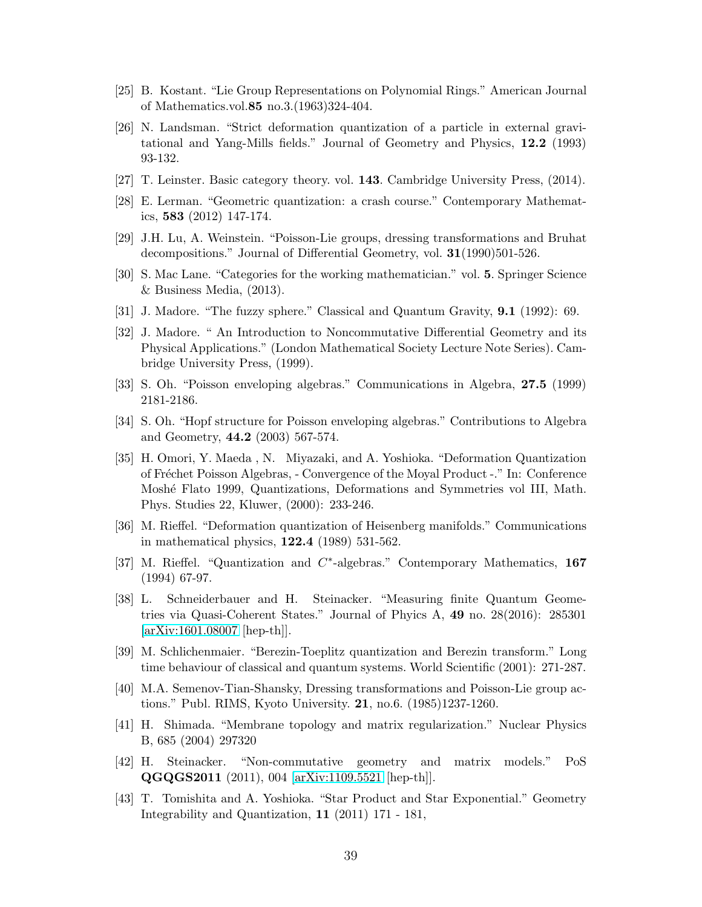- <span id="page-38-18"></span><span id="page-38-8"></span>[25] B. Kostant. "Lie Group Representations on Polynomial Rings." American Journal of Mathematics.vol.85 no.3.(1963)324-404.
- [26] N. Landsman. "Strict deformation quantization of a particle in external gravitational and Yang-Mills fields." Journal of Geometry and Physics, 12.2 (1993) 93-132.
- <span id="page-38-15"></span><span id="page-38-9"></span>[27] T. Leinster. Basic category theory. vol. 143. Cambridge University Press, (2014).
- <span id="page-38-16"></span>[28] E. Lerman. "Geometric quantization: a crash course." Contemporary Mathematics, 583 (2012) 147-174.
- <span id="page-38-14"></span>[29] J.H. Lu, A. Weinstein. "Poisson-Lie groups, dressing transformations and Bruhat decompositions." Journal of Differential Geometry, vol. 31(1990)501-526.
- <span id="page-38-1"></span>[30] S. Mac Lane. "Categories for the working mathematician." vol. 5. Springer Science & Business Media, (2013).
- <span id="page-38-2"></span>[31] J. Madore. "The fuzzy sphere." Classical and Quantum Gravity, 9.1 (1992): 69.
- [32] J. Madore. " An Introduction to Noncommutative Differential Geometry and its Physical Applications." (London Mathematical Society Lecture Note Series). Cambridge University Press, (1999).
- <span id="page-38-11"></span><span id="page-38-10"></span>[33] S. Oh. "Poisson enveloping algebras." Communications in Algebra, 27.5 (1999) 2181-2186.
- [34] S. Oh. "Hopf structure for Poisson enveloping algebras." Contributions to Algebra and Geometry, 44.2 (2003) 567-574.
- <span id="page-38-12"></span>[35] H. Omori, Y. Maeda , N. Miyazaki, and A. Yoshioka. "Deformation Quantization of Fr´echet Poisson Algebras, - Convergence of the Moyal Product -." In: Conference Mosh´e Flato 1999, Quantizations, Deformations and Symmetries vol III, Math. Phys. Studies 22, Kluwer, (2000): 233-246.
- <span id="page-38-7"></span><span id="page-38-6"></span>[36] M. Rieffel. "Deformation quantization of Heisenberg manifolds." Communications in mathematical physics, 122.4 (1989) 531-562.
- [37] M. Rieffel. "Quantization and C<sup>\*</sup>-algebras." Contemporary Mathematics, 167 (1994) 67-97.
- <span id="page-38-4"></span>[38] L. Schneiderbauer and H. Steinacker. "Measuring finite Quantum Geometries via Quasi-Coherent States." Journal of Phyics A, 49 no. 28(2016): 285301 [\[arXiv:1601.08007](http://arxiv.org/abs/1601.08007) [hep-th]].
- <span id="page-38-5"></span>[39] M. Schlichenmaier. "Berezin-Toeplitz quantization and Berezin transform." Long time behaviour of classical and quantum systems. World Scientific (2001): 271-287.
- <span id="page-38-17"></span>[40] M.A. Semenov-Tian-Shansky, Dressing transformations and Poisson-Lie group actions." Publ. RIMS, Kyoto University. 21, no.6. (1985)1237-1260.
- <span id="page-38-3"></span>[41] H. Shimada. "Membrane topology and matrix regularization." Nuclear Physics B, 685 (2004) 297320
- <span id="page-38-0"></span>[42] H. Steinacker. "Non-commutative geometry and matrix models." PoS QGQGS2011 (2011), 004 [\[arXiv:1109.5521](http://arxiv.org/abs/1109.5521) [hep-th]].
- <span id="page-38-13"></span>[43] T. Tomishita and A. Yoshioka. "Star Product and Star Exponential." Geometry Integrability and Quantization, 11 (2011) 171 - 181,